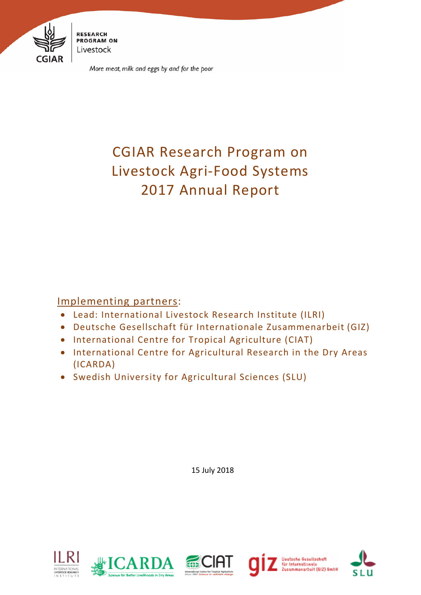

**RESEARCH PROGRAM ON** Livestock

More meat, milk and eggs by and for the poor

# CGIAR Research Program on Livestock Agri-Food Systems 2017 Annual Report

Implementing partners:

- Lead: International Livestock Research Institute (ILRI)
- Deutsche Gesellschaft für Internationale Zusammenarbeit (GIZ)
- International Centre for Tropical Agriculture (CIAT)
- International Centre for Agricultural Research in the Dry Areas (ICARDA)
- Swedish University for Agricultural Sciences (SLU)

15 July 2018









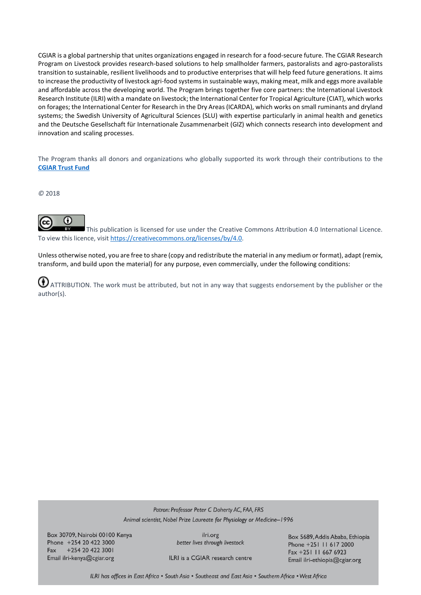CGIAR is a global partnership that unites organizations engaged in research for a food-secure future. The CGIAR Research Program on Livestock provides research-based solutions to help smallholder farmers, pastoralists and agro-pastoralists transition to sustainable, resilient livelihoods and to productive enterprises that will help feed future generations. It aims to increase the productivity of livestock agri-food systems in sustainable ways, making meat, milk and eggs more available and affordable across the developing world. The Program brings together five core partners: the International Livestock Research Institute (ILRI) with a mandate on livestock; the International Center for Tropical Agriculture (CIAT), which works on forages; the International Center for Research in the Dry Areas (ICARDA), which works on small ruminants and dryland systems; the Swedish University of Agricultural Sciences (SLU) with expertise particularly in animal health and genetics and the Deutsche Gesellschaft für Internationale Zusammenarbeit (GIZ) which connects research into development and innovation and scaling processes.

The Program thanks all donors and organizations who globally supported its work through their contributions to the **[CGIAR Trust Fund](http://www.cgiar.org/about-us/our-funders/)**

*©* 2018



This publication is licensed for use under the Creative Commons Attribution 4.0 International Licence. To view this licence, visit [https://creativecommons.org/licenses/by/4.0.](https://creativecommons.org/licenses/by/4.0)

Unless otherwise noted, you are free to share (copy and redistribute the material in any medium or format), adapt (remix, transform, and build upon the material) for any purpose, even commercially, under the following conditions:

 $\bigoplus$  ATTRIBUTION. The work must be attributed, but not in any way that suggests endorsement by the publisher or the author(s).

> Patron: Professor Peter C Doherty AC, FAA, FRS Animal scientist, Nobel Prize Laureate for Physiology or Medicine-1996

Box 30709, Nairobi 00100 Kenya Phone +254 20 422 3000 +254 20 422 3001 Fax Email ilri-kenya@cgiar.org

ilri.org better lives through livestock

Box 5689, Addis Ababa, Ethiopia Phone +251 11 617 2000 Fax +251 11 667 6923 Email ilri-ethiopia@cgiar.org

ILRI is a CGIAR research centre

ILRI has offices in East Africa . South Asia . Southeast and East Asia . Southern Africa . West Africa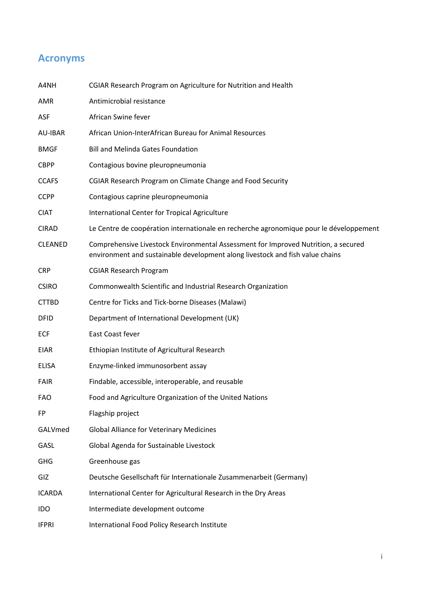# **Acronyms**

| A4NH           | CGIAR Research Program on Agriculture for Nutrition and Health                                                                                                      |
|----------------|---------------------------------------------------------------------------------------------------------------------------------------------------------------------|
| <b>AMR</b>     | Antimicrobial resistance                                                                                                                                            |
| <b>ASF</b>     | African Swine fever                                                                                                                                                 |
| <b>AU-IBAR</b> | African Union-InterAfrican Bureau for Animal Resources                                                                                                              |
| <b>BMGF</b>    | <b>Bill and Melinda Gates Foundation</b>                                                                                                                            |
| <b>CBPP</b>    | Contagious bovine pleuropneumonia                                                                                                                                   |
| <b>CCAFS</b>   | CGIAR Research Program on Climate Change and Food Security                                                                                                          |
| <b>CCPP</b>    | Contagious caprine pleuropneumonia                                                                                                                                  |
| <b>CIAT</b>    | International Center for Tropical Agriculture                                                                                                                       |
| <b>CIRAD</b>   | Le Centre de coopération internationale en recherche agronomique pour le développement                                                                              |
| <b>CLEANED</b> | Comprehensive Livestock Environmental Assessment for Improved Nutrition, a secured<br>environment and sustainable development along livestock and fish value chains |
| <b>CRP</b>     | <b>CGIAR Research Program</b>                                                                                                                                       |
| <b>CSIRO</b>   | Commonwealth Scientific and Industrial Research Organization                                                                                                        |
| <b>CTTBD</b>   | Centre for Ticks and Tick-borne Diseases (Malawi)                                                                                                                   |
| <b>DFID</b>    | Department of International Development (UK)                                                                                                                        |
| <b>ECF</b>     | East Coast fever                                                                                                                                                    |
| EIAR           | Ethiopian Institute of Agricultural Research                                                                                                                        |
| <b>ELISA</b>   | Enzyme-linked immunosorbent assay                                                                                                                                   |
| <b>FAIR</b>    | Findable, accessible, interoperable, and reusable                                                                                                                   |
| <b>FAO</b>     | Food and Agriculture Organization of the United Nations                                                                                                             |
| FP             | Flagship project                                                                                                                                                    |
| GALVmed        | <b>Global Alliance for Veterinary Medicines</b>                                                                                                                     |
| GASL           | Global Agenda for Sustainable Livestock                                                                                                                             |
| <b>GHG</b>     | Greenhouse gas                                                                                                                                                      |
| GIZ            | Deutsche Gesellschaft für Internationale Zusammenarbeit (Germany)                                                                                                   |
| <b>ICARDA</b>  | International Center for Agricultural Research in the Dry Areas                                                                                                     |
| <b>IDO</b>     | Intermediate development outcome                                                                                                                                    |
| <b>IFPRI</b>   | International Food Policy Research Institute                                                                                                                        |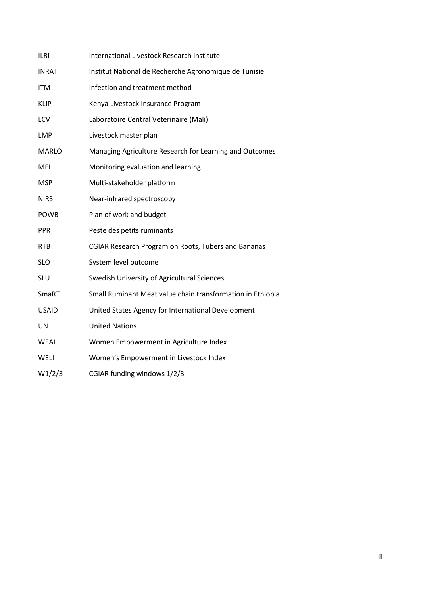| <b>ILRI</b>  | International Livestock Research Institute                 |  |  |  |  |  |
|--------------|------------------------------------------------------------|--|--|--|--|--|
| <b>INRAT</b> | Institut National de Recherche Agronomique de Tunisie      |  |  |  |  |  |
| <b>ITM</b>   | Infection and treatment method                             |  |  |  |  |  |
| <b>KLIP</b>  | Kenya Livestock Insurance Program                          |  |  |  |  |  |
| LCV          | Laboratoire Central Veterinaire (Mali)                     |  |  |  |  |  |
| <b>LMP</b>   | Livestock master plan                                      |  |  |  |  |  |
| <b>MARLO</b> | Managing Agriculture Research for Learning and Outcomes    |  |  |  |  |  |
| <b>MEL</b>   | Monitoring evaluation and learning                         |  |  |  |  |  |
| <b>MSP</b>   | Multi-stakeholder platform                                 |  |  |  |  |  |
| <b>NIRS</b>  | Near-infrared spectroscopy                                 |  |  |  |  |  |
| <b>POWB</b>  | Plan of work and budget                                    |  |  |  |  |  |
| <b>PPR</b>   | Peste des petits ruminants                                 |  |  |  |  |  |
| <b>RTB</b>   | <b>CGIAR Research Program on Roots, Tubers and Bananas</b> |  |  |  |  |  |
| <b>SLO</b>   | System level outcome                                       |  |  |  |  |  |
| SLU          | Swedish University of Agricultural Sciences                |  |  |  |  |  |
| SmaRT        | Small Ruminant Meat value chain transformation in Ethiopia |  |  |  |  |  |
| <b>USAID</b> | United States Agency for International Development         |  |  |  |  |  |
| UN           | <b>United Nations</b>                                      |  |  |  |  |  |
| <b>WEAI</b>  | Women Empowerment in Agriculture Index                     |  |  |  |  |  |
| WELI         | Women's Empowerment in Livestock Index                     |  |  |  |  |  |
| W1/2/3       | CGIAR funding windows 1/2/3                                |  |  |  |  |  |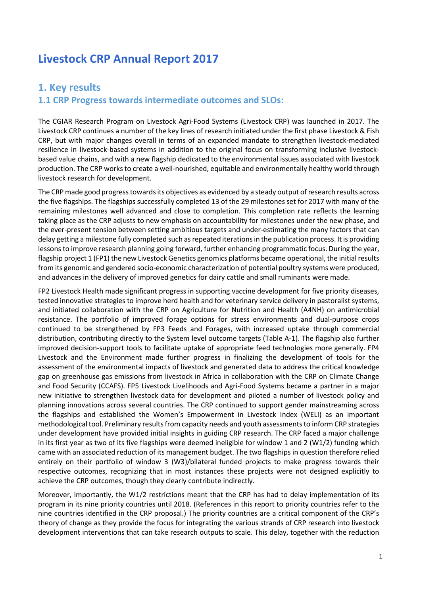# **Livestock CRP Annual Report 2017**

# **1. Key results**

#### **1.1 CRP Progress towards intermediate outcomes and SLOs:**

The CGIAR Research Program on Livestock Agri-Food Systems (Livestock CRP) was launched in 2017. The Livestock CRP continues a number of the key lines of research initiated under the first phase Livestock & Fish CRP, but with major changes overall in terms of an expanded mandate to strengthen livestock-mediated resilience in livestock-based systems in addition to the original focus on transforming inclusive livestockbased value chains, and with a new flagship dedicated to the environmental issues associated with livestock production. The CRP works to create a well-nourished, equitable and environmentally healthy world through livestock research for development.

The CRP made good progress towards its objectives as evidenced by a steady output of research results across the five flagships. The flagships successfully completed 13 of the 29 milestones set for 2017 with many of the remaining milestones well advanced and close to completion. This completion rate reflects the learning taking place as the CRP adjusts to new emphasis on accountability for milestones under the new phase, and the ever-present tension between setting ambitious targets and under-estimating the many factors that can delay getting a milestone fully completed such as repeated iterations in the publication process. It is providing lessons to improve research planning going forward, further enhancing programmatic focus. During the year, flagship project 1 (FP1) the new Livestock Genetics genomics platforms became operational, the initial results from its genomic and gendered socio-economic characterization of potential poultry systems were produced, and advances in the delivery of improved genetics for dairy cattle and small ruminants were made.

FP2 Livestock Health made significant progress in supporting vaccine development for five priority diseases, tested innovative strategies to improve herd health and for veterinary service delivery in pastoralist systems, and initiated collaboration with the CRP on Agriculture for Nutrition and Health (A4NH) on antimicrobial resistance. The portfolio of improved forage options for stress environments and dual-purpose crops continued to be strengthened by FP3 Feeds and Forages, with increased uptake through commercial distribution, contributing directly to the System level outcome targets (Table A-1). The flagship also further improved decision-support tools to facilitate uptake of appropriate feed technologies more generally. FP4 Livestock and the Environment made further progress in finalizing the development of tools for the assessment of the environmental impacts of livestock and generated data to address the critical knowledge gap on greenhouse gas emissions from livestock in Africa in collaboration with the CRP on Climate Change and Food Security (CCAFS). FP5 Livestock Livelihoods and Agri-Food Systems became a partner in a major new initiative to strengthen livestock data for development and piloted a number of livestock policy and planning innovations across several countries. The CRP continued to support gender mainstreaming across the flagships and established the Women's Empowerment in Livestock Index (WELI) as an important methodological tool. Preliminary results from capacity needs and youth assessments to inform CRP strategies under development have provided initial insights in guiding CRP research. The CRP faced a major challenge in its first year as two of its five flagships were deemed ineligible for window 1 and 2 (W1/2) funding which came with an associated reduction of its management budget. The two flagships in question therefore relied entirely on their portfolio of window 3 (W3)/bilateral funded projects to make progress towards their respective outcomes, recognizing that in most instances these projects were not designed explicitly to achieve the CRP outcomes, though they clearly contribute indirectly.

Moreover, importantly, the W1/2 restrictions meant that the CRP has had to delay implementation of its program in its nine priority countries until 2018. (References in this report to priority countries refer to the nine countries identified in the CRP proposal.) The priority countries are a critical component of the CRP's theory of change as they provide the focus for integrating the various strands of CRP research into livestock development interventions that can take research outputs to scale. This delay, together with the reduction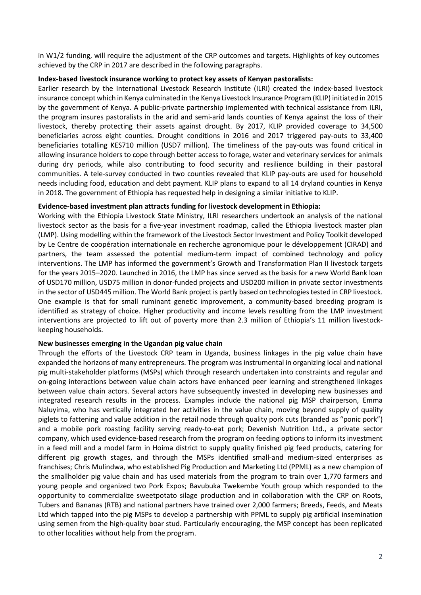in W1/2 funding, will require the adjustment of the CRP outcomes and targets. Highlights of key outcomes achieved by the CRP in 2017 are described in the following paragraphs.

#### **Index-based livestock insurance working to protect key assets of Kenyan pastoralists:**

Earlier research by the International Livestock Research Institute (ILRI) created the index-based livestock insurance concept which in Kenya culminated in the Kenya Livestock Insurance Program (KLIP) initiated in 2015 by the government of Kenya. A public-private partnership implemented with technical assistance from ILRI, the program insures pastoralists in the arid and semi-arid lands counties of Kenya against the loss of their livestock, thereby protecting their assets against drought. By 2017, KLIP provided coverage to 34,500 beneficiaries across eight counties. Drought conditions in 2016 and 2017 triggered pay-outs to 33,400 beneficiaries totalling KES710 million (USD7 million). The timeliness of the pay-outs was found critical in allowing insurance holders to cope through better access to forage, water and veterinary services for animals during dry periods, while also contributing to food security and resilience building in their pastoral communities. A tele-survey conducted in two counties revealed that KLIP pay-outs are used for household needs including food, education and debt payment. KLIP plans to expand to all 14 dryland counties in Kenya in 2018. The government of Ethiopia has requested help in designing a similar initiative to KLIP.

#### **Evidence-based investment plan attracts funding for livestock development in Ethiopia:**

Working with the Ethiopia Livestock State Ministry, ILRI researchers undertook an analysis of the national livestock sector as the basis for a five-year investment roadmap, called the Ethiopia livestock master plan (LMP). Using modelling within the framework of the Livestock Sector Investment and Policy Toolkit developed by Le Centre de coopération internationale en recherche agronomique pour le développement (CIRAD) and partners, the team assessed the potential medium-term impact of combined technology and policy interventions. The LMP has informed the government's Growth and Transformation Plan II livestock targets for the years 2015–2020. Launched in 2016, the LMP has since served as the basis for a new World Bank loan of USD170 million, USD75 million in donor-funded projects and USD200 million in private sector investments in the sector of USD445 million. The World Bank project is partly based on technologies tested in CRP livestock. One example is that for small ruminant genetic improvement, a community-based breeding program is identified as strategy of choice. Higher productivity and income levels resulting from the LMP investment interventions are projected to lift out of poverty more than 2.3 million of Ethiopia's 11 million livestockkeeping households.

#### **New businesses emerging in the Ugandan pig value chain**

Through the efforts of the Livestock CRP team in Uganda, business linkages in the pig value chain have expanded the horizons of many entrepreneurs. The program was instrumental in organizing local and national pig multi-stakeholder platforms (MSPs) which through research undertaken into constraints and regular and on-going interactions between value chain actors have enhanced peer learning and strengthened linkages between value chain actors. Several actors have subsequently invested in developing new businesses and integrated research results in the process. Examples include the national pig MSP chairperson, Emma Naluyima, who has vertically integrated her activities in the value chain, moving beyond supply of quality piglets to fattening and value addition in the retail node through quality pork cuts (branded as "ponic pork") and a mobile pork roasting facility serving ready-to-eat pork; Devenish Nutrition Ltd., a private sector company, which used evidence-based research from the program on feeding options to inform its investment in a feed mill and a model farm in Hoima district to supply quality finished pig feed products, catering for different pig growth stages, and through the MSPs identified small-and medium-sized enterprises as franchises; Chris Mulindwa, who established Pig Production and Marketing Ltd (PPML) as a new champion of the smallholder pig value chain and has used materials from the program to train over 1,770 farmers and young people and organized two Pork Expos; Bavubuka Twekembe Youth group which responded to the opportunity to commercialize sweetpotato silage production and in collaboration with the CRP on Roots, Tubers and Bananas (RTB) and national partners have trained over 2,000 farmers; Breeds, Feeds, and Meats Ltd which tapped into the pig MSPs to develop a partnership with PPML to supply pig artificial insemination using semen from the high-quality boar stud. Particularly encouraging, the MSP concept has been replicated to other localities without help from the program.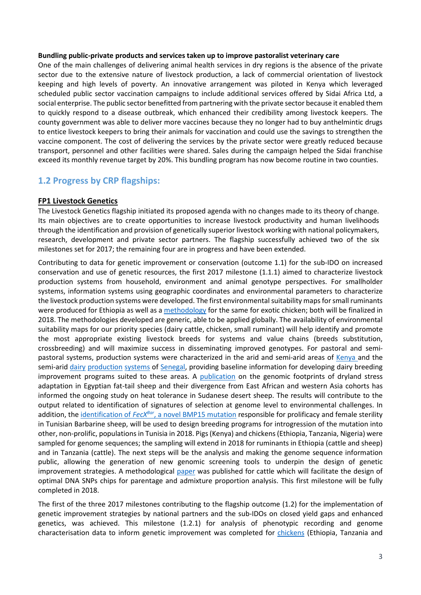#### **Bundling public-private products and services taken up to improve pastoralist veterinary care**

One of the main challenges of delivering animal health services in dry regions is the absence of the private sector due to the extensive nature of livestock production, a lack of commercial orientation of livestock keeping and high levels of poverty. An innovative arrangement was piloted in Kenya which leveraged scheduled public sector vaccination campaigns to include additional services offered by Sidai Africa Ltd, a social enterprise. The public sector benefitted from partnering with the private sector because it enabled them to quickly respond to a disease outbreak, which enhanced their credibility among livestock keepers. The county government was able to deliver more vaccines because they no longer had to buy anthelmintic drugs to entice livestock keepers to bring their animals for vaccination and could use the savings to strengthen the vaccine component. The cost of delivering the services by the private sector were greatly reduced because transport, personnel and other facilities were shared. Sales during the campaign helped the Sidai franchise exceed its monthly revenue target by 20%. This bundling program has now become routine in two counties.

#### **1.2 Progress by CRP flagships:**

#### **FP1 Livestock Genetics**

The Livestock Genetics flagship initiated its proposed agenda with no changes made to its theory of change. Its main objectives are to create opportunities to increase livestock productivity and human livelihoods through the identification and provision of genetically superior livestock working with national policymakers, research, development and private sector partners. The flagship successfully achieved two of the six milestones set for 2017; the remaining four are in progress and have been extended.

Contributing to data for genetic improvement or conservation (outcome 1.1) for the sub-IDO on increased conservation and use of genetic resources, the first 2017 milestone (1.1.1) aimed to characterize livestock production systems from household, environment and animal genotype perspectives. For smallholder systems, information systems using geographic coordinates and environmental parameters to characterize the livestock production systems were developed. The first environmental suitability maps for small ruminants were produced for Ethiopia as well as a [methodology](http://www.wcgalp.org/system/files/proceedings/2018/understanding-effect-environmental-conditions-suitability-breed-different-agro-ecological-zones.pdf) for the same for exotic chicken; both will be finalized in 2018. The methodologies developed are generic, able to be applied globally. The availability of environmental suitability maps for our priority species (dairy cattle, chicken, small ruminant) will help identify and promote the most appropriate existing livestock breeds for systems and value chains (breeds substitution, crossbreeding) and will maximize success in disseminating improved genotypes. For pastoral and semi-pastoral systems, production systems were characterized in the arid and semi-arid areas of [Kenya](http://hdl.handle.net/10568/90572) and the semi-ari[d dairy](http://hdl.handle.net/10568/88993) [production](http://hdl.handle.net/10568/78106) [systems](http://hdl.handle.net/10568/91184) of [Senegal,](https://eventmobi.com/isag/companies/259457/503904) providing baseline information for developing dairy breeding improvement programs suited to these areas. A [publication](https://www.nature.com/articles/s41598-017-17775-3) on the genomic footprints of dryland stress adaptation in Egyptian fat-tail sheep and their divergence from East African and western Asia cohorts has informed the ongoing study on heat tolerance in Sudanese desert sheep. The results will contribute to the output related to identification of signatures of selection at genome level to environmental challenges. In addition, the identification of *FecX<sup>Bar</sup>*[, a novel BMP15 mutation](https://www.ncbi.nlm.nih.gov/pmc/articles/PMC5433003/) responsible for prolificacy and female sterility in Tunisian Barbarine sheep, will be used to design breeding programs for introgression of the mutation into other, non-prolific, populations in Tunisia in 2018. Pigs (Kenya) and chickens (Ethiopia, Tanzania, Nigeria) were sampled for genome sequences; the sampling will extend in 2018 for ruminants in Ethiopia (cattle and sheep) and in Tanzania (cattle). The next steps will be the analysis and making the genome sequence information public, allowing the generation of new genomic screening tools to underpin the design of genetic improvement strategies. A methodological [paper](https://www.ncbi.nlm.nih.gov/pubmed/28899355) was published for cattle which will facilitate the design of optimal DNA SNPs chips for parentage and admixture proportion analysis. This first milestone will be fully completed in 2018.

The first of the three 2017 milestones contributing to the flagship outcome (1.2) for the implementation of genetic improvement strategies by national partners and the sub-IDOs on closed yield gaps and enhanced genetics, was achieved. This milestone (1.2.1) for analysis of phenotypic recording and genome characterisation data to inform genetic improvement was completed for [chickens](http://hdl.handle.net/10568/96140) (Ethiopia, Tanzania and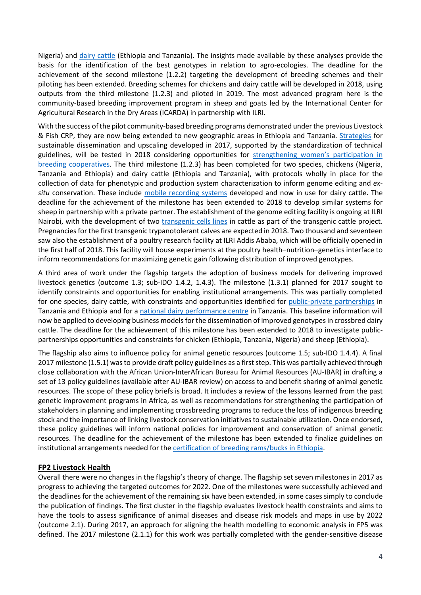Nigeria) and [dairy cattle](http://hdl.handle.net/10568/96139) (Ethiopia and Tanzania). The insights made available by these analyses provide the basis for the identification of the best genotypes in relation to agro-ecologies. The deadline for the achievement of the second milestone (1.2.2) targeting the development of breeding schemes and their piloting has been extended. Breeding schemes for chickens and dairy cattle will be developed in 2018, using outputs from the third milestone (1.2.3) and piloted in 2019. The most advanced program here is the community-based breeding improvement program in sheep and goats led by the International Center for Agricultural Research in the Dry Areas (ICARDA) in partnership with ILRI.

With the success of the pilot community-based breeding programs demonstrated under the previous Livestock & Fish CRP, they are now being extended to new geographic areas in Ethiopia and Tanzania. [Strategies](http://hdl.handle.net/10568/96129) for sustainable dissemination and upscaling developed in 2017, supported by the standardization of technical guidelines, will be tested in 2018 considering opportunities for [strengthening women's participation in](http://hdl.handle.net/10568/96130)  [breeding cooperatives.](http://hdl.handle.net/10568/96130) The third milestone (1.2.3) has been completed for two species, chickens (Nigeria, Tanzania and Ethiopia) and dairy cattle (Ethiopia and Tanzania), with protocols wholly in place for the collection of data for phenotypic and production system characterization to inform genome editing and *exsitu* conservation. These include [mobile recording systems](http://hdl.handle.net/10568/89115) developed and now in use for dairy cattle. The deadline for the achievement of the milestone has been extended to 2018 to develop similar systems for sheep in partnership with a private partner. The establishment of the genome editing facility is ongoing at ILRI Nairobi, with the development of two [transgenic cells lines](http://hdl.handle.net/10568/91999) in cattle as part of the transgenic cattle project. Pregnancies for the first transgenic trypanotolerant calves are expected in 2018. Two thousand and seventeen saw also the establishment of a poultry research facility at ILRI Addis Ababa, which will be officially opened in the first half of 2018. This facility will house experiments at the poultry health–nutrition–genetics interface to inform recommendations for maximizing genetic gain following distribution of improved genotypes.

A third area of work under the flagship targets the adoption of business models for delivering improved livestock genetics (outcome 1.3; sub-IDO 1.4.2, 1.4.3). The milestone (1.3.1) planned for 2017 sought to identify constraints and opportunities for enabling institutional arrangements. This was partially completed for one species, dairy cattle, with constraints and opportunities identified for [public-private partnerships](http://hdl.handle.net/10568/73292) in Tanzania and Ethiopia and for [a national dairy performance centre](http://hdl.handle.net/10568/81352) in Tanzania. This baseline information will now be applied to developing business models for the dissemination of improved genotypes in crossbred dairy cattle. The deadline for the achievement of this milestone has been extended to 2018 to investigate publicpartnerships opportunities and constraints for chicken (Ethiopia, Tanzania, Nigeria) and sheep (Ethiopia).

The flagship also aims to influence policy for animal genetic resources (outcome 1.5; sub-IDO 1.4.4). A final 2017 milestone (1.5.1) was to provide draft policy guidelines as a first step. This was partially achieved through close collaboration with the African Union-InterAfrican Bureau for Animal Resources (AU-IBAR) in drafting a set of 13 policy guidelines (available after AU-IBAR review) on access to and benefit sharing of animal genetic resources. The scope of these policy briefs is broad. It includes a review of the lessons learned from the past genetic improvement programs in Africa, as well as recommendations for strengthening the participation of stakeholders in planning and implementing crossbreeding programs to reduce the loss of indigenous breeding stock and the importance of linking livestock conservation initiatives to sustainable utilization. Once endorsed, these policy guidelines will inform national policies for improvement and conservation of animal genetic resources. The deadline for the achievement of the milestone has been extended to finalize guidelines on institutional arrangements needed for the [certification of breeding rams/bucks in Ethiopia.](http://hdl.handle.net/10568/96128)

#### **FP2 Livestock Health**

Overall there were no changes in the flagship's theory of change. The flagship set seven milestones in 2017 as progress to achieving the targeted outcomes for 2022. One of the milestones were successfully achieved and the deadlines for the achievement of the remaining six have been extended, in some cases simply to conclude the publication of findings. The first cluster in the flagship evaluates livestock health constraints and aims to have the tools to assess significance of animal diseases and disease risk models and maps in use by 2022 (outcome 2.1). During 2017, an approach for aligning the health modelling to economic analysis in FP5 was defined. The 2017 milestone (2.1.1) for this work was partially completed with the gender-sensitive disease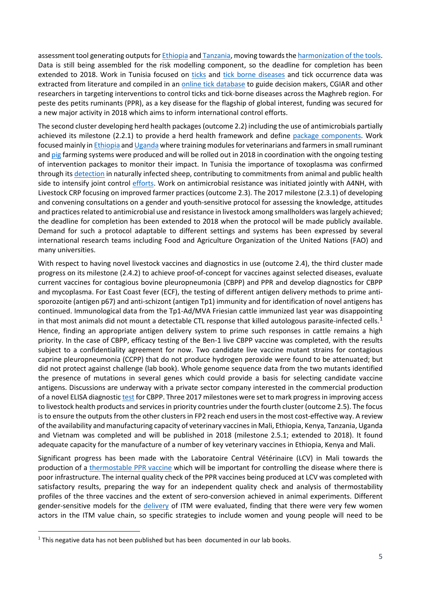assessment tool generating outputs fo[r Ethiopia](http://hdl.handle.net/10568/89008) and [Tanzania,](http://hdl.handle.net/10568/90140) moving towards the harmonization of the tools. Data is still being assembled for the risk modelling component, so the deadline for completion has been extended to 2018. Work in Tunisia focused on [ticks](http://hdl.handle.net/10568/92899) and [tick borne diseases](https://onlinelibrary.wiley.com/doi/10.1111/tbed.12725) and tick occurrence data was extracted from literature and compiled in an [online tick database](http://hdl.handle.net/10568/92899) to guide decision makers, CGIAR and other researchers in targeting interventions to control ticks and tick-borne diseases across the Maghreb region. For peste des petits ruminants (PPR), as a key disease for the flagship of global interest, funding was secured for a new major activity in 2018 which aims to inform international control efforts.

The second cluster developing herd health packages (outcome 2.2) including the use of antimicrobials partially achieved its milestone (2.2.1) to provide a herd health framework and define [package components.](https://livestockfish.cgiar.org/2017/05/18/ethiopia-small-ruminant-project-stakeholders-plan-and-prioritize-2017-18-interventions/) Work focused mainly i[n Ethiopia](https://livestockfish.cgiar.org/2017/03/21/ethiopia-health-training/) an[d Uganda](http://hdl.handle.net/10568/82665) where training modules for veterinarians and farmers in small ruminant and [pig](http://hdl.handle.net/10568/80381) farming systems were produced and will be rolled out in 2018 in coordination with the ongoing testing of intervention packages to monitor their impact. In Tunisia the importance of toxoplasma was confirmed through its [detection](https://onlinelibrary.wiley.com/doi/10.1002/vms3.53) in naturally infected sheep, contributing to commitments from animal and public health side to intensify joint control [efforts.](http://www.icarda.org/update/tunisia-seeking-unified-action-mitigate-risk-toxoplasmosis) Work on antimicrobial resistance was initiated jointly with A4NH, with Livestock CRP focusing on improved farmer practices (outcome 2.3). The 2017 milestone (2.3.1) of developing and convening consultations on a gender and youth-sensitive protocol for assessing the knowledge, attitudes and practices related to antimicrobial use and resistance in livestock among smallholders was largely achieved; the deadline for completion has been extended to 2018 when the protocol will be made publicly available. Demand for such a protocol adaptable to different settings and systems has been expressed by several international research teams including Food and Agriculture Organization of the United Nations (FAO) and many universities.

With respect to having novel livestock vaccines and diagnostics in use (outcome 2.4), the third cluster made progress on its milestone (2.4.2) to achieve proof-of-concept for vaccines against selected diseases, evaluate current vaccines for contagious bovine pleuropneumonia (CBPP) and PPR and develop diagnostics for CBPP and mycoplasma. For East Coast fever (ECF), the testing of different antigen delivery methods to prime antisporozoite (antigen p67) and anti-schizont (antigen Tp1) immunity and for identification of novel antigens has continued. Immunological data from the Tp1-Ad/MVA Friesian cattle immunized last year was disappointing in that most animals did not mount a detectable CTL response that killed autologous parasite-infected cells.<sup>[1](#page-8-0)</sup> Hence, finding an appropriate antigen delivery system to prime such responses in cattle remains a high priority. In the case of CBPP, efficacy testing of the Ben-1 live CBPP vaccine was completed, with the results subject to a confidentiality agreement for now. Two candidate live vaccine mutant strains for contagious caprine pleuropneumonia (CCPP) that do not produce hydrogen peroxide were found to be attenuated; but did not protect against challenge (lab book). Whole genome sequence data from the two mutants identified the presence of mutations in several genes which could provide a basis for selecting candidate vaccine antigens. Discussions are underway with a private sector company interested in the commercial production of a novel ELISA diagnostic [test](https://www.ncbi.nlm.nih.gov/pubmed/27053669) for CBPP. Three 2017 milestones were set to mark progress in improving access to livestock health products and servicesin priority countries under the fourth cluster (outcome 2.5). The focus is to ensure the outputs from the other clusters in FP2 reach end users in the most cost-effective way. A review of the availability and manufacturing capacity of veterinary vaccines in Mali, Ethiopia, Kenya, Tanzania, Uganda and Vietnam was completed and will be published in 2018 (milestone 2.5.1; extended to 2018). It found adequate capacity for the manufacture of a number of key veterinary vaccines in Ethiopia, Kenya and Mali.

Significant progress has been made with the Laboratoire Central Vétérinaire (LCV) in Mali towards the production of a [thermostable PPR vaccine](http://hdl.handle.net/10568/90676) which will be important for controlling the disease where there is poor infrastructure. The internal quality check of the PPR vaccines being produced at LCV was completed with satisfactory results, preparing the way for an independent quality check and analysis of thermostability profiles of the three vaccines and the extent of sero-conversion achieved in animal experiments. Different gender-sensitive models for the [delivery](http://ilri-itm2scale.wikispaces.com/) of ITM were evaluated, finding that there were very few women actors in the ITM value chain, so specific strategies to include women and young people will need to be

<span id="page-8-0"></span> $1$  This negative data has not been published but has been documented in our lab books.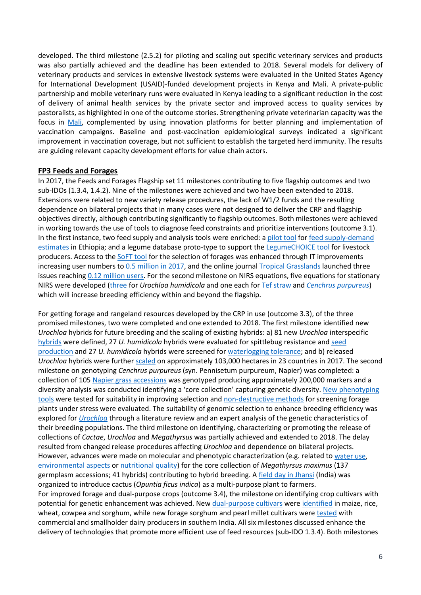developed. The third milestone (2.5.2) for piloting and scaling out specific veterinary services and products was also partially achieved and the deadline has been extended to 2018. Several models for delivery of veterinary products and services in extensive livestock systems were evaluated in the United States Agency for International Development (USAID)-funded development projects in Kenya and Mali. A private-public partnership and mobile veterinary runs were evaluated in Kenya leading to a significant reduction in the cost of delivery of animal health services by the private sector and improved access to quality services by pastoralists, as highlighted in one of the outcome stories. Strengthening private veterinarian capacity was the focus in [Mali,](http://hdl.handle.net/10568/83019) complemented by using innovation platforms for better planning and implementation of vaccination campaigns. Baseline and post-vaccination epidemiological surveys indicated a significant improvement in vaccination coverage, but not sufficient to establish the targeted herd immunity. The results are guiding relevant capacity development efforts for value chain actors.

#### **FP3 Feeds and Forages**

In 2017, the Feeds and Forages Flagship set 11 milestones contributing to five flagship outcomes and two sub-IDOs (1.3.4, 1.4.2). Nine of the milestones were achieved and two have been extended to 2018. Extensions were related to new variety release procedures, the lack of W1/2 funds and the resulting dependence on bilateral projects that in many cases were not designed to deliver the CRP and flagship objectives directly, although contributing significantly to flagship outcomes. Both milestones were achieved in working towards the use of tools to diagnose feed constraints and prioritize interventions (outcome 3.1). In the first instance, two feed supply and analysis tools were enriched: a [pilot tool](https://livestock.cgiar.org/2017/08/17/feedbase-tool-for-ethiopia/) for [feed supply-demand](https://www.dropbox.com/s/9wnsn3e385f4tvm/Link%201%20Revised%20manuscript%20of%20Feedbase-Ethiopia-1%20%28003%29.docx?dl=0)  [estimates](https://www.dropbox.com/s/9wnsn3e385f4tvm/Link%201%20Revised%20manuscript%20of%20Feedbase-Ethiopia-1%20%28003%29.docx?dl=0) in Ethiopia; and a legume database proto-type to support th[e LegumeCHOICE tool](https://www.ilri.org/download-legume-choice) for livestock producers. Access to the [SoFT tool](http://www.tropicalforages.info/) for the selection of forages was enhanced through IT improvements increasing user numbers to 0.5 million [in 2017,](https://www.dropbox.com/s/m99dhkwrq5np7zy/Report%20SoFT%202017.pdf?dl=0) and the online journal [Tropical Grasslands](http://www.tropicalgrasslands.info/) launched three issues reaching 0.12 [million](https://www.dropbox.com/s/vkkzg8d6rlvzst5/Report%20TGFT_2013-2017.pdf?dl=0) users. For the second milestone on NIRS equations, five equations for stationary NIRS were developed [\(three](https://www.dropbox.com/s/hcnhc7e0dl9cm1c/1_F%26F%203.1%2C%20Sub-activity%20code%203.1.2_New%20equations%20for%20stationary%20and%20mobile%20NIRS.docx?dl=0) for *Urochloa humidicola* and one each for [Tef straw](https://www.dropbox.com/s/tujxutklpqdzim1/ILRI_Hyderabad_NIRS%205000_Teffgrass.eqa?dl=0) and *[Cenchrus purpureus](https://www.dropbox.com/s/98lsqn864gefhww/ILRI_Hyderabad_NIRS%205000_Napiergrass.eqa?dl=0)*) which will increase breeding efficiency within and beyond the flagship.

For getting forage and rangeland resources developed by the CRP in use (outcome 3.3), of the three promised milestones, two were completed and one extended to 2018. The first milestone identified new *Urochloa* hybrids for future breeding and the scaling of existing hybrids: a) 81 new *Urochloa* interspecific [hybrids](https://www.dropbox.com/s/58kzgf9j6j1gxtv/2_F%26F%203.2%2C%20Sub-activity%20code%203.2.1_ListOfDefinedHybrids.docx?dl=0) were defined, 27 *U. humidicola* hybrids were evaluated for spittlebug resistance an[d seed](https://www.dropbox.com/s/8klyf0xd1uxnw6j/Annex%201%20-%20FinalReport_Output2.pdf?dl=0)  [production](https://www.dropbox.com/s/8klyf0xd1uxnw6j/Annex%201%20-%20FinalReport_Output2.pdf?dl=0) and 27 *U. humidicola* hybrids were screened for [waterlogging tolerance;](https://www.dropbox.com/s/szit9jrl9pc2wwq/1.pptx?dl=0) and b) released *Urochloa* hybrids were further [scaled](https://www.dropbox.com/s/f7i5ma4wiipx80y/Seed%20Sales%20Brachiaria%20Hybrids_CIAT_2017.xlsx?dl=0) on approximately 103,000 hectares in 23 countries in 2017. The second milestone on genotyping *Cenchrus purpureus* (syn. Pennisetum purpureum, Napier) was completed: a collection of 105 Napier [grass accessions](http://hdl.handle.net/10568/92910) was genotyped producing approximately 200,000 markers and a diversity analysis was conducted identifying a 'core collection' capturing genetic diversity. New phenotyping [tools](https://www.dropbox.com/s/yfw4fjzzncj9eq4/5_F%26F%203.2%2C%20Sub-activity%20code%203.2.3_ExploringPhenotyping.pptx?dl=0) were tested for suitability in improving selection an[d non-destructive methods](https://www.frontiersin.org/articles/10.3389/fpls.2017.00167/full) for screening forage plants under stress were evaluated. The suitability of genomic selection to enhance breeding efficiency was explored for *[Urochloa](https://www.dropbox.com/s/ilojmb42uqtmtii/5_F%26F%203.2%2C%20Sub-activity%20code%203.2.3_ExploringGenomicSelectionBrachiaria.pptx?dl=0)* through a literature review and an expert analysis of the genetic characteristics of their breeding populations. The third milestone on identifying, characterizing or promoting the release of collections of *Cactae*, *Urochloa* and *Megathyrsus* was partially achieved and extended to 2018. The delay resulted from changed release procedures affecting *Urochloa* and dependence on bilateral projects. However, advances were made on molecular and phenotypic characterization (e.g. related to [water use,](https://www.dropbox.com/s/y021atigd50flw0/8_F%26F%203.2%2C%20Sub-activity%20code%203.2.4_CharacterizationPanicum_JuanAC.pptx?dl=0) [environmental aspects](http://hdl.handle.net/10568/90967) or [nutritional quality\)](https://www.dropbox.com/s/myvwydu9ufrmhb8/8_Caracterizaci%C3%B3n%20fenot%C3%ADpica%20de%20Panicum_JCarvajal.pptx?dl=0) for the core collection of *Megathyrsus maximus* (137 germplasm accessions; 41 hybrids) contributing to hybrid breeding. A [field day in Jhansi](http://hdl.handle.net/20.500.11766/8281) (India) was organized to introduce cactus (*Opuntia ficus indica*) as a multi-purpose plant to farmers. For improved forage and dual-purpose crops (outcome 3.4), the milestone on identifying crop cultivars with potential for genetic enhancement was achieved. New [dual-purpose](https://www.dropbox.com/s/jeqkwspx9xb355i/Link%203%20CHAPTER_DUALPURPOSE_June%202018.docx?dl=0) [cultivars](https://www.dropbox.com/s/1ypnq651btzvrum/Link%204%20SI%20Proposal%20Final%2024%207%202017.docx?dl=0) were [identified](http://hdl.handle.net/10568/96127) in maize, rice, wheat, cowpea and sorghum, while new forage sorghum and pearl millet cultivars were [tested](http://hdl.handle.net/10568/96127) with commercial and smallholder dairy producers in southern India. All six milestones discussed enhance the delivery of technologies that promote more efficient use of feed resources (sub-IDO 1.3.4). Both milestones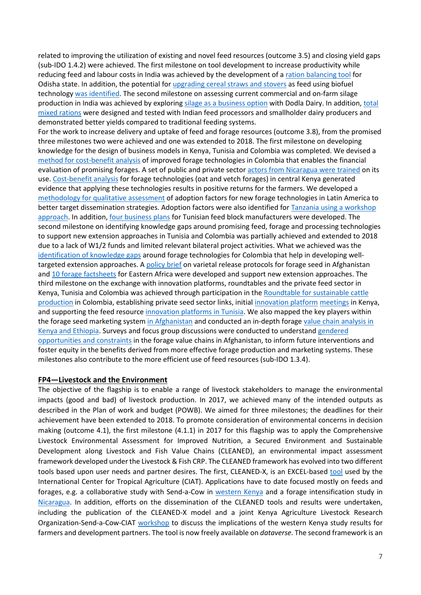related to improving the utilization of existing and novel feed resources (outcome 3.5) and closing yield gaps (sub-IDO 1.4.2) were achieved. The first milestone on tool development to increase productivity while reducing feed and labour costs in India was achieved by the development of a [ration balancing tool](https://my.pcloud.com/publink/show?code=kZNuAf7ZPmqycAniT4ff6bg3M1EhP7Qo5CTy) for Odisha state. In addition, the potential fo[r upgrading cereal straws and stovers](https://dx.doi.org/10.1016/j.anifeedsci.2017.12.016) as feed using biofuel technology [was identified.](https://www.dropbox.com/s/wt8icft11hrelvp/Link%208%20Blummel%20XVII%20Biennial%20Animal%20Nutrition%20Conference-.pdf?dl=0) The second milestone on assessing current commercial and on-farm silage production in India was achieved by exploring [silage as a business option](http://hdl.handle.net/10568/96127) with Dodla Dairy. In addition, [total](https://www.dropbox.com/s/v8iu89txfn8om9x/Link%2010%20FINAL%20Report%20feeding%20trial%20-Vidarbha-Tumkur%20%28under%20review%29.doc?dl=0)  [mixed rations](https://www.dropbox.com/s/v8iu89txfn8om9x/Link%2010%20FINAL%20Report%20feeding%20trial%20-Vidarbha-Tumkur%20%28under%20review%29.doc?dl=0) were designed and tested with Indian feed processors and smallholder dairy producers and demonstrated better yields compared to traditional feeding systems.

For the work to increase delivery and uptake of feed and forage resources (outcome 3.8), from the promised three milestones two were achieved and one was extended to 2018. The first milestone on developing knowledge for the design of business models in Kenya, Tunisia and Colombia was completed. We devised a [method for cost-benefit analysis](https://www.dropbox.com/s/saor55b2jqhpekb/Metodolog%C3%ADa%20para%20an%C3%A1lisis%20de%20evaluaci%C3%B3n%20financiera%20de%20tecnolog%C3%ADas%20forrajeras.pdf?dl=0) of improved forage technologies in Colombia that enables the financial evaluation of promising forages. A set of public and private sector [actors from Nicaragua were trained](https://www.dropbox.com/sh/qr64lscx5sa96ht/AAAKqZ2zZnlYAssfBucVoxMxa?dl=0) on its use. [Cost-benefit analysis](https://link.springer.com/article/10.1007%2Fs11250-018-1529-3) for forage technologies (oat and vetch forages) in central Kenya generated evidence that applying these technologies results in positive returns for the farmers. We developed a [methodology for qualitative assessment](https://www.dropbox.com/s/ht45pc3a0iz9flf/Informes%20metodologias%20factores%20de%20adopci%C3%B3n.pdf?dl=0) of adoption factors for new forage technologies in Latin America to better target dissemination strategies. Adoption factors were also identified for [Tanzania using a workshop](http://hdl.handle.net/10568/89807)  [approach.](http://hdl.handle.net/10568/89807) In addition, [four business plans](http://hdl.handle.net/20.500.11766/8255) for Tunisian feed block manufacturers were developed. The second milestone on identifying knowledge gaps around promising feed, forage and processing technologies to support new extension approaches in Tunisia and Colombia was partially achieved and extended to 2018 due to a lack of W1/2 funds and limited relevant bilateral project activities. What we achieved was the [identification of knowledge gaps](https://www.dropbox.com/s/9vi56u3vwzpr1lx/Identificaci%C3%B3n%20de%20Factores%20de%20adopci%C3%B3n%20de%20tecnolog%C3%ADas.pdf?dl=0) around forage technologies for Colombia that help in developing welltargeted extension approaches. A [policy brief](http://hdl.handle.net/20.500.11766/8241) on varietal release protocols for forage seed in Afghanistan and [10 forage factsheets](http://hdl.handle.net/10568/93394) for Eastern Africa were developed and support new extension approaches. The third milestone on the exchange with innovation platforms, roundtables and the private feed sector in Kenya, Tunisia and Colombia was achieved through participation in the [Roundtable for sustainable cattle](https://www.dropbox.com/s/z5zlk1g7dejzgj5/MGS-report.pdf?dl=0)  [production](https://www.dropbox.com/s/z5zlk1g7dejzgj5/MGS-report.pdf?dl=0) in Colombia, establishing private seed sector links, initial [innovation platform](https://www.dropbox.com/s/kdy72re9ug0s54o/Annex%206%20-%20Brachiaria%20Roundtable.docx?dl=0) [meetings](https://www.dropbox.com/s/ug3445xjrxixc36/Annex%205%20-%20Fodder%20Conference%20Report.pdf?dl=0) in Kenya, and supporting the feed resource [innovation platforms in Tunisia.](http://hdl.handle.net/20.500.11766/8239) We also mapped the key players within the forage seed marketing system [in Afghanistan](https://www.icarda.org/update/improving-forage-value-chains-afghanistan) and conducted an in-depth forag[e value chain analysis in](http://hdl.handle.net/10568/93393)  [Kenya and Ethiopia.](http://hdl.handle.net/10568/93393) Surveys and focus group discussions were conducted to understand [gendered](http://hdl.handle.net/20.500.11766/8242)  [opportunities and constraints](http://hdl.handle.net/20.500.11766/8242) in the forage value chains in Afghanistan, to inform future interventions and foster equity in the benefits derived from more effective forage production and marketing systems. These milestones also contribute to the more efficient use of feed resources (sub-IDO 1.3.4).

#### **FP4—Livestock and the Environment**

The objective of the flagship is to enable a range of livestock stakeholders to manage the environmental impacts (good and bad) of livestock production. In 2017, we achieved many of the intended outputs as described in the Plan of work and budget (POWB). We aimed for three milestones; the deadlines for their achievement have been extended to 2018. To promote consideration of environmental concerns in decision making (outcome 4.1), the first milestone (4.1.1) in 2017 for this flagship was to apply the Comprehensive Livestock Environmental Assessment for Improved Nutrition, a Secured Environment and Sustainable Development along Livestock and Fish Value Chains (CLEANED), an environmental impact assessment framework developed under the Livestock & Fish CRP. The CLEANED framework has evolved into two different tools based upon user needs and partner desires. The first, CLEANED-X, is an EXCEL-based [tool](https://dataverse.harvard.edu/dataset.xhtml?persistentId=doi:10.7910/DVN/QIUJM5) used by the International Center for Tropical Agriculture (CIAT). Applications have to date focused mostly on feeds and forages, e.g. a collaborative study with Send-a-Cow in [western Kenya](https://www.dropbox.com/s/5cdyb9i5jbk15xy/SAC-CIAT%20report%20Vivien%20FINAL_2.pdf?dl=0) and a forage intensification study in [Nicaragua.](https://www.dropbox.com/s/57layazvr29irdl/CLEANED%20workshop%20report%20Nicaragua%20-%20Summary%20ENG.docx?dl=0) In addition, efforts on the dissemination of the CLEANED tools and results were undertaken, including the publication of the CLEANED-X model and a joint Kenya Agriculture Livestock Research Organization-Send-a-Cow-CIAT [workshop](http://hdl.handle.net/10568/90673) to discuss the implications of the western Kenya study results for farmers and development partners. The tool is now freely available on *dataverse*. The second framework is an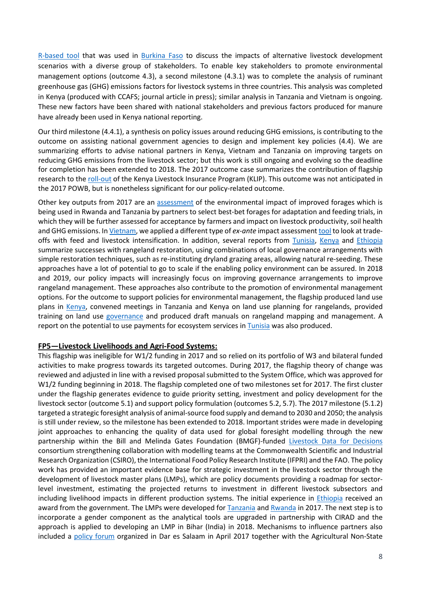[R-based tool](https://github.com/pfeiferc/CLEANED-R) that was used in [Burkina Faso](http://hdl.handle.net/10568/93069) to discuss the impacts of alternative livestock development scenarios with a diverse group of stakeholders. To enable key stakeholders to promote environmental management options (outcome 4.3), a second milestone (4.3.1) was to complete the analysis of ruminant greenhouse gas (GHG) emissions factors for livestock systems in three countries. This analysis was completed in Kenya (produced with CCAFS; journal article in press); similar analysis in Tanzania and Vietnam is ongoing. These new factors have been shared with national stakeholders and previous factors produced for manure have already been used in Kenya national reporting.

Our third milestone (4.4.1), a synthesis on policy issues around reducing GHG emissions, is contributing to the outcome on assisting national government agencies to design and implement key policies (4.4). We are summarizing efforts to advise national partners in Kenya, Vietnam and Tanzania on improving targets on reducing GHG emissions from the livestock sector; but this work is still ongoing and evolving so the deadline for completion has been extended to 2018. The 2017 outcome case summarizes the contribution of flagship research to th[e roll-out](https://ibli.ilri.org/2017/02/22/record-payouts-being-made-by-kenya-government-and-insurers-to-protect-herders-facing-historic-drought/) of the Kenya Livestock Insurance Program (KLIP). This outcome was not anticipated in the 2017 POWB, but is nonetheless significant for our policy-related outcome.

Other key outputs from 2017 are an [assessment](http://hdl.handle.net/10568/80193) of the environmental impact of improved forages which is being used in Rwanda and Tanzania by partners to select best-bet forages for adaptation and feeding trials, in which they will be further assessed for acceptance by farmers and impact on livestock productivity, soil health and GHG emissions. I[n Vietnam,](https://dataverse.harvard.edu/dataset.xhtml?persistentId=doi:10.7910/DVN/LDLJ6D) we applied a different type of *ex-ante* impact assessmen[t tool](http://hdl.handle.net/10568/79446) to look at tradeoffs with feed and livestock intensification. In addition, several reports from [Tunisia,](http://hdl.handle.net/20.500.11766/8261) [Kenya](http://hdl.handle.net/10568/91559) and [Ethiopia](http://hdl.handle.net/10568/89714) summarize successes with rangeland restoration, using combinations of local governance arrangements with simple restoration techniques, such as re-instituting dryland grazing areas, allowing natural re-seeding. These approaches have a lot of potential to go to scale if the enabling policy environment can be assured. In 2018 and 2019, our policy impacts will increasingly focus on improving governance arrangements to improve rangeland management. These approaches also contribute to the promotion of environmental management options. For the outcome to support policies for environmental management, the flagship produced land use plans in [Kenya,](http://hdl.handle.net/10568/89908) convened meetings in Tanzania and Kenya on land use planning for rangelands, provided training on land use [governance](https://livestocksystems.ilri.org/2017/06/13/beyond-secure-tenure-new-paper-explores-other-fundamentals-of-effective-landscape-level-governance-in-pastoral-systems) and produced draft manuals on rangeland mapping and management. A report on the potential to use payments for ecosystem services in [Tunisia](http://hdl.handle.net/10568/91538) was also produced.

#### **FP5—Livestock Livelihoods and Agri-Food Systems:**

This flagship was ineligible for W1/2 funding in 2017 and so relied on its portfolio of W3 and bilateral funded activities to make progress towards its targeted outcomes. During 2017, the flagship theory of change was reviewed and adjusted in line with a revised proposal submitted to the System Office, which was approved for W1/2 funding beginning in 2018. The flagship completed one of two milestones set for 2017. The first cluster under the flagship generates evidence to guide priority setting, investment and policy development for the livestock sector (outcome 5.1) and support policy formulation (outcomes 5.2, 5.7). The 2017 milestone (5.1.2) targeted a strategic foresight analysis of animal-source food supply and demand to 2030 and 2050; the analysis is still under review, so the milestone has been extended to 2018. Important strides were made in developing joint approaches to enhancing the quality of data used for global foresight modelling through the new partnership within the Bill and Melinda Gates Foundation (BMGF)-funded [Livestock Data for Decisions](https://ld4d.org/) consortium strengthening collaboration with modelling teams at the Commonwealth Scientific and Industrial Research Organization (CSIRO), the International Food Policy Research Institute (IFPRI) and the FAO. The policy work has provided an important evidence base for strategic investment in the livestock sector through the development of livestock master plans (LMPs), which are policy documents providing a roadmap for sectorlevel investment, estimating the projected returns to investment in different livestock subsectors and including livelihood impacts in different production systems. The initial experience in [Ethiopia](https://clippings.ilri.org/2017/11/23/ilri-recognized-for-contributing-to-ethiopias-livestock-sector-growth/) received an award from the government. The LMPs were developed for **Tanzania and [Rwanda](http://extwprlegs1.fao.org/docs/pdf/rwa172923.pdf) in 2017**. The next step is to incorporate a gender component as the analytical tools are upgraded in partnership with CIRAD and the approach is applied to developing an LMP in Bihar (India) in 2018. Mechanisms to influence partners also included a [policy forum](https://livestock.cgiar.org/2017/06/01/maziwa-zaidi-policy-forum/) organized in Dar es Salaam in April 2017 together with the Agricultural Non-State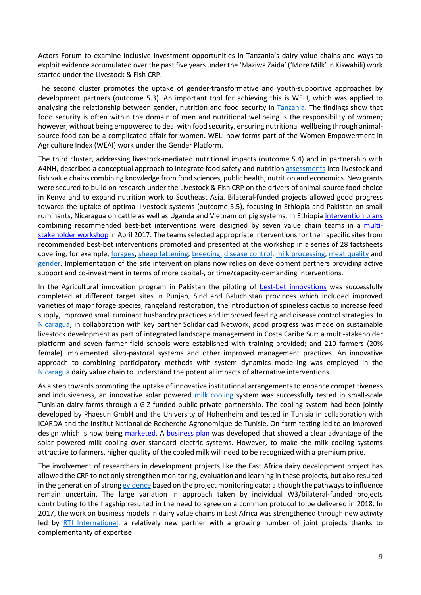Actors Forum to examine inclusive investment opportunities in Tanzania's dairy value chains and ways to exploit evidence accumulated over the past five years under the 'Maziwa Zaida' ('More Milk' in Kiswahili) work started under the Livestock & Fish CRP.

The second cluster promotes the uptake of gender-transformative and youth-supportive approaches by development partners (outcome 5.3). An important tool for achieving this is WELI, which was applied to analysing the relationship between gender, nutrition and food security in [Tanzania.](https://www.fasebj.org/doi/abs/10.1096/fasebj.31.1_supplement.455.5) The findings show that food security is often within the domain of men and nutritional wellbeing is the responsibility of women; however, without being empowered to deal with food security, ensuring nutritional wellbeing through animalsource food can be a complicated affair for women. WELI now forms part of the Women Empowerment in Agriculture Index (WEAI) work under the Gender Platform.

The third cluster, addressing livestock-mediated nutritional impacts (outcome 5.4) and in partnership with A4NH, described a conceptual approach to integrate food safety and nutritio[n assessments](http://hdl.handle.net/10568/83357) into livestock and fish value chains combining knowledge from food sciences, public health, nutrition and economics. New grants were secured to build on research under the Livestock & Fish CRP on the drivers of animal-source food choice in Kenya and to expand nutrition work to Southeast Asia. Bilateral-funded projects allowed good progress towards the uptake of optimal livestock systems (outcome 5.5), focusing in Ethiopia and Pakistan on small ruminants, Nicaragua on cattle as well as Uganda and Vietnam on pig systems. In Ethiopi[a intervention plans](http://hdl.handle.net/20.500.11766/8245) combining recommended best-bet interventions were designed by seven value chain teams in a [multi](http://cgiar-livestock.wikispaces.com/smart_ethiopia_april2017)[stakeholder workshop](http://cgiar-livestock.wikispaces.com/smart_ethiopia_april2017) in April 2017. The teams selected appropriate interventions for their specific sites from recommended best-bet interventions promoted and presented at the workshop in a series of 28 factsheets covering, for example, [forages,](http://hdl.handle.net/10568/80970) [sheep fattening,](http://hdl.handle.net/10568/80984) [breeding,](http://hdl.handle.net/10568/80979) [disease control,](http://hdl.handle.net/10568/80973) [milk processing,](http://hdl.handle.net/10568/80964) [meat quality](http://hdl.handle.net/10568/80966) and [gender.](http://hdl.handle.net/10568/80957) Implementation of the site intervention plans now relies on development partners providing active support and co-investment in terms of more capital-, or time/capacity-demanding interventions.

In the Agricultural innovation program in Pakistan the piloting of [best-bet innovations](http://hdl.handle.net/20.500.11766/8244) was successfully completed at different target sites in Punjab, Sind and Baluchistan provinces which included improved varieties of major forage species, rangeland restoration, the introduction of spineless cactus to increase feed supply, improved small ruminant husbandry practices and improved feeding and disease control strategies. In [Nicaragua,](http://livestock-fish.wikispaces.com/file/detail/INFORME%20FINAL%20LINEA%20BASE%20RACCS%2031%20OCT%20compressed.docx) in collaboration with key partner Solidaridad Network, good progress was made on sustainable livestock development as part of integrated landscape management in Costa Caribe Sur: a multi-stakeholder platform and seven farmer field schools were established with training provided; and 210 farmers (20% female) implemented silvo-pastoral systems and other improved management practices. An innovative approach to combining participatory methods with system dynamics modelling was employed in the [Nicaragua](http://hdl.handle.net/10568/83181) dairy value chain to understand the potential impacts of alternative interventions.

As a step towards promoting the uptake of innovative institutional arrangements to enhance competitiveness and inclusiveness, an innovative solar powered [milk cooling](https://www.rural21.com/english/current-issue/detail/article/solar-powered-cooling-for-enhancing-milk-value-chains-00002267/) system was successfully tested in small-scale Tunisian dairy farms through a GIZ-funded public-private partnership. The cooling system had been jointly developed by Phaesun GmbH and the University of Hohenheim and tested in Tunisia in collaboration with ICARDA and the Institut National de Recherche Agronomique de Tunisie. On-farm testing led to an improved design which is now being [marketed.](http://order.phaesun.com/index.php/kits-40892/bosskits-40949/bosskitmilkyway-46893/phaesun-boss-kit-milky-way.html) A [business plan](http://hdl.handle.net/20.500.11766/8246) was developed that showed a clear advantage of the solar powered milk cooling over standard electric systems. However, to make the milk cooling systems attractive to farmers, higher quality of the cooled milk will need to be recognized with a premium price.

The involvement of researchers in development projects like the East Africa dairy development project has allowed the CRP to not only strengthen monitoring, evaluation and learning in these projects, but also resulted in the generation of stron[g evidence](http://onlinelibrary.wiley.com/doi/10.1002/agr.21492/epdf) based on the project monitoring data; although the pathways to influence remain uncertain. The large variation in approach taken by individual W3/bilateral-funded projects contributing to the flagship resulted in the need to agree on a common protocol to be delivered in 2018. In 2017, the work on business models in dairy value chains in East Africa was strengthened through new activity led by [RTI International,](https://www.rti.org/news/rti-international-and-usaid-improve-agricultural-market-systems-and-reduce-poverty-and) a relatively new partner with a growing number of joint projects thanks to complementarity of expertise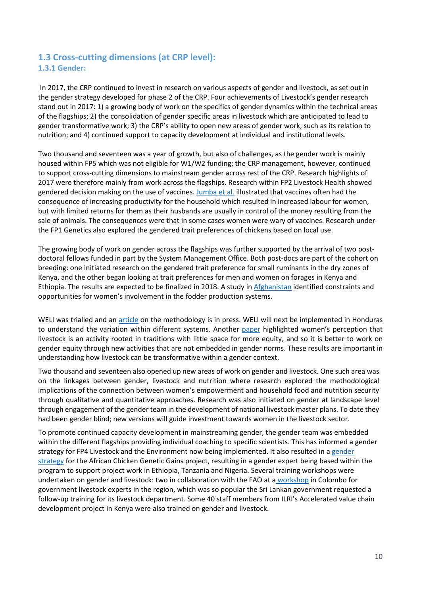## **1.3 Cross-cutting dimensions (at CRP level): 1.3.1 Gender:**

In 2017, the CRP continued to invest in research on various aspects of gender and livestock, as set out in the gender strategy developed for phase 2 of the CRP. Four achievements of Livestock's gender research stand out in 2017: 1) a growing body of work on the specifics of gender dynamics within the technical areas of the flagships; 2) the consolidation of gender specific areas in livestock which are anticipated to lead to gender transformative work; 3) the CRP's ability to open new areas of gender work, such as its relation to nutrition; and 4) continued support to capacity development at individual and institutional levels.

Two thousand and seventeen was a year of growth, but also of challenges, as the gender work is mainly housed within FP5 which was not eligible for W1/W2 funding; the CRP management, however, continued to support cross-cutting dimensions to mainstream gender across rest of the CRP. Research highlights of 2017 were therefore mainly from work across the flagships. Research within FP2 Livestock Health showed gendered decision making on the use of vaccines[. Jumba et al.](http://hdl.handle.net/10568/78655) illustrated that vaccines often had the consequence of increasing productivity for the household which resulted in increased labour for women, but with limited returns for them as their husbands are usually in control of the money resulting from the sale of animals. The consequences were that in some cases women were wary of vaccines. Research under the FP1 Genetics also explored the gendered trait preferences of chickens based on local use.

The growing body of work on gender across the flagships was further supported by the arrival of two postdoctoral fellows funded in part by the System Management Office. Both post-docs are part of the cohort on breeding: one initiated research on the gendered trait preference for small ruminants in the dry zones of Kenya, and the other began looking at trait preferences for men and women on forages in Kenya and Ethiopia. The results are expected to be finalized in 2018. A study in [Afghanistan](http://hdl.handle.net/20.500.11766/8242) identified constraints and opportunities for women's involvement in the fodder production systems.

WELI was trialled and an [article](https://link.springer.com/article/10.1007/s11205-018-1934-z) on the methodology is in press. WELI will next be implemented in Honduras to understand the variation within different systems. Another [paper](https://www.tandfonline.com/doi/abs/10.1080/09614524.2018.1451491) highlighted women's perception that livestock is an activity rooted in traditions with little space for more equity, and so it is better to work on gender equity through new activities that are not embedded in gender norms. These results are important in understanding how livestock can be transformative within a gender context.

Two thousand and seventeen also opened up new areas of work on gender and livestock. One such area was on the linkages between gender, livestock and nutrition where research explored the methodological implications of the connection between women's empowerment and household food and nutrition security through qualitative and quantitative approaches. Research was also initiated on gender at landscape level through engagement of the gender team in the development of national livestock master plans. To date they had been gender blind; new versions will guide investment towards women in the livestock sector.

To promote continued capacity development in mainstreaming gender, the gender team was embedded within the different flagships providing individual coaching to specific scientists. This has informed a gender strategy for FP4 Livestock and the Environment now being implemented. It also resulted in a gender [strategy](http://hdl.handle.net/10568/91217) for the African Chicken Genetic Gains project, resulting in a gender expert being based within the program to support project work in Ethiopia, Tanzania and Nigeria. Several training workshops were undertaken on gender and livestock: two in collaboration with the FAO at a [workshop](http://www.fao.org/ag/againfo/home/en/news_archive/2017_Gender-equality-livestock.html) in Colombo for government livestock experts in the region, which was so popular the Sri Lankan government requested a follow-up training for its livestock department. Some 40 staff members from ILRI's Accelerated value chain development project in Kenya were also trained on gender and livestock.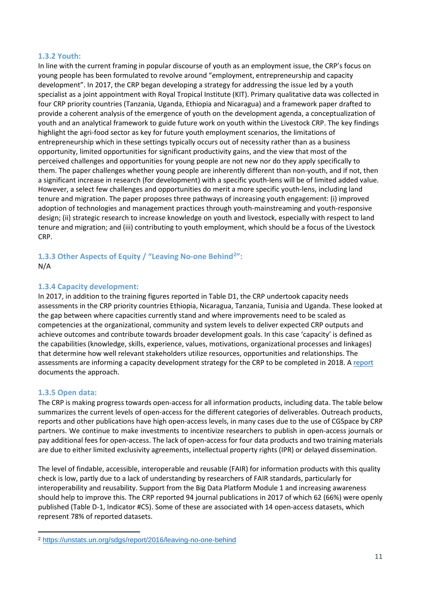#### **1.3.2 Youth:**

In line with the current framing in popular discourse of youth as an employment issue, the CRP's focus on young people has been formulated to revolve around "employment, entrepreneurship and capacity development". In 2017, the CRP began developing a strategy for addressing the issue led by a youth specialist as a joint appointment with Royal Tropical Institute (KIT). Primary qualitative data was collected in four CRP priority countries (Tanzania, Uganda, Ethiopia and Nicaragua) and a framework paper drafted to provide a coherent analysis of the emergence of youth on the development agenda, a conceptualization of youth and an analytical framework to guide future work on youth within the Livestock CRP. The key findings highlight the agri-food sector as key for future youth employment scenarios, the limitations of entrepreneurship which in these settings typically occurs out of necessity rather than as a business opportunity, limited opportunities for significant productivity gains, and the view that most of the perceived challenges and opportunities for young people are not new nor do they apply specifically to them. The paper challenges whether young people are inherently different than non-youth, and if not, then a significant increase in research (for development) with a specific youth-lens will be of limited added value. However, a select few challenges and opportunities do merit a more specific youth-lens, including land tenure and migration. The paper proposes three pathways of increasing youth engagement: (i) improved adoption of technologies and management practices through youth-mainstreaming and youth-responsive design; (ii) strategic research to increase knowledge on youth and livestock, especially with respect to land tenure and migration; and (iii) contributing to youth employment, which should be a focus of the Livestock CRP.

#### **1.3.3 Other Aspects of Equity / "Leaving No-one Behind[2](#page-14-0)":** N/A

#### **1.3.4 Capacity development:**

In 2017, in addition to the training figures reported in Table D1, the CRP undertook capacity needs assessments in the CRP priority countries Ethiopia, Nicaragua, Tanzania, Tunisia and Uganda. These looked at the gap between where capacities currently stand and where improvements need to be scaled as competencies at the organizational, community and system levels to deliver expected CRP outputs and achieve outcomes and contribute towards broader development goals. In this case 'capacity' is defined as the capabilities (knowledge, skills, experience, values, motivations, organizational processes and linkages) that determine how well relevant stakeholders utilize resources, opportunities and relationships. The assessments are informing a capacity development strategy for the CRP to be completed in 2018. A [report](http://hdl.handle.net/10568/92426) documents the approach.

#### **1.3.5 Open data:**

-

The CRP is making progress towards open-access for all information products, including data. The table below summarizes the current levels of open-access for the different categories of deliverables. Outreach products, reports and other publications have high open-access levels, in many cases due to the use of CGSpace by CRP partners. We continue to make investments to incentivize researchers to publish in open-access journals or pay additional fees for open-access. The lack of open-access for four data products and two training materials are due to either limited exclusivity agreements, intellectual property rights (IPR) or delayed dissemination.

The level of findable, accessible, interoperable and reusable (FAIR) for information products with this quality check is low, partly due to a lack of understanding by researchers of FAIR standards, particularly for interoperability and reusability. Support from the Big Data Platform Module 1 and increasing awareness should help to improve this. The CRP reported 94 journal publications in 2017 of which 62 (66%) were openly published (Table D-1, Indicator #C5). Some of these are associated with 14 open-access datasets, which represent 78% of reported datasets.

<span id="page-14-0"></span><sup>2</sup> <https://unstats.un.org/sdgs/report/2016/leaving-no-one-behind>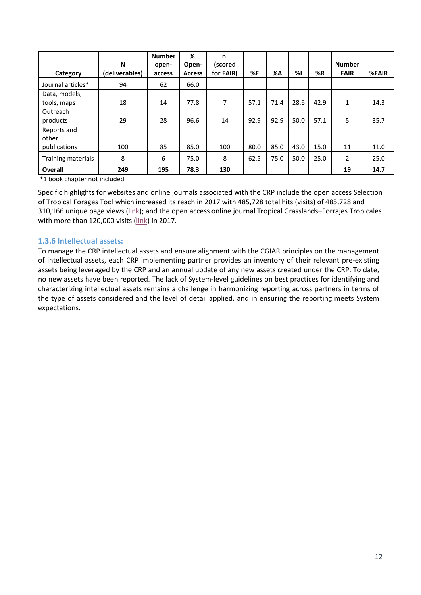| Category             | N<br>(deliverables) | <b>Number</b><br>open-<br>access | %<br>Open-<br><b>Access</b> | n<br>(scored<br>for FAIR) | %F   | %A   | %    | %R   | <b>Number</b><br><b>FAIR</b> | %FAIR |
|----------------------|---------------------|----------------------------------|-----------------------------|---------------------------|------|------|------|------|------------------------------|-------|
|                      |                     |                                  |                             |                           |      |      |      |      |                              |       |
| Journal articles*    | 94                  | 62                               | 66.0                        |                           |      |      |      |      |                              |       |
| Data, models,        |                     |                                  |                             |                           |      |      |      |      |                              |       |
| tools, maps          | 18                  | 14                               | 77.8                        | 7                         | 57.1 | 71.4 | 28.6 | 42.9 | 1                            | 14.3  |
| Outreach             |                     |                                  |                             |                           |      |      |      |      |                              |       |
| products             | 29                  | 28                               | 96.6                        | 14                        | 92.9 | 92.9 | 50.0 | 57.1 | 5                            | 35.7  |
| Reports and<br>other |                     |                                  |                             |                           |      |      |      |      |                              |       |
| publications         | 100                 | 85                               | 85.0                        | 100                       | 80.0 | 85.0 | 43.0 | 15.0 | 11                           | 11.0  |
| Training materials   | 8                   | 6                                | 75.0                        | 8                         | 62.5 | 75.0 | 50.0 | 25.0 | 2                            | 25.0  |
| <b>Overall</b>       | 249                 | 195                              | 78.3                        | 130                       |      |      |      |      | 19                           | 14.7  |

\*1 book chapter not included

Specific highlights for websites and online journals associated with the CRP include the open access Selection of Tropical Forages Tool which increased its reach in 2017 with 485,728 total hits (visits) of 485,728 and 310,166 unique page views [\(link\)](https://www.dropbox.com/s/l72o1h03wnxtg2x/Report%20SoFT%202017.pdf?dl=0); and the open access online journal Tropical Grasslands–Forrajes Tropicales with more than 120,000 visits [\(link\)](https://www.dropbox.com/s/oqnkgcmypegbbuc/Report%20TGFT_2013-2017.pdf?dl=0) in 2017.

#### **1.3.6 Intellectual assets:**

To manage the CRP intellectual assets and ensure alignment with the CGIAR principles on the management of intellectual assets, each CRP implementing partner provides an inventory of their relevant pre-existing assets being leveraged by the CRP and an annual update of any new assets created under the CRP. To date, no new assets have been reported. The lack of System-level guidelines on best practices for identifying and characterizing intellectual assets remains a challenge in harmonizing reporting across partners in terms of the type of assets considered and the level of detail applied, and in ensuring the reporting meets System expectations.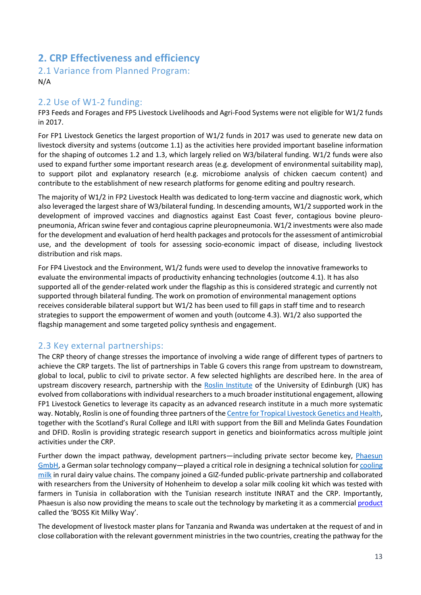# **2. CRP Effectiveness and efficiency**

2.1 Variance from Planned Program: N/A

#### 2.2 Use of W1-2 funding:

FP3 Feeds and Forages and FP5 Livestock Livelihoods and Agri-Food Systems were not eligible for W1/2 funds in 2017.

For FP1 Livestock Genetics the largest proportion of W1/2 funds in 2017 was used to generate new data on livestock diversity and systems (outcome 1.1) as the activities here provided important baseline information for the shaping of outcomes 1.2 and 1.3, which largely relied on W3/bilateral funding. W1/2 funds were also used to expand further some important research areas (e.g. development of environmental suitability map), to support pilot and explanatory research (e.g. microbiome analysis of chicken caecum content) and contribute to the establishment of new research platforms for genome editing and poultry research.

The majority of W1/2 in FP2 Livestock Health was dedicated to long-term vaccine and diagnostic work, which also leveraged the largest share of W3/bilateral funding. In descending amounts, W1/2 supported work in the development of improved vaccines and diagnostics against East Coast fever, contagious bovine pleuropneumonia, African swine fever and contagious caprine pleuropneumonia. W1/2 investments were also made for the development and evaluation of herd health packages and protocols for the assessment of antimicrobial use, and the development of tools for assessing socio-economic impact of disease, including livestock distribution and risk maps.

For FP4 Livestock and the Environment, W1/2 funds were used to develop the innovative frameworks to evaluate the environmental impacts of productivity enhancing technologies (outcome 4.1). It has also supported all of the gender-related work under the flagship as this is considered strategic and currently not supported through bilateral funding. The work on promotion of environmental management options receives considerable bilateral support but W1/2 has been used to fill gaps in staff time and to research strategies to support the empowerment of women and youth (outcome 4.3). W1/2 also supported the flagship management and some targeted policy synthesis and engagement.

## 2.3 Key external partnerships:

The CRP theory of change stresses the importance of involving a wide range of different types of partners to achieve the CRP targets. The list of partnerships in Table G covers this range from upstream to downstream, global to local, public to civil to private sector. A few selected highlights are described here. In the area of upstream discovery research, partnership with the [Roslin Institute](https://www.ed.ac.uk/roslin) of the University of Edinburgh (UK) has evolved from collaborations with individual researchers to a much broader institutional engagement, allowing FP1 Livestock Genetics to leverage its capacity as an advanced research institute in a much more systematic way. Notably, Roslin is one of founding three partners of the Centre [for Tropical Livestock Genetics and Health,](http://www.ctlgh.org/) together with the Scotland's Rural College and ILRI with support from the Bill and Melinda Gates Foundation and DFID. Roslin is providing strategic research support in genetics and bioinformatics across multiple joint activities under the CRP.

Further down the impact pathway, development partners—including private sector become key, Phaesun [GmbH,](https://www.phaesun.com/home.html) a German solar technology company—played a critical role in designing a technical solution fo[r cooling](https://www.rural21.com/english/current-issue/detail/article/solar-powered-cooling-for-enhancing-milk-value-chains-00002267/)  [milk](https://www.rural21.com/english/current-issue/detail/article/solar-powered-cooling-for-enhancing-milk-value-chains-00002267/) in rural dairy value chains. The company joined a GIZ-funded public-private partnership and collaborated with researchers from the University of Hohenheim to develop a solar milk cooling kit which was tested with farmers in Tunisia in collaboration with the Tunisian research institute INRAT and the CRP. Importantly, Phaesun is also now providing the means to scale out the technology by marketing it as a commercial [product](http://order.phaesun.com/index.php/kits-40892/bosskits-40949/bosskitmilkyway-46893/phaesun-boss-kit-milky-way.html) called the 'BOSS Kit Milky Way'.

The development of livestock master plans for Tanzania and Rwanda was undertaken at the request of and in close collaboration with the relevant government ministries in the two countries, creating the pathway for the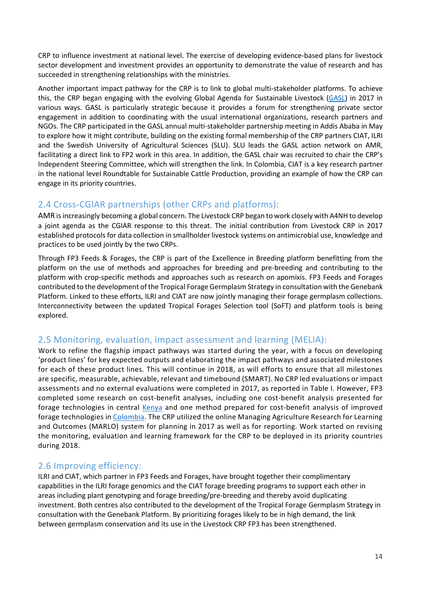CRP to influence investment at national level. The exercise of developing evidence-based plans for livestock sector development and investment provides an opportunity to demonstrate the value of research and has succeeded in strengthening relationships with the ministries.

Another important impact pathway for the CRP is to link to global multi-stakeholder platforms. To achieve this, the CRP began engaging with the evolving Global Agenda for Sustainable Livestock [\(GASL\)](http://www.livestockdialogue.org/) in 2017 in various ways. GASL is particularly strategic because it provides a forum for strengthening private sector engagement in addition to coordinating with the usual international organizations, research partners and NGOs. The CRP participated in the GASL annual multi-stakeholder partnership meeting in Addis Ababa in May to explore how it might contribute, building on the existing formal membership of the CRP partners CIAT, ILRI and the Swedish University of Agricultural Sciences (SLU). SLU leads the GASL action network on AMR, facilitating a direct link to FP2 work in this area. In addition, the GASL chair was recruited to chair the CRP's Independent Steering Committee, which will strengthen the link. In Colombia, CIAT is a key research partner in the national level Roundtable for Sustainable Cattle Production, providing an example of how the CRP can engage in its priority countries.

## 2.4 Cross-CGIAR partnerships (other CRPs and platforms):

AMR is increasingly becoming a global concern. The Livestock CRP began to work closely with A4NH to develop a joint agenda as the CGIAR response to this threat. The initial contribution from Livestock CRP in 2017 established protocols for data collection in smallholder livestock systems on antimicrobial use, knowledge and practices to be used jointly by the two CRPs.

Through FP3 Feeds & Forages, the CRP is part of the Excellence in Breeding platform benefitting from the platform on the use of methods and approaches for breeding and pre-breeding and contributing to the platform with crop-specific methods and approaches such as research on apomixis. FP3 Feeds and Forages contributed to the development of the Tropical Forage Germplasm Strategy in consultation with the Genebank Platform. Linked to these efforts, ILRI and CIAT are now jointly managing their forage germplasm collections. Interconnectivity between the updated Tropical Forages Selection tool (SoFT) and platform tools is being explored.

## 2.5 Monitoring, evaluation, impact assessment and learning (MELIA):

Work to refine the flagship impact pathways was started during the year, with a focus on developing 'product lines' for key expected outputs and elaborating the impact pathways and associated milestones for each of these product lines. This will continue in 2018, as will efforts to ensure that all milestones are specific, measurable, achievable, relevant and timebound (SMART). No CRP led evaluations or impact assessments and no external evaluations were completed in 2017, as reported in Table I. However, FP3 completed some research on cost-benefit analyses, including one cost-benefit analysis presented for forage technologies in central [Kenya](https://link.springer.com/article/10.1007%2Fs11250-018-1529-3) and one method prepared for cost-benefit analysis of improved forage technologies in [Colombia.](https://www.dropbox.com/s/yxtb9kz1f23pp4h/Metodolog%C3%ADa%20para%20an%C3%A1lisis%20de%20evaluaci%C3%B3n%20financiera%20de%20tecnolog%C3%ADas%20forrajeras.pdf?dl=0) The CRP utilized the online Managing Agriculture Research for Learning and Outcomes (MARLO) system for planning in 2017 as well as for reporting. Work started on revising the monitoring, evaluation and learning framework for the CRP to be deployed in its priority countries during 2018.

## 2.6 Improving efficiency:

ILRI and CIAT, which partner in FP3 Feeds and Forages, have brought together their complimentary capabilities in the ILRI forage genomics and the CIAT forage breeding programs to support each other in areas including plant genotyping and forage breeding/pre-breeding and thereby avoid duplicating investment. Both centres also contributed to the development of the Tropical Forage Germplasm Strategy in consultation with the Genebank Platform. By prioritizing forages likely to be in high demand, the link between germplasm conservation and its use in the Livestock CRP FP3 has been strengthened.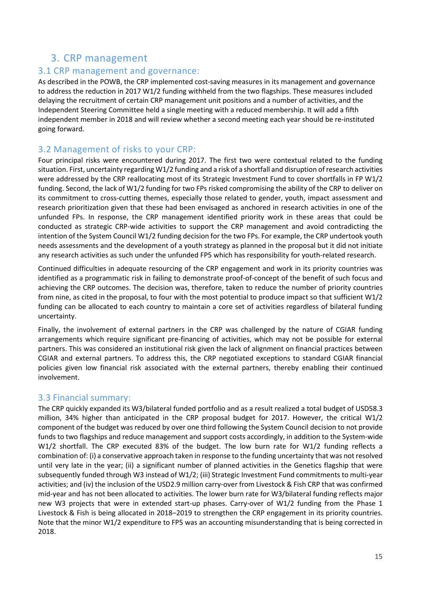## 3. CRP management

#### 3.1 CRP management and governance:

As described in the POWB, the CRP implemented cost-saving measures in its management and governance to address the reduction in 2017 W1/2 funding withheld from the two flagships. These measures included delaying the recruitment of certain CRP management unit positions and a number of activities, and the Independent Steering Committee held a single meeting with a reduced membership. It will add a fifth independent member in 2018 and will review whether a second meeting each year should be re-instituted going forward.

#### 3.2 Management of risks to your CRP:

Four principal risks were encountered during 2017. The first two were contextual related to the funding situation. First, uncertainty regarding W1/2 funding and a risk of a shortfall and disruption of research activities were addressed by the CRP reallocating most of its Strategic Investment Fund to cover shortfalls in FP W1/2 funding. Second, the lack of W1/2 funding for two FPs risked compromising the ability of the CRP to deliver on its commitment to cross-cutting themes, especially those related to gender, youth, impact assessment and research prioritization given that these had been envisaged as anchored in research activities in one of the unfunded FPs. In response, the CRP management identified priority work in these areas that could be conducted as strategic CRP-wide activities to support the CRP management and avoid contradicting the intention of the System Council W1/2 funding decision for the two FPs. For example, the CRP undertook youth needs assessments and the development of a youth strategy as planned in the proposal but it did not initiate any research activities as such under the unfunded FP5 which has responsibility for youth-related research.

Continued difficulties in adequate resourcing of the CRP engagement and work in its priority countries was identified as a programmatic risk in failing to demonstrate proof-of-concept of the benefit of such focus and achieving the CRP outcomes. The decision was, therefore, taken to reduce the number of priority countries from nine, as cited in the proposal, to four with the most potential to produce impact so that sufficient W1/2 funding can be allocated to each country to maintain a core set of activities regardless of bilateral funding uncertainty.

Finally, the involvement of external partners in the CRP was challenged by the nature of CGIAR funding arrangements which require significant pre-financing of activities, which may not be possible for external partners. This was considered an institutional risk given the lack of alignment on financial practices between CGIAR and external partners. To address this, the CRP negotiated exceptions to standard CGIAR financial policies given low financial risk associated with the external partners, thereby enabling their continued involvement.

#### 3.3 Financial summary:

The CRP quickly expanded its W3/bilateral funded portfolio and as a result realized a total budget of USD58.3 million, 34% higher than anticipated in the CRP proposal budget for 2017. However, the critical W1/2 component of the budget was reduced by over one third following the System Council decision to not provide funds to two flagships and reduce management and support costs accordingly, in addition to the System-wide W1/2 shortfall. The CRP executed 83% of the budget. The low burn rate for W1/2 funding reflects a combination of: (i) a conservative approach taken in response to the funding uncertainty that was not resolved until very late in the year; (ii) a significant number of planned activities in the Genetics flagship that were subsequently funded through W3 instead of W1/2; (iii) Strategic Investment Fund commitments to multi-year activities; and (iv) the inclusion of the USD2.9 million carry-over from Livestock & Fish CRP that was confirmed mid-year and has not been allocated to activities. The lower burn rate for W3/bilateral funding reflects major new W3 projects that were in extended start-up phases. Carry-over of W1/2 funding from the Phase 1 Livestock & Fish is being allocated in 2018–2019 to strengthen the CRP engagement in its priority countries. Note that the minor W1/2 expenditure to FP5 was an accounting misunderstanding that is being corrected in 2018.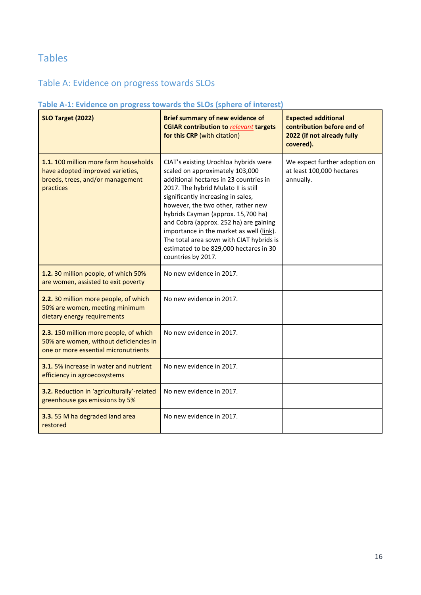# Tables

# Table A: Evidence on progress towards SLOs

#### **Table A-1: Evidence on progress towards the SLOs (sphere of interest)**

| <b>SLO Target (2022)</b>                                                                                                   | <b>Brief summary of new evidence of</b><br><b>CGIAR contribution to relevant targets</b><br>for this CRP (with citation)                                                                                                                                                                                                                                                                                                                                                      | <b>Expected additional</b><br>contribution before end of<br>2022 (if not already fully<br>covered). |
|----------------------------------------------------------------------------------------------------------------------------|-------------------------------------------------------------------------------------------------------------------------------------------------------------------------------------------------------------------------------------------------------------------------------------------------------------------------------------------------------------------------------------------------------------------------------------------------------------------------------|-----------------------------------------------------------------------------------------------------|
| 1.1. 100 million more farm households<br>have adopted improved varieties,<br>breeds, trees, and/or management<br>practices | CIAT's existing Urochloa hybrids were<br>scaled on approximately 103,000<br>additional hectares in 23 countries in<br>2017. The hybrid Mulato II is still<br>significantly increasing in sales,<br>however, the two other, rather new<br>hybrids Cayman (approx. 15,700 ha)<br>and Cobra (approx. 252 ha) are gaining<br>importance in the market as well (link).<br>The total area sown with CIAT hybrids is<br>estimated to be 829,000 hectares in 30<br>countries by 2017. | We expect further adoption on<br>at least 100,000 hectares<br>annually.                             |
| 1.2. 30 million people, of which 50%<br>are women, assisted to exit poverty                                                | No new evidence in 2017.                                                                                                                                                                                                                                                                                                                                                                                                                                                      |                                                                                                     |
| 2.2. 30 million more people, of which<br>50% are women, meeting minimum<br>dietary energy requirements                     | No new evidence in 2017.                                                                                                                                                                                                                                                                                                                                                                                                                                                      |                                                                                                     |
| 2.3. 150 million more people, of which<br>50% are women, without deficiencies in<br>one or more essential micronutrients   | No new evidence in 2017.                                                                                                                                                                                                                                                                                                                                                                                                                                                      |                                                                                                     |
| <b>3.1.</b> 5% increase in water and nutrient<br>efficiency in agroecosystems                                              | No new evidence in 2017.                                                                                                                                                                                                                                                                                                                                                                                                                                                      |                                                                                                     |
| 3.2. Reduction in 'agriculturally'-related<br>greenhouse gas emissions by 5%                                               | No new evidence in 2017.                                                                                                                                                                                                                                                                                                                                                                                                                                                      |                                                                                                     |
| 3.3.55 M ha degraded land area<br>restored                                                                                 | No new evidence in 2017.                                                                                                                                                                                                                                                                                                                                                                                                                                                      |                                                                                                     |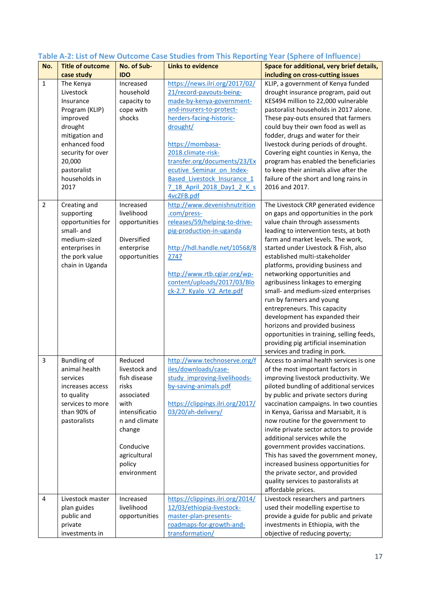| No.            | <b>Title of outcome</b>                                                                                                                                                                              | No. of Sub-                                                                                                                                                                | <b>Links to evidence</b>                                                                                                                                                                                                                                                                          | Space for additional, very brief details,                                                                                                                                                                                                                                                                                                                                                                                                                                                                                                                                                                                                                                        |
|----------------|------------------------------------------------------------------------------------------------------------------------------------------------------------------------------------------------------|----------------------------------------------------------------------------------------------------------------------------------------------------------------------------|---------------------------------------------------------------------------------------------------------------------------------------------------------------------------------------------------------------------------------------------------------------------------------------------------|----------------------------------------------------------------------------------------------------------------------------------------------------------------------------------------------------------------------------------------------------------------------------------------------------------------------------------------------------------------------------------------------------------------------------------------------------------------------------------------------------------------------------------------------------------------------------------------------------------------------------------------------------------------------------------|
|                |                                                                                                                                                                                                      |                                                                                                                                                                            |                                                                                                                                                                                                                                                                                                   |                                                                                                                                                                                                                                                                                                                                                                                                                                                                                                                                                                                                                                                                                  |
| $\mathbf{1}$   | case study<br>The Kenya<br>Livestock<br>Insurance<br>Program (KLIP)<br>improved<br>drought<br>mitigation and<br>enhanced food<br>security for over<br>20,000<br>pastoralist<br>households in<br>2017 | <b>IDO</b><br>Increased<br>household<br>capacity to<br>cope with<br>shocks                                                                                                 | https://news.ilri.org/2017/02/<br>21/record-payouts-being-<br>made-by-kenya-government-<br>and-insurers-to-protect-<br>herders-facing-historic-<br>drought/<br>https://mombasa-<br>2018.climate-risk-<br>transfer.org/documents/23/Ex<br>ecutive Seminar on Index-<br>Based Livestock Insurance 1 | including on cross-cutting issues<br>KLIP, a government of Kenya funded<br>drought insurance program, paid out<br>KES494 million to 22,000 vulnerable<br>pastoralist households in 2017 alone.<br>These pay-outs ensured that farmers<br>could buy their own food as well as<br>fodder, drugs and water for their<br>livestock during periods of drought.<br>Covering eight counties in Kenya, the<br>program has enabled the beneficiaries<br>to keep their animals alive after the<br>failure of the short and long rains in<br>2016 and 2017.                                                                                                                                 |
| $\overline{2}$ | Creating and<br>supporting<br>opportunities for<br>small- and<br>medium-sized<br>enterprises in<br>the pork value<br>chain in Uganda                                                                 | Increased<br>livelihood<br>opportunities<br>Diversified<br>enterprise<br>opportunities                                                                                     | 7 18 April 2018 Day1 2 K s<br>4vcZFB.pdf<br>http://www.devenishnutrition<br>.com/press-<br>releases/59/helping-to-drive-<br>pig-production-in-uganda<br>http://hdl.handle.net/10568/8<br>2747<br>http://www.rtb.cgiar.org/wp-<br>content/uploads/2017/03/Blo<br>ck-2.7 Kyalo V2 Arte.pdf          | The Livestock CRP generated evidence<br>on gaps and opportunities in the pork<br>value chain through assessments<br>leading to intervention tests, at both<br>farm and market levels. The work,<br>started under Livestock & Fish, also<br>established multi-stakeholder<br>platforms, providing business and<br>networking opportunities and<br>agribusiness linkages to emerging<br>small- and medium-sized enterprises<br>run by farmers and young<br>entrepreneurs. This capacity<br>development has expanded their<br>horizons and provided business<br>opportunities in training, selling feeds,<br>providing pig artificial insemination<br>services and trading in pork. |
| 3              | <b>Bundling of</b><br>animal health<br>services<br>increases access<br>to quality<br>services to more<br>than 90% of<br>pastoralists                                                                 | Reduced<br>livestock and<br>fish disease<br>risks<br>associated<br>with<br>intensificatio<br>n and climate<br>change<br>Conducive<br>agricultural<br>policy<br>environment | http://www.technoserve.org/f<br>iles/downloads/case-<br>study improving-livelihoods-<br>by-saving-animals.pdf<br>https://clippings.ilri.org/2017/<br>03/20/ah-delivery/                                                                                                                           | Access to animal health services is one<br>of the most important factors in<br>improving livestock productivity. We<br>piloted bundling of additional services<br>by public and private sectors during<br>vaccination campaigns. In two counties<br>in Kenya, Garissa and Marsabit, it is<br>now routine for the government to<br>invite private sector actors to provide<br>additional services while the<br>government provides vaccinations.<br>This has saved the government money,<br>increased business opportunities for<br>the private sector, and provided<br>quality services to pastoralists at<br>affordable prices.                                                 |
| 4              | Livestock master<br>plan guides<br>public and<br>private<br>investments in                                                                                                                           | Increased<br>livelihood<br>opportunities                                                                                                                                   | https://clippings.ilri.org/2014/<br>12/03/ethiopia-livestock-<br>master-plan-presents-<br>roadmaps-for-growth-and-<br>transformation/                                                                                                                                                             | Livestock researchers and partners<br>used their modelling expertise to<br>provide a guide for public and private<br>investments in Ethiopia, with the<br>objective of reducing poverty;                                                                                                                                                                                                                                                                                                                                                                                                                                                                                         |

# **Table A-2: List of New Outcome Case Studies from This Reporting Year (Sphere of Influence**)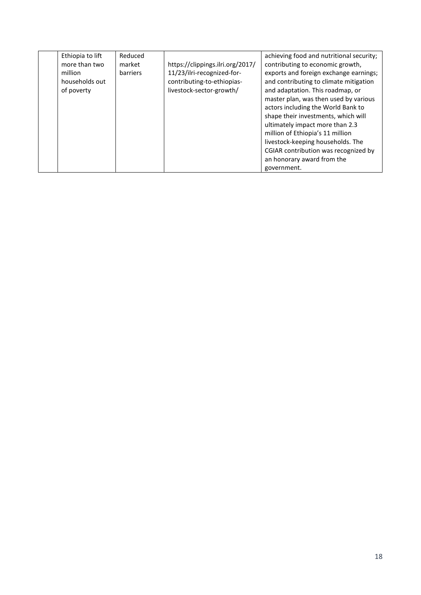| Ethiopia to lift | Reduced  |                                  | achieving food and nutritional security; |
|------------------|----------|----------------------------------|------------------------------------------|
| more than two    | market   | https://clippings.ilri.org/2017/ | contributing to economic growth,         |
| million          | barriers | 11/23/ilri-recognized-for-       | exports and foreign exchange earnings;   |
| households out   |          | contributing-to-ethiopias-       | and contributing to climate mitigation   |
| of poverty       |          | livestock-sector-growth/         | and adaptation. This roadmap, or         |
|                  |          |                                  | master plan, was then used by various    |
|                  |          |                                  | actors including the World Bank to       |
|                  |          |                                  | shape their investments, which will      |
|                  |          |                                  | ultimately impact more than 2.3          |
|                  |          |                                  | million of Ethiopia's 11 million         |
|                  |          |                                  | livestock-keeping households. The        |
|                  |          |                                  | CGIAR contribution was recognized by     |
|                  |          |                                  | an honorary award from the               |
|                  |          |                                  | government.                              |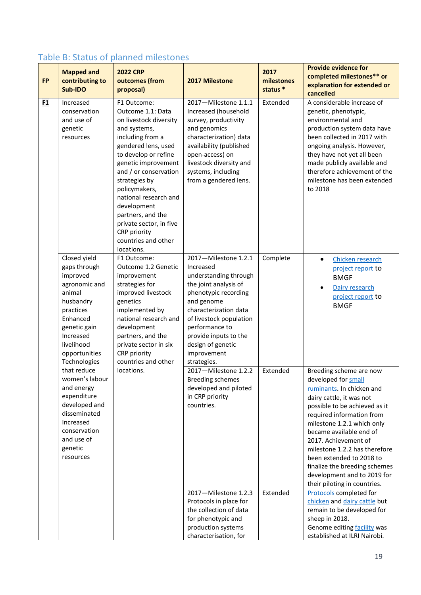| Table B: Status of planned milestones |  |  |  |  |  |  |  |
|---------------------------------------|--|--|--|--|--|--|--|
|---------------------------------------|--|--|--|--|--|--|--|

| <b>FP</b> | <b>Mapped and</b><br>contributing to<br>Sub-IDO                                                                                                                                       | <b>2022 CRP</b><br>outcomes (from<br>proposal)                                                                                                                                                                                                                                                                                                                               | 2017 Milestone                                                                                                                                                                                                                                                              | 2017<br>milestones<br>status * | <b>Provide evidence for</b><br>completed milestones** or<br>explanation for extended or<br>cancelled                                                                                                                                                                                                                                                                                                                |
|-----------|---------------------------------------------------------------------------------------------------------------------------------------------------------------------------------------|------------------------------------------------------------------------------------------------------------------------------------------------------------------------------------------------------------------------------------------------------------------------------------------------------------------------------------------------------------------------------|-----------------------------------------------------------------------------------------------------------------------------------------------------------------------------------------------------------------------------------------------------------------------------|--------------------------------|---------------------------------------------------------------------------------------------------------------------------------------------------------------------------------------------------------------------------------------------------------------------------------------------------------------------------------------------------------------------------------------------------------------------|
| <b>F1</b> | Increased<br>conservation<br>and use of<br>genetic<br>resources                                                                                                                       | F1 Outcome:<br>Outcome 1.1: Data<br>on livestock diversity<br>and systems,<br>including from a<br>gendered lens, used<br>to develop or refine<br>genetic improvement<br>and / or conservation<br>strategies by<br>policymakers,<br>national research and<br>development<br>partners, and the<br>private sector, in five<br>CRP priority<br>countries and other<br>locations. | 2017-Milestone 1.1.1<br>Increased (household<br>survey, productivity<br>and genomics<br>characterization) data<br>availability (published<br>open-access) on<br>livestock diversity and<br>systems, including<br>from a gendered lens.                                      | Extended                       | A considerable increase of<br>genetic, phenotypic,<br>environmental and<br>production system data have<br>been collected in 2017 with<br>ongoing analysis. However,<br>they have not yet all been<br>made publicly available and<br>therefore achievement of the<br>milestone has been extended<br>to 2018                                                                                                          |
|           | Closed yield<br>gaps through<br>improved<br>agronomic and<br>animal<br>husbandry<br>practices<br>Enhanced<br>genetic gain<br>Increased<br>livelihood<br>opportunities<br>Technologies | F1 Outcome:<br>Outcome 1.2 Genetic<br>improvement<br>strategies for<br>improved livestock<br>genetics<br>implemented by<br>national research and<br>development<br>partners, and the<br>private sector in six<br>CRP priority<br>countries and other                                                                                                                         | 2017-Milestone 1.2.1<br>Increased<br>understanding through<br>the joint analysis of<br>phenotypic recording<br>and genome<br>characterization data<br>of livestock population<br>performance to<br>provide inputs to the<br>design of genetic<br>improvement<br>strategies. | Complete                       | Chicken research<br>$\bullet$<br>project report to<br><b>BMGF</b><br>Dairy research<br>project report to<br><b>BMGF</b>                                                                                                                                                                                                                                                                                             |
|           | that reduce<br>women's labour<br>and energy<br>expenditure<br>developed and<br>disseminated<br>Increased<br>conservation<br>and use of<br>genetic<br>resources                        | locations.                                                                                                                                                                                                                                                                                                                                                                   | 2017-Milestone 1.2.2<br><b>Breeding schemes</b><br>developed and piloted<br>in CRP priority<br>countries.                                                                                                                                                                   | Extended                       | Breeding scheme are now<br>developed for small<br>ruminants. In chicken and<br>dairy cattle, it was not<br>possible to be achieved as it<br>required information from<br>milestone 1.2.1 which only<br>became available end of<br>2017. Achievement of<br>milestone 1.2.2 has therefore<br>been extended to 2018 to<br>finalize the breeding schemes<br>development and to 2019 for<br>their piloting in countries. |
|           |                                                                                                                                                                                       |                                                                                                                                                                                                                                                                                                                                                                              | 2017-Milestone 1.2.3<br>Protocols in place for<br>the collection of data<br>for phenotypic and<br>production systems<br>characterisation, for                                                                                                                               | Extended                       | Protocols completed for<br>chicken and dairy cattle but<br>remain to be developed for<br>sheep in 2018.<br>Genome editing facility was<br>established at ILRI Nairobi.                                                                                                                                                                                                                                              |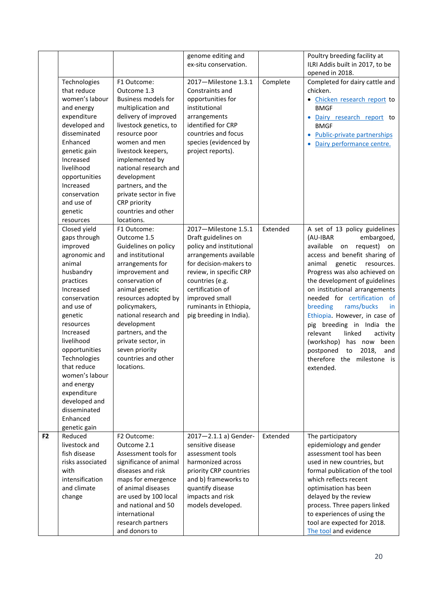|                                                                                                                                                                                                                                |                                                                                                                                                                                                                                                                                                                   | ex-situ conservation.                                                                                                                                                                              |                                                                | Poultry breeding facility at<br>ILRI Addis built in 2017, to be<br>opened in 2018.                                                                                                                                                                                                                                                         |
|--------------------------------------------------------------------------------------------------------------------------------------------------------------------------------------------------------------------------------|-------------------------------------------------------------------------------------------------------------------------------------------------------------------------------------------------------------------------------------------------------------------------------------------------------------------|----------------------------------------------------------------------------------------------------------------------------------------------------------------------------------------------------|----------------------------------------------------------------|--------------------------------------------------------------------------------------------------------------------------------------------------------------------------------------------------------------------------------------------------------------------------------------------------------------------------------------------|
| Technologies<br>that reduce<br>women's labour<br>and energy<br>expenditure<br>developed and<br>disseminated<br>Enhanced<br>genetic gain<br>Increased<br>livelihood<br>opportunities<br>Increased<br>conservation<br>and use of | F1 Outcome:<br>Outcome 1.3<br><b>Business models for</b><br>multiplication and<br>delivery of improved<br>livestock genetics, to<br>resource poor<br>women and men<br>livestock keepers,<br>implemented by<br>national research and<br>development<br>partners, and the<br>private sector in five<br>CRP priority | 2017-Milestone 1.3.1<br>Constraints and<br>opportunities for<br>institutional<br>arrangements<br>identified for CRP<br>countries and focus<br>species (evidenced by<br>project reports).           | Complete                                                       | Completed for dairy cattle and<br>chicken.<br>· Chicken research report to<br><b>BMGF</b><br>Dairy research report to<br><b>BMGF</b><br>• Public-private partnerships<br>Dairy performance centre.                                                                                                                                         |
| resources<br>Closed yield<br>gaps through<br>improved                                                                                                                                                                          | locations.<br>F1 Outcome:<br>Outcome 1.5<br>Guidelines on policy                                                                                                                                                                                                                                                  | 2017-Milestone 1.5.1<br>Draft guidelines on<br>policy and institutional                                                                                                                            | Extended                                                       | A set of 13 policy guidelines<br>(AU-IBAR<br>embargoed,<br>available<br>on<br>request)<br>on<br>access and benefit sharing of                                                                                                                                                                                                              |
| animal<br>husbandry<br>practices<br>Increased                                                                                                                                                                                  | arrangements for<br>improvement and<br>conservation of<br>animal genetic                                                                                                                                                                                                                                          | for decision-makers to<br>review, in specific CRP<br>countries (e.g.<br>certification of                                                                                                           |                                                                | animal<br>genetic<br>resources.<br>Progress was also achieved on<br>the development of guidelines<br>on institutional arrangements<br>needed for certification of                                                                                                                                                                          |
| and use of<br>genetic<br>resources<br>Increased<br>livelihood<br>opportunities<br>Technologies<br>that reduce                                                                                                                  | policymakers,<br>national research and<br>development<br>partners, and the<br>private sector, in<br>seven priority<br>countries and other<br>locations.                                                                                                                                                           | ruminants in Ethiopia,<br>pig breeding in India).                                                                                                                                                  |                                                                | breeding<br>rams/bucks<br>in.<br>Ethiopia. However, in case of<br>pig breeding in India the<br>relevant<br>linked<br>activity<br>(workshop)<br>has now been<br>postponed<br>2018,<br>to<br>and<br>therefore the milestone is<br>extended.                                                                                                  |
| women's labour<br>and energy<br>expenditure<br>developed and<br>disseminated<br>Enhanced<br>genetic gain                                                                                                                       |                                                                                                                                                                                                                                                                                                                   |                                                                                                                                                                                                    |                                                                |                                                                                                                                                                                                                                                                                                                                            |
| Reduced<br>livestock and<br>fish disease<br>risks associated<br>with<br>intensification<br>and climate<br>change                                                                                                               | F2 Outcome:<br>Outcome 2.1<br>Assessment tools for<br>significance of animal<br>diseases and risk<br>maps for emergence<br>of animal diseases<br>are used by 100 local<br>and national and 50<br>international<br>research partners                                                                               | 2017-2.1.1 a) Gender-<br>sensitive disease<br>assessment tools<br>harmonized across<br>priority CRP countries<br>and b) frameworks to<br>quantify disease<br>impacts and risk<br>models developed. | Extended                                                       | The participatory<br>epidemiology and gender<br>assessment tool has been<br>used in new countries, but<br>formal publication of the tool<br>which reflects recent<br>optimisation has been<br>delayed by the review<br>process. Three papers linked<br>to experiences of using the<br>tool are expected for 2018.<br>The tool and evidence |
|                                                                                                                                                                                                                                | genetic<br>agronomic and<br>conservation                                                                                                                                                                                                                                                                          | countries and other<br>and institutional<br>resources adopted by<br>and donors to                                                                                                                  | genome editing and<br>arrangements available<br>improved small |                                                                                                                                                                                                                                                                                                                                            |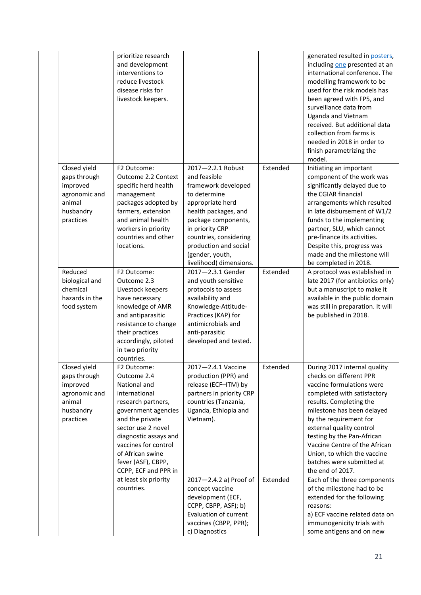|                                                                                               | prioritize research<br>and development<br>interventions to<br>reduce livestock<br>disease risks for<br>livestock keepers.                                                                                                                                                                                   |                                                                                                                                                                                                                                                                                                                           |                      | generated resulted in posters,<br>including one presented at an<br>international conference. The<br>modelling framework to be<br>used for the risk models has<br>been agreed with FP5, and<br>surveillance data from<br>Uganda and Vietnam<br>received. But additional data<br>collection from farms is<br>needed in 2018 in order to<br>finish parametrizing the<br>model.                                                                                                                                                                                                           |
|-----------------------------------------------------------------------------------------------|-------------------------------------------------------------------------------------------------------------------------------------------------------------------------------------------------------------------------------------------------------------------------------------------------------------|---------------------------------------------------------------------------------------------------------------------------------------------------------------------------------------------------------------------------------------------------------------------------------------------------------------------------|----------------------|---------------------------------------------------------------------------------------------------------------------------------------------------------------------------------------------------------------------------------------------------------------------------------------------------------------------------------------------------------------------------------------------------------------------------------------------------------------------------------------------------------------------------------------------------------------------------------------|
| Closed yield<br>gaps through<br>improved<br>agronomic and<br>animal<br>husbandry<br>practices | F2 Outcome:<br>Outcome 2.2 Context<br>specific herd health<br>management<br>packages adopted by<br>farmers, extension<br>and animal health<br>workers in priority<br>countries and other<br>locations.                                                                                                      | 2017-2.2.1 Robust<br>and feasible<br>framework developed<br>to determine<br>appropriate herd<br>health packages, and<br>package components,<br>in priority CRP<br>countries, considering<br>production and social<br>(gender, youth,<br>livelihood) dimensions.                                                           | Extended             | Initiating an important<br>component of the work was<br>significantly delayed due to<br>the CGIAR financial<br>arrangements which resulted<br>in late disbursement of W1/2<br>funds to the implementing<br>partner, SLU, which cannot<br>pre-finance its activities.<br>Despite this, progress was<br>made and the milestone will<br>be completed in 2018.                                                                                                                                                                                                                            |
| Reduced<br>biological and<br>chemical<br>hazards in the<br>food system                        | F2 Outcome:<br>Outcome 2.3<br>Livestock keepers<br>have necessary<br>knowledge of AMR<br>and antiparasitic<br>resistance to change<br>their practices<br>accordingly, piloted<br>in two priority<br>countries.                                                                                              | 2017-2.3.1 Gender<br>and youth sensitive<br>protocols to assess<br>availability and<br>Knowledge-Attitude-<br>Practices (KAP) for<br>antimicrobials and<br>anti-parasitic<br>developed and tested.                                                                                                                        | Extended             | A protocol was established in<br>late 2017 (for antibiotics only)<br>but a manuscript to make it<br>available in the public domain<br>was still in preparation. It will<br>be published in 2018.                                                                                                                                                                                                                                                                                                                                                                                      |
| Closed yield<br>gaps through<br>improved<br>agronomic and<br>animal<br>husbandry<br>practices | F2 Outcome:<br>Outcome 2.4<br>National and<br>international<br>research partners,<br>government agencies<br>and the private<br>sector use 2 novel<br>diagnostic assays and<br>vaccines for control<br>of African swine<br>fever (ASF), CBPP,<br>CCPP, ECF and PPR in<br>at least six priority<br>countries. | 2017-2.4.1 Vaccine<br>production (PPR) and<br>release (ECF-ITM) by<br>partners in priority CRP<br>countries (Tanzania,<br>Uganda, Ethiopia and<br>Vietnam).<br>2017-2.4.2 a) Proof of<br>concept vaccine<br>development (ECF,<br>CCPP, CBPP, ASF); b)<br>Evaluation of current<br>vaccines (CBPP, PPR);<br>c) Diagnostics | Extended<br>Extended | During 2017 internal quality<br>checks on different PPR<br>vaccine formulations were<br>completed with satisfactory<br>results. Completing the<br>milestone has been delayed<br>by the requirement for<br>external quality control<br>testing by the Pan-African<br>Vaccine Centre of the African<br>Union, to which the vaccine<br>batches were submitted at<br>the end of 2017.<br>Each of the three components<br>of the milestone had to be<br>extended for the following<br>reasons:<br>a) ECF vaccine related data on<br>immunogenicity trials with<br>some antigens and on new |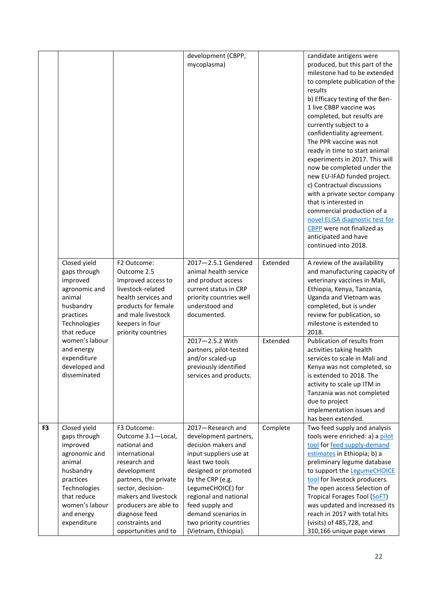|    |                                                                                                                                                                             |                                                                                                                                                                                                                                                              | development (CBPP,<br>mycoplasma)                                                                                                                                                                                                                                                                    |          | candidate antigens were<br>produced, but this part of the<br>milestone had to be extended<br>to complete publication of the<br>results<br>b) Efficacy testing of the Ben-<br>1 live CBBP vaccine was<br>completed, but results are<br>currently subject to a<br>confidentiality agreement.<br>The PPR vaccine was not<br>ready in time to start animal<br>experiments in 2017. This will<br>now be completed under the<br>new EU-IFAD funded project.<br>c) Contractual discussions<br>with a private sector company<br>that is interested in<br>commercial production of a<br>novel ELISA diagnostic test for<br>CBPP were not finalized as<br>anticipated and have<br>continued into 2018. |
|----|-----------------------------------------------------------------------------------------------------------------------------------------------------------------------------|--------------------------------------------------------------------------------------------------------------------------------------------------------------------------------------------------------------------------------------------------------------|------------------------------------------------------------------------------------------------------------------------------------------------------------------------------------------------------------------------------------------------------------------------------------------------------|----------|----------------------------------------------------------------------------------------------------------------------------------------------------------------------------------------------------------------------------------------------------------------------------------------------------------------------------------------------------------------------------------------------------------------------------------------------------------------------------------------------------------------------------------------------------------------------------------------------------------------------------------------------------------------------------------------------|
|    | Closed yield<br>gaps through<br>improved<br>agronomic and<br>animal<br>husbandry<br>practices<br>Technologies<br>that reduce                                                | F2 Outcome:<br>Outcome 2.5<br>Improved access to<br>livestock-related<br>health services and<br>products for female<br>and male livestock<br>keepers in four<br>priority countries                                                                           | $2017 - 2.5.1$ Gendered<br>animal health service<br>and product access<br>current status in CRP<br>priority countries well<br>understood and<br>documented.                                                                                                                                          | Extended | A review of the availability<br>and manufacturing capacity of<br>veterinary vaccines in Mali,<br>Ethiopia, Kenya, Tanzania,<br>Uganda and Vietnam was<br>completed, but is under<br>review for publication, so<br>milestone is extended to<br>2018.                                                                                                                                                                                                                                                                                                                                                                                                                                          |
|    | women's labour<br>and energy<br>expenditure<br>developed and<br>disseminated                                                                                                |                                                                                                                                                                                                                                                              | 2017-2.5.2 With<br>partners, pilot-tested<br>and/or scaled-up<br>previously identified<br>services and products.                                                                                                                                                                                     | Extended | Publication of results from<br>activities taking health<br>services to scale in Mali and<br>Kenya was not completed, so<br>is extended to 2018. The<br>activity to scale up ITM in<br>Tanzania was not completed<br>due to project<br>implementation issues and<br>has been extended.                                                                                                                                                                                                                                                                                                                                                                                                        |
| F3 | Closed yield<br>gaps through<br>improved<br>agronomic and<br>animal<br>husbandry<br>practices<br>Technologies<br>that reduce<br>women's labour<br>and energy<br>expenditure | F3 Outcome:<br>Outcome 3.1-Local,<br>national and<br>international<br>research and<br>development<br>partners, the private<br>sector, decision-<br>makers and livestock<br>producers are able to<br>diagnose feed<br>constraints and<br>opportunities and to | 2017-Research and<br>development partners,<br>decision makers and<br>input suppliers use at<br>least two tools<br>designed or promoted<br>by the CRP (e.g.<br>LegumeCHOICE) for<br>regional and national<br>feed supply and<br>demand scenarios in<br>two priority countries<br>(Vietnam, Ethiopia). | Complete | Two feed supply and analysis<br>tools were enriched: a) a pilot<br>tool for feed supply-demand<br>estimates in Ethiopia; b) a<br>preliminary legume database<br>to support the LegumeCHOICE<br>tool for livestock producers.<br>The open access Selection of<br>Tropical Forages Tool (SoFT)<br>was updated and increased its<br>reach in 2017 with total hits<br>(visits) of 485,728, and<br>310,166 unique page views                                                                                                                                                                                                                                                                      |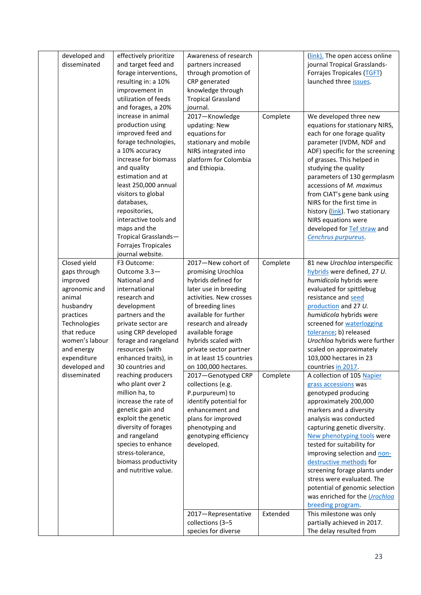| developed and               | effectively prioritize                       | Awareness of research                   |          | (link). The open access online                               |
|-----------------------------|----------------------------------------------|-----------------------------------------|----------|--------------------------------------------------------------|
| disseminated                | and target feed and                          | partners increased                      |          | journal Tropical Grasslands-                                 |
|                             | forage interventions,                        | through promotion of                    |          | Forrajes Tropicales (TGFT)                                   |
|                             | resulting in: a 10%                          | CRP generated                           |          | launched three issues.                                       |
|                             | improvement in                               | knowledge through                       |          |                                                              |
|                             | utilization of feeds                         | <b>Tropical Grassland</b>               |          |                                                              |
|                             | and forages, a 20%                           | journal.                                |          |                                                              |
|                             | increase in animal                           | 2017-Knowledge                          | Complete | We developed three new                                       |
|                             | production using                             | updating: New                           |          | equations for stationary NIRS,                               |
|                             | improved feed and                            | equations for                           |          | each for one forage quality                                  |
|                             | forage technologies,                         | stationary and mobile                   |          | parameter (IVDM, NDF and                                     |
|                             | a 10% accuracy                               | NIRS integrated into                    |          | ADF) specific for the screening                              |
|                             | increase for biomass                         | platform for Colombia                   |          | of grasses. This helped in                                   |
|                             | and quality                                  | and Ethiopia.                           |          | studying the quality                                         |
|                             | estimation and at                            |                                         |          | parameters of 130 germplasm                                  |
|                             | least 250,000 annual                         |                                         |          | accessions of M. maximus                                     |
|                             | visitors to global<br>databases,             |                                         |          | from CIAT's gene bank using<br>NIRS for the first time in    |
|                             | repositories,                                |                                         |          | history (link). Two stationary                               |
|                             | interactive tools and                        |                                         |          | NIRS equations were                                          |
|                             | maps and the                                 |                                         |          | developed for Tef straw and                                  |
|                             | Tropical Grasslands-                         |                                         |          | Cenchrus purpureus.                                          |
|                             | Forrajes Tropicales                          |                                         |          |                                                              |
|                             | journal website.                             |                                         |          |                                                              |
| Closed yield                | F3 Outcome:                                  | 2017-New cohort of                      | Complete | 81 new Urochloa interspecific                                |
| gaps through                | Outcome 3.3-                                 | promising Urochloa                      |          | hybrids were defined, 27 U.                                  |
| improved                    | National and                                 | hybrids defined for                     |          | humidicola hybrids were                                      |
| agronomic and               | international                                | later use in breeding                   |          | evaluated for spittlebug                                     |
| animal                      | research and                                 | activities. New crosses                 |          | resistance and seed                                          |
| husbandry                   | development                                  | of breeding lines                       |          | production and 27 U.                                         |
| practices                   | partners and the                             | available for further                   |          | humidicola hybrids were                                      |
| Technologies<br>that reduce | private sector are                           | research and already                    |          | screened for waterlogging                                    |
| women's labour              | using CRP developed<br>forage and rangeland  | available forage<br>hybrids scaled with |          | tolerance; b) released<br>Urochloa hybrids were further      |
| and energy                  | resources (with                              | private sector partner                  |          | scaled on approximately                                      |
| expenditure                 | enhanced traits), in                         | in at least 15 countries                |          | 103,000 hectares in 23                                       |
| developed and               | 30 countries and                             | on 100,000 hectares.                    |          | countries in 2017.                                           |
| disseminated                | reaching producers                           | 2017-Genotyped CRP                      | Complete | A collection of 105 Napier                                   |
|                             | who plant over 2                             | collections (e.g.                       |          | grass accessions was                                         |
|                             | million ha, to                               | P.purpureum) to                         |          | genotyped producing                                          |
|                             | increase the rate of                         | identify potential for                  |          | approximately 200,000                                        |
|                             | genetic gain and                             | enhancement and                         |          | markers and a diversity                                      |
|                             | exploit the genetic                          | plans for improved                      |          | analysis was conducted                                       |
|                             | diversity of forages                         | phenotyping and                         |          | capturing genetic diversity.                                 |
|                             | and rangeland                                | genotyping efficiency                   |          | New phenotyping tools were                                   |
|                             | species to enhance                           | developed.                              |          | tested for suitability for                                   |
|                             | stress-tolerance,                            |                                         |          | improving selection and non-                                 |
|                             | biomass productivity<br>and nutritive value. |                                         |          | destructive methods for                                      |
|                             |                                              |                                         |          | screening forage plants under                                |
|                             |                                              |                                         |          | stress were evaluated. The<br>potential of genomic selection |
|                             |                                              |                                         |          | was enriched for the <i>Urochloa</i>                         |
|                             |                                              |                                         |          | breeding program.                                            |
|                             |                                              | 2017-Representative                     | Extended | This milestone was only                                      |
|                             |                                              | collections (3-5                        |          | partially achieved in 2017.                                  |
|                             |                                              | species for diverse                     |          | The delay resulted from                                      |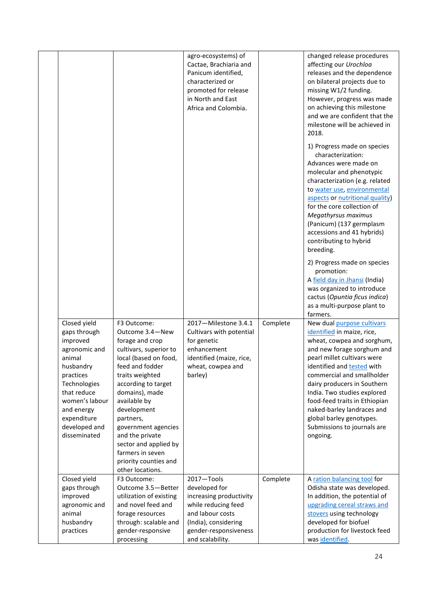|                                                                                                                                                                                                              |                                                                                                                                                                                                                                                                                                                                                                     | agro-ecosystems) of<br>Cactae, Brachiaria and<br>Panicum identified,<br>characterized or<br>promoted for release<br>in North and East<br>Africa and Colombia.          |          | changed release procedures<br>affecting our Urochloa<br>releases and the dependence<br>on bilateral projects due to<br>missing W1/2 funding.<br>However, progress was made<br>on achieving this milestone<br>and we are confident that the<br>milestone will be achieved in<br>2018.<br>1) Progress made on species<br>characterization:<br>Advances were made on<br>molecular and phenotypic<br>characterization (e.g. related<br>to water use, environmental<br>aspects or nutritional quality)<br>for the core collection of<br>Megathyrsus maximus<br>(Panicum) (137 germplasm<br>accessions and 41 hybrids)<br>contributing to hybrid<br>breeding.<br>2) Progress made on species<br>promotion:<br>A field day in Jhansi (India)<br>was organized to introduce |
|--------------------------------------------------------------------------------------------------------------------------------------------------------------------------------------------------------------|---------------------------------------------------------------------------------------------------------------------------------------------------------------------------------------------------------------------------------------------------------------------------------------------------------------------------------------------------------------------|------------------------------------------------------------------------------------------------------------------------------------------------------------------------|----------|---------------------------------------------------------------------------------------------------------------------------------------------------------------------------------------------------------------------------------------------------------------------------------------------------------------------------------------------------------------------------------------------------------------------------------------------------------------------------------------------------------------------------------------------------------------------------------------------------------------------------------------------------------------------------------------------------------------------------------------------------------------------|
|                                                                                                                                                                                                              |                                                                                                                                                                                                                                                                                                                                                                     |                                                                                                                                                                        |          | cactus (Opuntia ficus indica)<br>as a multi-purpose plant to                                                                                                                                                                                                                                                                                                                                                                                                                                                                                                                                                                                                                                                                                                        |
| Closed yield<br>gaps through<br>improved<br>agronomic and<br>animal<br>husbandry<br>practices<br>Technologies<br>that reduce<br>women's labour<br>and energy<br>expenditure<br>developed and<br>disseminated | F3 Outcome:<br>Outcome 3.4-New<br>forage and crop<br>cultivars, superior to<br>local (based on food,<br>feed and fodder<br>traits weighted<br>according to target<br>domains), made<br>available by<br>development<br>partners,<br>government agencies<br>and the private<br>sector and applied by<br>farmers in seven<br>priority counties and<br>other locations. | 2017-Milestone 3.4.1<br>Cultivars with potential<br>for genetic<br>enhancement<br>identified (maize, rice,<br>wheat, cowpea and<br>barley)                             | Complete | farmers.<br>New dual purpose cultivars<br>identified in maize, rice,<br>wheat, cowpea and sorghum,<br>and new forage sorghum and<br>pearl millet cultivars were<br>identified and tested with<br>commercial and smallholder<br>dairy producers in Southern<br>India. Two studies explored<br>food-feed traits in Ethiopian<br>naked-barley landraces and<br>global barley genotypes.<br>Submissions to journals are<br>ongoing.                                                                                                                                                                                                                                                                                                                                     |
| Closed yield<br>gaps through<br>improved<br>agronomic and<br>animal<br>husbandry<br>practices                                                                                                                | F3 Outcome:<br>Outcome 3.5-Better<br>utilization of existing<br>and novel feed and<br>forage resources<br>through: scalable and<br>gender-responsive<br>processing                                                                                                                                                                                                  | 2017-Tools<br>developed for<br>increasing productivity<br>while reducing feed<br>and labour costs<br>(India), considering<br>gender-responsiveness<br>and scalability. | Complete | A ration balancing tool for<br>Odisha state was developed.<br>In addition, the potential of<br>upgrading cereal straws and<br>stovers using technology<br>developed for biofuel<br>production for livestock feed<br>was identified.                                                                                                                                                                                                                                                                                                                                                                                                                                                                                                                                 |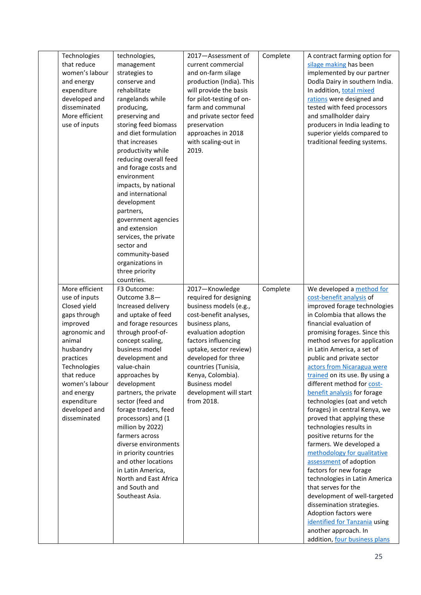| Technologies<br>that reduce<br>women's labour<br>and energy<br>expenditure<br>developed and<br>disseminated<br>More efficient<br>use of inputs                                                                                | technologies,<br>management<br>strategies to<br>conserve and<br>rehabilitate<br>rangelands while<br>producing,<br>preserving and<br>storing feed biomass<br>and diet formulation<br>that increases<br>productivity while<br>reducing overall feed<br>and forage costs and<br>environment<br>impacts, by national<br>and international<br>development<br>partners,<br>government agencies<br>and extension<br>services, the private                                                                       | 2017-Assessment of<br>current commercial<br>and on-farm silage<br>production (India). This<br>will provide the basis<br>for pilot-testing of on-<br>farm and communal<br>and private sector feed<br>preservation<br>approaches in 2018<br>with scaling-out in<br>2019.                                    | Complete | A contract farming option for<br>silage making has been<br>implemented by our partner<br>Dodla Dairy in southern India.<br>In addition, total mixed<br>rations were designed and<br>tested with feed processors<br>and smallholder dairy<br>producers in India leading to<br>superior yields compared to<br>traditional feeding systems.                                                                                                                                                                                                                                                                                                                                                                                                                                                                                                                                                |
|-------------------------------------------------------------------------------------------------------------------------------------------------------------------------------------------------------------------------------|----------------------------------------------------------------------------------------------------------------------------------------------------------------------------------------------------------------------------------------------------------------------------------------------------------------------------------------------------------------------------------------------------------------------------------------------------------------------------------------------------------|-----------------------------------------------------------------------------------------------------------------------------------------------------------------------------------------------------------------------------------------------------------------------------------------------------------|----------|-----------------------------------------------------------------------------------------------------------------------------------------------------------------------------------------------------------------------------------------------------------------------------------------------------------------------------------------------------------------------------------------------------------------------------------------------------------------------------------------------------------------------------------------------------------------------------------------------------------------------------------------------------------------------------------------------------------------------------------------------------------------------------------------------------------------------------------------------------------------------------------------|
| More efficient                                                                                                                                                                                                                | sector and<br>community-based<br>organizations in<br>three priority<br>countries.<br>F3 Outcome:                                                                                                                                                                                                                                                                                                                                                                                                         | 2017-Knowledge                                                                                                                                                                                                                                                                                            | Complete | We developed a method for                                                                                                                                                                                                                                                                                                                                                                                                                                                                                                                                                                                                                                                                                                                                                                                                                                                               |
| use of inputs<br>Closed yield<br>gaps through<br>improved<br>agronomic and<br>animal<br>husbandry<br>practices<br>Technologies<br>that reduce<br>women's labour<br>and energy<br>expenditure<br>developed and<br>disseminated | Outcome 3.8-<br>Increased delivery<br>and uptake of feed<br>and forage resources<br>through proof-of-<br>concept scaling,<br>business model<br>development and<br>value-chain<br>approaches by<br>development<br>partners, the private<br>sector (feed and<br>forage traders, feed<br>processors) and (1<br>million by 2022)<br>farmers across<br>diverse environments<br>in priority countries<br>and other locations<br>in Latin America,<br>North and East Africa<br>and South and<br>Southeast Asia. | required for designing<br>business models (e.g.,<br>cost-benefit analyses,<br>business plans,<br>evaluation adoption<br>factors influencing<br>uptake, sector review)<br>developed for three<br>countries (Tunisia,<br>Kenya, Colombia).<br><b>Business model</b><br>development will start<br>from 2018. |          | cost-benefit analysis of<br>improved forage technologies<br>in Colombia that allows the<br>financial evaluation of<br>promising forages. Since this<br>method serves for application<br>in Latin America, a set of<br>public and private sector<br>actors from Nicaragua were<br>trained on its use. By using a<br>different method for cost-<br>benefit analysis for forage<br>technologies (oat and vetch<br>forages) in central Kenya, we<br>proved that applying these<br>technologies results in<br>positive returns for the<br>farmers. We developed a<br>methodology for qualitative<br>assessment of adoption<br>factors for new forage<br>technologies in Latin America<br>that serves for the<br>development of well-targeted<br>dissemination strategies.<br>Adoption factors were<br>identified for Tanzania using<br>another approach. In<br>addition, four business plans |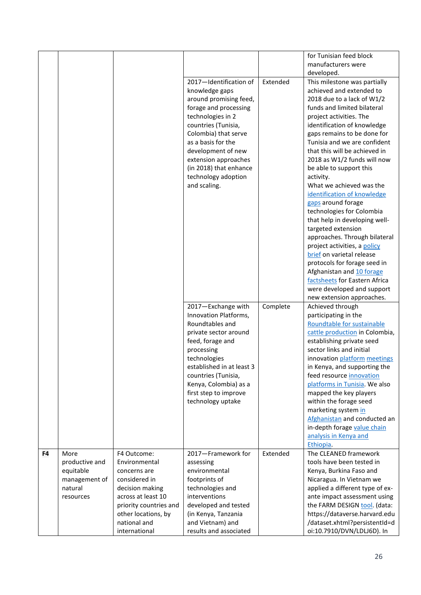|    |                |                        |                                          |          | for Tunisian feed block                               |
|----|----------------|------------------------|------------------------------------------|----------|-------------------------------------------------------|
|    |                |                        |                                          |          | manufacturers were                                    |
|    |                |                        |                                          |          | developed.                                            |
|    |                |                        | 2017-Identification of                   | Extended | This milestone was partially                          |
|    |                |                        | knowledge gaps                           |          | achieved and extended to                              |
|    |                |                        | around promising feed,                   |          | 2018 due to a lack of W1/2                            |
|    |                |                        | forage and processing                    |          | funds and limited bilateral                           |
|    |                |                        | technologies in 2                        |          | project activities. The                               |
|    |                |                        | countries (Tunisia,                      |          | identification of knowledge                           |
|    |                |                        | Colombia) that serve                     |          | gaps remains to be done for                           |
|    |                |                        | as a basis for the                       |          | Tunisia and we are confident                          |
|    |                |                        | development of new                       |          | that this will be achieved in                         |
|    |                |                        | extension approaches                     |          | 2018 as W1/2 funds will now                           |
|    |                |                        | (in 2018) that enhance                   |          | be able to support this                               |
|    |                |                        | technology adoption                      |          | activity.                                             |
|    |                |                        | and scaling.                             |          | What we achieved was the                              |
|    |                |                        |                                          |          | identification of knowledge                           |
|    |                |                        |                                          |          | gaps around forage                                    |
|    |                |                        |                                          |          | technologies for Colombia                             |
|    |                |                        |                                          |          | that help in developing well-                         |
|    |                |                        |                                          |          | targeted extension                                    |
|    |                |                        |                                          |          | approaches. Through bilateral                         |
|    |                |                        |                                          |          | project activities, a policy                          |
|    |                |                        |                                          |          | brief on varietal release                             |
|    |                |                        |                                          |          | protocols for forage seed in                          |
|    |                |                        |                                          |          | Afghanistan and 10 forage                             |
|    |                |                        |                                          |          | factsheets for Eastern Africa                         |
|    |                |                        |                                          |          | were developed and support                            |
|    |                |                        |                                          |          | new extension approaches.                             |
|    |                |                        |                                          | Complete | Achieved through                                      |
|    |                |                        | 2017-Exchange with                       |          |                                                       |
|    |                |                        | Innovation Platforms,<br>Roundtables and |          | participating in the                                  |
|    |                |                        |                                          |          | Roundtable for sustainable                            |
|    |                |                        | private sector around                    |          | cattle production in Colombia,                        |
|    |                |                        | feed, forage and                         |          | establishing private seed<br>sector links and initial |
|    |                |                        | processing                               |          |                                                       |
|    |                |                        | technologies                             |          | innovation platform meetings                          |
|    |                |                        | established in at least 3                |          | in Kenya, and supporting the                          |
|    |                |                        | countries (Tunisia,                      |          | feed resource innovation                              |
|    |                |                        | Kenya, Colombia) as a                    |          | platforms in Tunisia. We also                         |
|    |                |                        | first step to improve                    |          | mapped the key players                                |
|    |                |                        | technology uptake                        |          | within the forage seed                                |
|    |                |                        |                                          |          | marketing system in                                   |
|    |                |                        |                                          |          | Afghanistan and conducted an                          |
|    |                |                        |                                          |          | in-depth forage value chain                           |
|    |                |                        |                                          |          | analysis in Kenya and                                 |
|    |                |                        |                                          | Extended | Ethiopia.<br>The CLEANED framework                    |
| F4 | More           | F4 Outcome:            | 2017-Framework for                       |          |                                                       |
|    | productive and | Environmental          | assessing                                |          | tools have been tested in                             |
|    | equitable      | concerns are           | environmental                            |          | Kenya, Burkina Faso and                               |
|    | management of  | considered in          | footprints of                            |          | Nicaragua. In Vietnam we                              |
|    | natural        | decision making        | technologies and                         |          | applied a different type of ex-                       |
|    | resources      | across at least 10     | interventions                            |          | ante impact assessment using                          |
|    |                | priority countries and | developed and tested                     |          | the FARM DESIGN tool. (data:                          |
|    |                | other locations, by    | (in Kenya, Tanzania                      |          | https://dataverse.harvard.edu                         |
|    |                | national and           | and Vietnam) and                         |          | /dataset.xhtml?persistentId=d                         |
|    |                | international          | results and associated                   |          | oi:10.7910/DVN/LDLJ6D). In                            |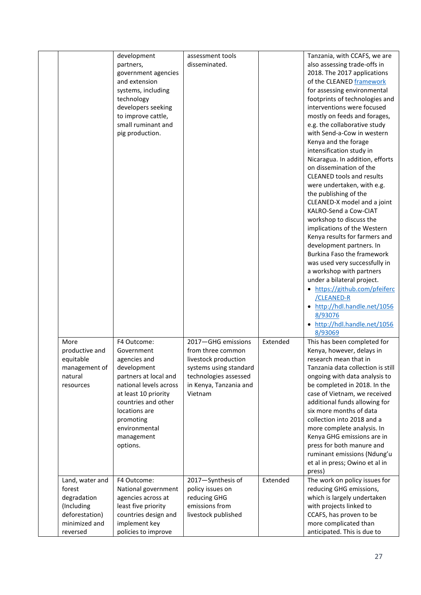|                                                                                                       | development<br>partners,<br>government agencies<br>and extension<br>systems, including<br>technology<br>developers seeking<br>to improve cattle,<br>small ruminant and<br>pig production.                                           | assessment tools<br>disseminated.                                                                                                                       |          | Tanzania, with CCAFS, we are<br>also assessing trade-offs in<br>2018. The 2017 applications<br>of the CLEANED framework<br>for assessing environmental<br>footprints of technologies and<br>interventions were focused<br>mostly on feeds and forages,<br>e.g. the collaborative study<br>with Send-a-Cow in western<br>Kenya and the forage<br>intensification study in<br>Nicaragua. In addition, efforts<br>on dissemination of the<br><b>CLEANED tools and results</b><br>were undertaken, with e.g.<br>the publishing of the<br>CLEANED-X model and a joint<br>KALRO-Send a Cow-CIAT<br>workshop to discuss the<br>implications of the Western<br>Kenya results for farmers and<br>development partners. In<br>Burkina Faso the framework<br>was used very successfully in<br>a workshop with partners<br>under a bilateral project.<br>• https://github.com/pfeiferc<br>/CLEANED-R<br>• http://hdl.handle.net/1056<br>8/93076<br>• http://hdl.handle.net/1056<br>8/93069 |
|-------------------------------------------------------------------------------------------------------|-------------------------------------------------------------------------------------------------------------------------------------------------------------------------------------------------------------------------------------|---------------------------------------------------------------------------------------------------------------------------------------------------------|----------|--------------------------------------------------------------------------------------------------------------------------------------------------------------------------------------------------------------------------------------------------------------------------------------------------------------------------------------------------------------------------------------------------------------------------------------------------------------------------------------------------------------------------------------------------------------------------------------------------------------------------------------------------------------------------------------------------------------------------------------------------------------------------------------------------------------------------------------------------------------------------------------------------------------------------------------------------------------------------------|
| More<br>productive and<br>equitable<br>management of<br>natural<br>resources                          | F4 Outcome:<br>Government<br>agencies and<br>development<br>partners at local and<br>national levels across<br>at least 10 priority<br>countries and other<br>locations are<br>promoting<br>environmental<br>management<br>options. | 2017-GHG emissions<br>from three common<br>livestock production<br>systems using standard<br>technologies assessed<br>in Kenya, Tanzania and<br>Vietnam | Extended | This has been completed for<br>Kenya, however, delays in<br>research mean that in<br>Tanzania data collection is still<br>ongoing with data analysis to<br>be completed in 2018. In the<br>case of Vietnam, we received<br>additional funds allowing for<br>six more months of data<br>collection into 2018 and a<br>more complete analysis. In<br>Kenya GHG emissions are in<br>press for both manure and<br>ruminant emissions (Ndung'u<br>et al in press; Owino et al in<br>press)                                                                                                                                                                                                                                                                                                                                                                                                                                                                                          |
| Land, water and<br>forest<br>degradation<br>(Including<br>deforestation)<br>minimized and<br>reversed | F4 Outcome:<br>National government<br>agencies across at<br>least five priority<br>countries design and<br>implement key<br>policies to improve                                                                                     | 2017-Synthesis of<br>policy issues on<br>reducing GHG<br>emissions from<br>livestock published                                                          | Extended | The work on policy issues for<br>reducing GHG emissions,<br>which is largely undertaken<br>with projects linked to<br>CCAFS, has proven to be<br>more complicated than<br>anticipated. This is due to                                                                                                                                                                                                                                                                                                                                                                                                                                                                                                                                                                                                                                                                                                                                                                          |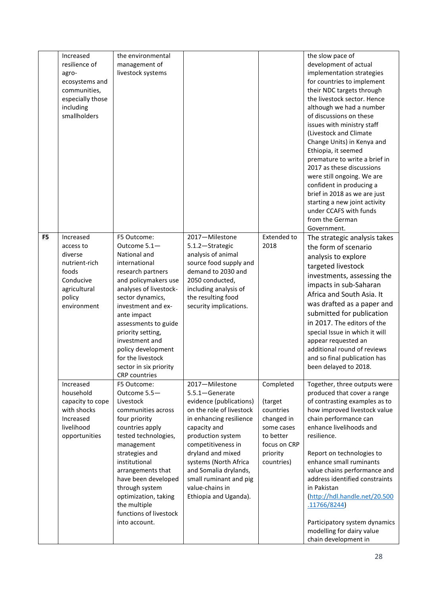|                | Increased<br>resilience of<br>agro-<br>ecosystems and<br>communities,<br>especially those<br>including<br>smallholders | the environmental<br>management of<br>livestock systems                                                                                                                                                                                                                                                                                                  |                                                                                                                                                                                                                                                                                                                            |                                                                                                                      | the slow pace of<br>development of actual<br>implementation strategies<br>for countries to implement<br>their NDC targets through<br>the livestock sector. Hence<br>although we had a number<br>of discussions on these<br>issues with ministry staff<br>(Livestock and Climate<br>Change Units) in Kenya and<br>Ethiopia, it seemed<br>premature to write a brief in<br>2017 as these discussions<br>were still ongoing. We are<br>confident in producing a<br>brief in 2018 as we are just<br>starting a new joint activity<br>under CCAFS with funds<br>from the German<br>Government. |
|----------------|------------------------------------------------------------------------------------------------------------------------|----------------------------------------------------------------------------------------------------------------------------------------------------------------------------------------------------------------------------------------------------------------------------------------------------------------------------------------------------------|----------------------------------------------------------------------------------------------------------------------------------------------------------------------------------------------------------------------------------------------------------------------------------------------------------------------------|----------------------------------------------------------------------------------------------------------------------|-------------------------------------------------------------------------------------------------------------------------------------------------------------------------------------------------------------------------------------------------------------------------------------------------------------------------------------------------------------------------------------------------------------------------------------------------------------------------------------------------------------------------------------------------------------------------------------------|
| F <sub>5</sub> | Increased<br>access to<br>diverse<br>nutrient-rich<br>foods<br>Conducive<br>agricultural<br>policy<br>environment      | F5 Outcome:<br>Outcome 5.1-<br>National and<br>international<br>research partners<br>and policymakers use<br>analyses of livestock-<br>sector dynamics,<br>investment and ex-<br>ante impact<br>assessments to guide<br>priority setting,<br>investment and<br>policy development<br>for the livestock<br>sector in six priority<br><b>CRP</b> countries | 2017-Milestone<br>5.1.2-Strategic<br>analysis of animal<br>source food supply and<br>demand to 2030 and<br>2050 conducted,<br>including analysis of<br>the resulting food<br>security implications.                                                                                                                        | <b>Extended to</b><br>2018                                                                                           | The strategic analysis takes<br>the form of scenario<br>analysis to explore<br>targeted livestock<br>investments, assessing the<br>impacts in sub-Saharan<br>Africa and South Asia. It<br>was drafted as a paper and<br>submitted for publication<br>in 2017. The editors of the<br>special Issue in which it will<br>appear requested an<br>additional round of reviews<br>and so final publication has<br>been delayed to 2018.                                                                                                                                                         |
|                | Increased<br>household<br>capacity to cope<br>with shocks<br>Increased<br>livelihood<br>opportunities                  | F5 Outcome:<br>Outcome 5.5-<br>Livestock<br>communities across<br>four priority<br>countries apply<br>tested technologies,<br>management<br>strategies and<br>institutional<br>arrangements that<br>have been developed<br>through system<br>optimization, taking<br>the multiple<br>functions of livestock<br>into account.                             | 2017-Milestone<br>5.5.1-Generate<br>evidence (publications)<br>on the role of livestock<br>in enhancing resilience<br>capacity and<br>production system<br>competitiveness in<br>dryland and mixed<br>systems (North Africa<br>and Somalia drylands,<br>small ruminant and pig<br>value-chains in<br>Ethiopia and Uganda). | Completed<br>(target<br>countries<br>changed in<br>some cases<br>to better<br>focus on CRP<br>priority<br>countries) | Together, three outputs were<br>produced that cover a range<br>of contrasting examples as to<br>how improved livestock value<br>chain performance can<br>enhance livelihoods and<br>resilience.<br>Report on technologies to<br>enhance small ruminants<br>value chains performance and<br>address identified constraints<br>in Pakistan<br>http://hdl.handle.net/20.500<br>.11766/8244)<br>Participatory system dynamics<br>modelling for dairy value<br>chain development in                                                                                                            |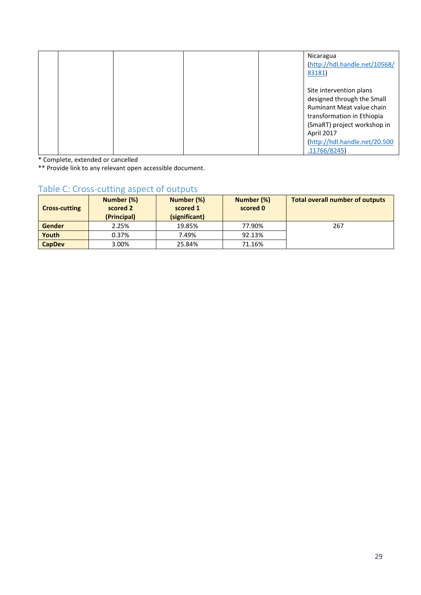|  |  | Nicaragua<br>(http://hdl.handle.net/10568/<br>83181)                                                                                                                                                          |
|--|--|---------------------------------------------------------------------------------------------------------------------------------------------------------------------------------------------------------------|
|  |  | Site intervention plans<br>designed through the Small<br>Ruminant Meat value chain<br>transformation in Ethiopia<br>(SmaRT) project workshop in<br>April 2017<br>http://hdl.handle.net/20.500<br>.11766/8245) |

\* Complete, extended or cancelled

\*\* Provide link to any relevant open accessible document.

# Table C: Cross-cutting aspect of outputs

| Number (%)<br>Number (%)<br>scored 2<br>scored 1<br><b>Cross-cutting</b><br>(Principal)<br>(significant) |       | Number (%)<br>scored 0 | <b>Total overall number of outputs</b> |     |
|----------------------------------------------------------------------------------------------------------|-------|------------------------|----------------------------------------|-----|
| Gender                                                                                                   | 2.25% | 19.85%                 | 77.90%                                 | 267 |
| Youth                                                                                                    | 0.37% | 7.49%                  | 92.13%                                 |     |
| <b>CapDev</b>                                                                                            | 3.00% | 25.84%                 | 71.16%                                 |     |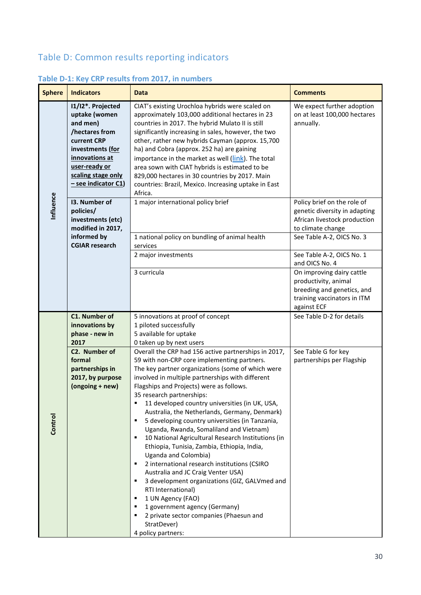# Table D: Common results reporting indicators

| <b>Sphere</b> | <b>Indicators</b>                                                                                                                                                                   | <b>Data</b>                                                                                                                                                                                                                                                                                                                                                                                                                                                                                                                                                                                                                                                                                                                                                                                                                                                                                                                                               | <b>Comments</b>                                                                                                               |
|---------------|-------------------------------------------------------------------------------------------------------------------------------------------------------------------------------------|-----------------------------------------------------------------------------------------------------------------------------------------------------------------------------------------------------------------------------------------------------------------------------------------------------------------------------------------------------------------------------------------------------------------------------------------------------------------------------------------------------------------------------------------------------------------------------------------------------------------------------------------------------------------------------------------------------------------------------------------------------------------------------------------------------------------------------------------------------------------------------------------------------------------------------------------------------------|-------------------------------------------------------------------------------------------------------------------------------|
|               | I1/I2*. Projected<br>uptake (women<br>and men)<br>/hectares from<br>current CRP<br>investments (for<br>innovations at<br>user-ready or<br>scaling stage only<br>- see indicator C1) | CIAT's existing Urochloa hybrids were scaled on<br>approximately 103,000 additional hectares in 23<br>countries in 2017. The hybrid Mulato II is still<br>significantly increasing in sales, however, the two<br>other, rather new hybrids Cayman (approx. 15,700<br>ha) and Cobra (approx. 252 ha) are gaining<br>importance in the market as well (link). The total<br>area sown with CIAT hybrids is estimated to be<br>829,000 hectares in 30 countries by 2017. Main<br>countries: Brazil, Mexico. Increasing uptake in East<br>Africa.                                                                                                                                                                                                                                                                                                                                                                                                              | We expect further adoption<br>on at least 100,000 hectares<br>annually.                                                       |
| Influence     | 13. Number of<br>policies/<br>investments (etc)<br>modified in 2017,                                                                                                                | 1 major international policy brief                                                                                                                                                                                                                                                                                                                                                                                                                                                                                                                                                                                                                                                                                                                                                                                                                                                                                                                        | Policy brief on the role of<br>genetic diversity in adapting<br>African livestock production<br>to climate change             |
|               | informed by<br><b>CGIAR research</b>                                                                                                                                                | 1 national policy on bundling of animal health<br>services                                                                                                                                                                                                                                                                                                                                                                                                                                                                                                                                                                                                                                                                                                                                                                                                                                                                                                | See Table A-2, OICS No. 3                                                                                                     |
|               |                                                                                                                                                                                     | 2 major investments                                                                                                                                                                                                                                                                                                                                                                                                                                                                                                                                                                                                                                                                                                                                                                                                                                                                                                                                       | See Table A-2, OICS No. 1<br>and OICS No. 4                                                                                   |
|               |                                                                                                                                                                                     | 3 curricula                                                                                                                                                                                                                                                                                                                                                                                                                                                                                                                                                                                                                                                                                                                                                                                                                                                                                                                                               | On improving dairy cattle<br>productivity, animal<br>breeding and genetics, and<br>training vaccinators in ITM<br>against ECF |
|               | C1. Number of<br>innovations by<br>phase - new in<br>2017                                                                                                                           | 5 innovations at proof of concept<br>1 piloted successfully<br>5 available for uptake<br>0 taken up by next users                                                                                                                                                                                                                                                                                                                                                                                                                                                                                                                                                                                                                                                                                                                                                                                                                                         | See Table D-2 for details                                                                                                     |
| Control       | C2. Number of<br>formal<br>partnerships in<br>2017, by purpose<br>(ongoing + new)                                                                                                   | Overall the CRP had 156 active partnerships in 2017,<br>59 with non-CRP core implementing partners.<br>The key partner organizations (some of which were<br>involved in multiple partnerships with different<br>Flagships and Projects) were as follows.<br>35 research partnerships:<br>11 developed country universities (in UK, USA,<br>Australia, the Netherlands, Germany, Denmark)<br>5 developing country universities (in Tanzania,<br>٠<br>Uganda, Rwanda, Somaliland and Vietnam)<br>10 National Agricultural Research Institutions (in<br>٠<br>Ethiopia, Tunisia, Zambia, Ethiopia, India,<br>Uganda and Colombia)<br>2 international research institutions (CSIRO<br>п<br>Australia and JC Craig Venter USA)<br>3 development organizations (GIZ, GALVmed and<br>٠<br>RTI International)<br>1 UN Agency (FAO)<br>٠<br>1 government agency (Germany)<br>٠<br>2 private sector companies (Phaesun and<br>٠<br>StratDever)<br>4 policy partners: | See Table G for key<br>partnerships per Flagship                                                                              |

# **Table D-1: Key CRP results from 2017, in numbers**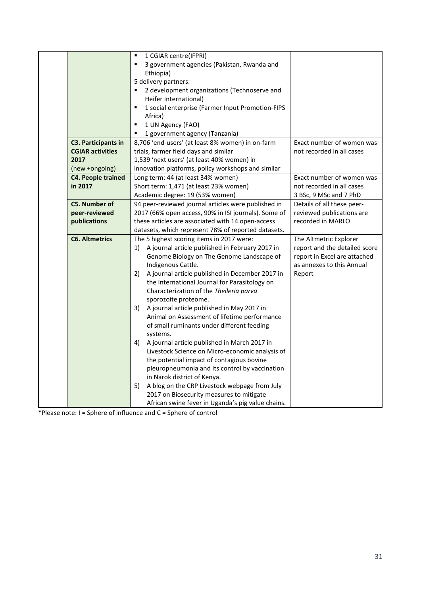|                            | $\blacksquare$<br>1 CGIAR centre(IFPRI)               |                               |
|----------------------------|-------------------------------------------------------|-------------------------------|
|                            | 3 government agencies (Pakistan, Rwanda and           |                               |
|                            | Ethiopia)                                             |                               |
|                            | 5 delivery partners:                                  |                               |
|                            | 2 development organizations (Technoserve and<br>٠     |                               |
|                            | Heifer International)                                 |                               |
|                            | 1 social enterprise (Farmer Input Promotion-FIPS<br>٠ |                               |
|                            | Africa)                                               |                               |
|                            | 1 UN Agency (FAO)<br>$\blacksquare$                   |                               |
|                            | 1 government agency (Tanzania)                        |                               |
| <b>C3. Participants in</b> | 8,706 'end-users' (at least 8% women) in on-farm      | Exact number of women was     |
| <b>CGIAR activities</b>    | trials, farmer field days and similar                 | not recorded in all cases     |
| 2017                       | 1,539 'next users' (at least 40% women) in            |                               |
| (new +ongoing)             | innovation platforms, policy workshops and similar    |                               |
| <b>C4. People trained</b>  | Long term: 44 (at least 34% women)                    | Exact number of women was     |
| in 2017                    | Short term: 1,471 (at least 23% women)                | not recorded in all cases     |
|                            | Academic degree: 19 (53% women)                       | 3 BSc, 9 MSc and 7 PhD        |
| <b>C5. Number of</b>       | 94 peer-reviewed journal articles were published in   | Details of all these peer-    |
| peer-reviewed              | 2017 (66% open access, 90% in ISI journals). Some of  | reviewed publications are     |
| publications               | these articles are associated with 14 open-access     | recorded in MARLO             |
|                            | datasets, which represent 78% of reported datasets.   |                               |
| <b>C6. Altmetrics</b>      | The 5 highest scoring items in 2017 were:             | The Altmetric Explorer        |
|                            | 1) A journal article published in February 2017 in    | report and the detailed score |
|                            | Genome Biology on The Genome Landscape of             | report in Excel are attached  |
|                            | Indigenous Cattle.                                    | as annexes to this Annual     |
|                            | A journal article published in December 2017 in<br>2) | Report                        |
|                            | the International Journal for Parasitology on         |                               |
|                            | Characterization of the Theileria parva               |                               |
|                            | sporozoite proteome.                                  |                               |
|                            | 3) A journal article published in May 2017 in         |                               |
|                            | Animal on Assessment of lifetime performance          |                               |
|                            | of small ruminants under different feeding            |                               |
|                            | systems.                                              |                               |
|                            | A journal article published in March 2017 in<br>4)    |                               |
|                            | Livestock Science on Micro-economic analysis of       |                               |
|                            | the potential impact of contagious bovine             |                               |
|                            | pleuropneumonia and its control by vaccination        |                               |
|                            |                                                       |                               |
|                            | in Narok district of Kenya.                           |                               |
|                            | A blog on the CRP Livestock webpage from July<br>5)   |                               |
|                            | 2017 on Biosecurity measures to mitigate              |                               |
|                            | African swine fever in Uganda's pig value chains.     |                               |

\*Please note: I = Sphere of influence and C = Sphere of control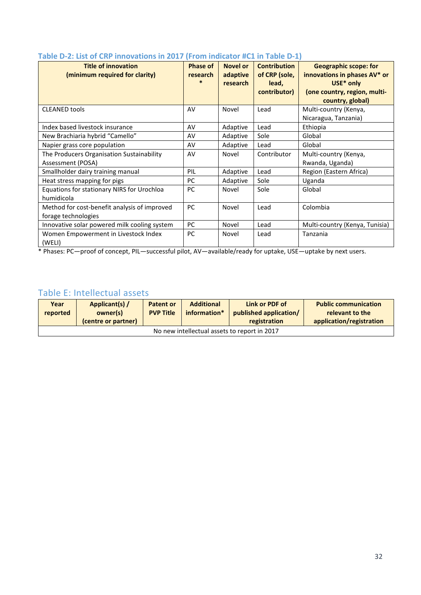| Table D-2. List of Citi Thilovations in 2017 (From Indicator TC1 In Table D-1) |                 |                 |                     |                                |  |
|--------------------------------------------------------------------------------|-----------------|-----------------|---------------------|--------------------------------|--|
| <b>Title of innovation</b>                                                     | <b>Phase of</b> | <b>Novel or</b> | <b>Contribution</b> | <b>Geographic scope: for</b>   |  |
| (minimum required for clarity)                                                 | research        | adaptive        | of CRP (sole,       | innovations in phases AV* or   |  |
|                                                                                | $\ast$          | research        | lead,               | USE* only                      |  |
|                                                                                |                 |                 | contributor)        | (one country, region, multi-   |  |
|                                                                                |                 |                 |                     | country, global)               |  |
| <b>CLEANED tools</b>                                                           | AV              | Novel           | Lead                | Multi-country (Kenya,          |  |
|                                                                                |                 |                 |                     | Nicaragua, Tanzania)           |  |
| Index based livestock insurance                                                | AV              | Adaptive        | Lead                | Ethiopia                       |  |
| New Brachiaria hybrid "Camello"                                                | AV              | Adaptive        | Sole                | Global                         |  |
| Napier grass core population                                                   | AV              | Adaptive        | Lead                | Global                         |  |
| The Producers Organisation Sustainability                                      | AV              | Novel           | Contributor         | Multi-country (Kenya,          |  |
| Assessment (POSA)                                                              |                 |                 |                     | Rwanda, Uganda)                |  |
| Smallholder dairy training manual                                              | PIL             | Adaptive        | Lead                | Region (Eastern Africa)        |  |
| Heat stress mapping for pigs                                                   | PC              | Adaptive        | Sole                | Uganda                         |  |
| Equations for stationary NIRS for Urochloa                                     | <b>PC</b>       | Novel           | Sole                | Global                         |  |
| humidicola                                                                     |                 |                 |                     |                                |  |
| Method for cost-benefit analysis of improved                                   | <b>PC</b>       | Novel           | Lead                | Colombia                       |  |
| forage technologies                                                            |                 |                 |                     |                                |  |
| Innovative solar powered milk cooling system                                   | <b>PC</b>       | Novel           | Lead                | Multi-country (Kenya, Tunisia) |  |
| Women Empowerment in Livestock Index                                           | <b>PC</b>       | Novel           | Lead                | Tanzania                       |  |
| (WELI)                                                                         |                 |                 |                     |                                |  |

#### **Table D-2: List of CRP innovations in 2017 (From indicator #C1 in Table D-1)**

\* Phases: PC—proof of concept, PIL—successful pilot, AV—available/ready for uptake, USE—uptake by next users.

# Table E: Intellectual assets

| Year<br>reported                             | Applicant(s) /<br>owner(s) | <b>Patent or</b><br><b>PVP Title</b> | <b>Additional</b><br>information* | Link or PDF of<br>published application/ | <b>Public communication</b><br>relevant to the |  |
|----------------------------------------------|----------------------------|--------------------------------------|-----------------------------------|------------------------------------------|------------------------------------------------|--|
|                                              | (centre or partner)        |                                      |                                   | registration                             | application/registration                       |  |
| No new intellectual assets to report in 2017 |                            |                                      |                                   |                                          |                                                |  |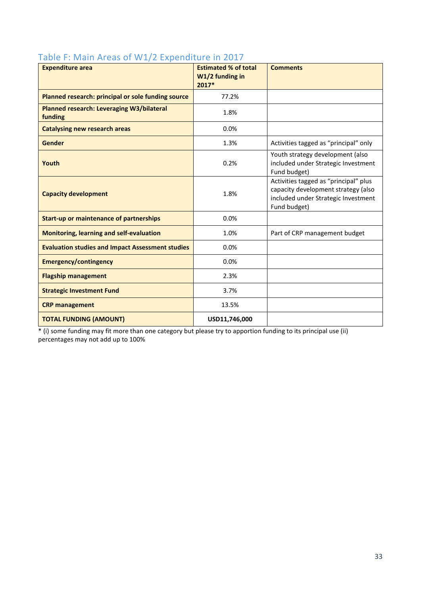| able to intram the case of $\mathbf{v} \cdot \mathbf{r}$ is experienced and $\mathbf{r} \cdot \mathbf{r}$<br><b>Expenditure area</b> | <b>Estimated % of total</b><br>W1/2 funding in<br>2017* | <b>Comments</b>                                                                                                                     |
|--------------------------------------------------------------------------------------------------------------------------------------|---------------------------------------------------------|-------------------------------------------------------------------------------------------------------------------------------------|
| Planned research: principal or sole funding source                                                                                   | 77.2%                                                   |                                                                                                                                     |
| <b>Planned research: Leveraging W3/bilateral</b><br>funding                                                                          | 1.8%                                                    |                                                                                                                                     |
| <b>Catalysing new research areas</b>                                                                                                 | 0.0%                                                    |                                                                                                                                     |
| <b>Gender</b>                                                                                                                        | 1.3%                                                    | Activities tagged as "principal" only                                                                                               |
| Youth                                                                                                                                | 0.2%                                                    | Youth strategy development (also<br>included under Strategic Investment<br>Fund budget)                                             |
| <b>Capacity development</b>                                                                                                          | 1.8%                                                    | Activities tagged as "principal" plus<br>capacity development strategy (also<br>included under Strategic Investment<br>Fund budget) |
| <b>Start-up or maintenance of partnerships</b>                                                                                       | 0.0%                                                    |                                                                                                                                     |
| <b>Monitoring, learning and self-evaluation</b>                                                                                      | 1.0%                                                    | Part of CRP management budget                                                                                                       |
| <b>Evaluation studies and Impact Assessment studies</b>                                                                              | 0.0%                                                    |                                                                                                                                     |
| <b>Emergency/contingency</b>                                                                                                         | 0.0%                                                    |                                                                                                                                     |
| <b>Flagship management</b>                                                                                                           | 2.3%                                                    |                                                                                                                                     |
| <b>Strategic Investment Fund</b>                                                                                                     | 3.7%                                                    |                                                                                                                                     |
| <b>CRP</b> management                                                                                                                | 13.5%                                                   |                                                                                                                                     |
| <b>TOTAL FUNDING (AMOUNT)</b>                                                                                                        | USD11,746,000                                           |                                                                                                                                     |

## Table F: Main Areas of W1/2 Expenditure in 2017

\* (i) some funding may fit more than one category but please try to apportion funding to its principal use (ii) percentages may not add up to 100%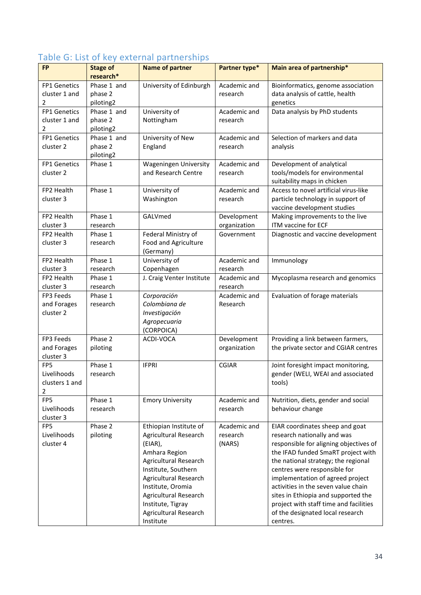| FP1 Genetics<br>Phase 1 and<br>University of Edinburgh<br>Academic and<br>Bioinformatics, genome association<br>cluster 1 and<br>phase 2<br>data analysis of cattle, health<br>research<br>2<br>piloting2<br>genetics<br>FP1 Genetics<br>Phase 1 and<br>University of<br>Academic and<br>Data analysis by PhD students<br>cluster 1 and<br>phase 2<br>Nottingham<br>research<br>2<br>piloting2<br>University of New<br>FP1 Genetics<br>Phase 1 and<br>Selection of markers and data<br>Academic and<br>cluster 2<br>phase 2<br>England<br>research<br>analysis<br>piloting2<br><b>Wageningen University</b><br>FP1 Genetics<br>Phase 1<br>Academic and<br>Development of analytical<br>and Research Centre<br>tools/models for environmental<br>cluster 2<br>research<br>suitability maps in chicken<br>Phase 1<br>FP2 Health<br>University of<br>Academic and<br>Access to novel artificial virus-like<br>cluster 3<br>Washington<br>particle technology in support of<br>research<br>vaccine development studies<br>GALVmed<br>FP2 Health<br>Phase 1<br>Making improvements to the live<br>Development<br>ITM vaccine for ECF<br>cluster 3<br>research<br>organization<br>Phase 1<br>Federal Ministry of<br>FP2 Health<br>Government<br>Diagnostic and vaccine development<br>Food and Agriculture<br>cluster 3<br>research<br>(Germany)<br>Phase 1<br>University of<br>Academic and<br>Immunology<br>FP2 Health<br>Copenhagen<br>cluster 3<br>research<br>research<br>J. Craig Venter Institute<br>FP2 Health<br>Phase 1<br>Academic and<br>Mycoplasma research and genomics<br>cluster 3<br>research<br>research<br>Phase 1<br>FP3 Feeds<br>Corporación<br>Academic and<br>Evaluation of forage materials<br>Colombiana de<br>Research<br>and Forages<br>research<br>cluster 2<br>Investigación<br>Agropecuaria<br>(CORPOICA)<br>Phase 2<br>Providing a link between farmers,<br>FP3 Feeds<br>Development<br>ACDI-VOCA<br>and Forages<br>piloting<br>the private sector and CGIAR centres<br>organization<br>cluster 3<br>FP <sub>5</sub><br>Phase 1<br><b>IFPRI</b><br><b>CGIAR</b><br>Joint foresight impact monitoring,<br>Livelihoods<br>gender (WELI, WEAI and associated<br>research<br>clusters 1 and<br>tools)<br>2<br>FP5<br>Phase 1<br><b>Emory University</b><br>Academic and<br>Nutrition, diets, gender and social<br>Livelihoods<br>behaviour change<br>research<br>research<br>cluster 3<br>FP5<br>Phase 2<br>Academic and<br>Ethiopian Institute of<br>EIAR coordinates sheep and goat<br>research nationally and was<br>Livelihoods<br>piloting<br><b>Agricultural Research</b><br>research<br>cluster 4<br>responsible for aligning objectives of<br>(NARS)<br>(EIAR),<br>Amhara Region<br>the IFAD funded SmaRT project with<br><b>Agricultural Research</b><br>the national strategy; the regional<br>Institute, Southern<br>centres were responsible for | <b>FP</b> | <b>Stage of</b><br>research* | <b>Name of partner</b> | Partner type* | Main area of partnership* |  |  |  |
|-----------------------------------------------------------------------------------------------------------------------------------------------------------------------------------------------------------------------------------------------------------------------------------------------------------------------------------------------------------------------------------------------------------------------------------------------------------------------------------------------------------------------------------------------------------------------------------------------------------------------------------------------------------------------------------------------------------------------------------------------------------------------------------------------------------------------------------------------------------------------------------------------------------------------------------------------------------------------------------------------------------------------------------------------------------------------------------------------------------------------------------------------------------------------------------------------------------------------------------------------------------------------------------------------------------------------------------------------------------------------------------------------------------------------------------------------------------------------------------------------------------------------------------------------------------------------------------------------------------------------------------------------------------------------------------------------------------------------------------------------------------------------------------------------------------------------------------------------------------------------------------------------------------------------------------------------------------------------------------------------------------------------------------------------------------------------------------------------------------------------------------------------------------------------------------------------------------------------------------------------------------------------------------------------------------------------------------------------------------------------------------------------------------------------------------------------------------------------------------------------------------------------------------------------------------------------------------------------------------------------------------------------------------------------------------------------------------------------------------------------------------------------------------------------------------------------------------------------------------------------------------|-----------|------------------------------|------------------------|---------------|---------------------------|--|--|--|
|                                                                                                                                                                                                                                                                                                                                                                                                                                                                                                                                                                                                                                                                                                                                                                                                                                                                                                                                                                                                                                                                                                                                                                                                                                                                                                                                                                                                                                                                                                                                                                                                                                                                                                                                                                                                                                                                                                                                                                                                                                                                                                                                                                                                                                                                                                                                                                                                                                                                                                                                                                                                                                                                                                                                                                                                                                                                                   |           |                              |                        |               |                           |  |  |  |
|                                                                                                                                                                                                                                                                                                                                                                                                                                                                                                                                                                                                                                                                                                                                                                                                                                                                                                                                                                                                                                                                                                                                                                                                                                                                                                                                                                                                                                                                                                                                                                                                                                                                                                                                                                                                                                                                                                                                                                                                                                                                                                                                                                                                                                                                                                                                                                                                                                                                                                                                                                                                                                                                                                                                                                                                                                                                                   |           |                              |                        |               |                           |  |  |  |
|                                                                                                                                                                                                                                                                                                                                                                                                                                                                                                                                                                                                                                                                                                                                                                                                                                                                                                                                                                                                                                                                                                                                                                                                                                                                                                                                                                                                                                                                                                                                                                                                                                                                                                                                                                                                                                                                                                                                                                                                                                                                                                                                                                                                                                                                                                                                                                                                                                                                                                                                                                                                                                                                                                                                                                                                                                                                                   |           |                              |                        |               |                           |  |  |  |
|                                                                                                                                                                                                                                                                                                                                                                                                                                                                                                                                                                                                                                                                                                                                                                                                                                                                                                                                                                                                                                                                                                                                                                                                                                                                                                                                                                                                                                                                                                                                                                                                                                                                                                                                                                                                                                                                                                                                                                                                                                                                                                                                                                                                                                                                                                                                                                                                                                                                                                                                                                                                                                                                                                                                                                                                                                                                                   |           |                              |                        |               |                           |  |  |  |
|                                                                                                                                                                                                                                                                                                                                                                                                                                                                                                                                                                                                                                                                                                                                                                                                                                                                                                                                                                                                                                                                                                                                                                                                                                                                                                                                                                                                                                                                                                                                                                                                                                                                                                                                                                                                                                                                                                                                                                                                                                                                                                                                                                                                                                                                                                                                                                                                                                                                                                                                                                                                                                                                                                                                                                                                                                                                                   |           |                              |                        |               |                           |  |  |  |
|                                                                                                                                                                                                                                                                                                                                                                                                                                                                                                                                                                                                                                                                                                                                                                                                                                                                                                                                                                                                                                                                                                                                                                                                                                                                                                                                                                                                                                                                                                                                                                                                                                                                                                                                                                                                                                                                                                                                                                                                                                                                                                                                                                                                                                                                                                                                                                                                                                                                                                                                                                                                                                                                                                                                                                                                                                                                                   |           |                              |                        |               |                           |  |  |  |
|                                                                                                                                                                                                                                                                                                                                                                                                                                                                                                                                                                                                                                                                                                                                                                                                                                                                                                                                                                                                                                                                                                                                                                                                                                                                                                                                                                                                                                                                                                                                                                                                                                                                                                                                                                                                                                                                                                                                                                                                                                                                                                                                                                                                                                                                                                                                                                                                                                                                                                                                                                                                                                                                                                                                                                                                                                                                                   |           |                              |                        |               |                           |  |  |  |
|                                                                                                                                                                                                                                                                                                                                                                                                                                                                                                                                                                                                                                                                                                                                                                                                                                                                                                                                                                                                                                                                                                                                                                                                                                                                                                                                                                                                                                                                                                                                                                                                                                                                                                                                                                                                                                                                                                                                                                                                                                                                                                                                                                                                                                                                                                                                                                                                                                                                                                                                                                                                                                                                                                                                                                                                                                                                                   |           |                              |                        |               |                           |  |  |  |
|                                                                                                                                                                                                                                                                                                                                                                                                                                                                                                                                                                                                                                                                                                                                                                                                                                                                                                                                                                                                                                                                                                                                                                                                                                                                                                                                                                                                                                                                                                                                                                                                                                                                                                                                                                                                                                                                                                                                                                                                                                                                                                                                                                                                                                                                                                                                                                                                                                                                                                                                                                                                                                                                                                                                                                                                                                                                                   |           |                              |                        |               |                           |  |  |  |
|                                                                                                                                                                                                                                                                                                                                                                                                                                                                                                                                                                                                                                                                                                                                                                                                                                                                                                                                                                                                                                                                                                                                                                                                                                                                                                                                                                                                                                                                                                                                                                                                                                                                                                                                                                                                                                                                                                                                                                                                                                                                                                                                                                                                                                                                                                                                                                                                                                                                                                                                                                                                                                                                                                                                                                                                                                                                                   |           |                              |                        |               |                           |  |  |  |
|                                                                                                                                                                                                                                                                                                                                                                                                                                                                                                                                                                                                                                                                                                                                                                                                                                                                                                                                                                                                                                                                                                                                                                                                                                                                                                                                                                                                                                                                                                                                                                                                                                                                                                                                                                                                                                                                                                                                                                                                                                                                                                                                                                                                                                                                                                                                                                                                                                                                                                                                                                                                                                                                                                                                                                                                                                                                                   |           |                              |                        |               |                           |  |  |  |
|                                                                                                                                                                                                                                                                                                                                                                                                                                                                                                                                                                                                                                                                                                                                                                                                                                                                                                                                                                                                                                                                                                                                                                                                                                                                                                                                                                                                                                                                                                                                                                                                                                                                                                                                                                                                                                                                                                                                                                                                                                                                                                                                                                                                                                                                                                                                                                                                                                                                                                                                                                                                                                                                                                                                                                                                                                                                                   |           |                              |                        |               |                           |  |  |  |
|                                                                                                                                                                                                                                                                                                                                                                                                                                                                                                                                                                                                                                                                                                                                                                                                                                                                                                                                                                                                                                                                                                                                                                                                                                                                                                                                                                                                                                                                                                                                                                                                                                                                                                                                                                                                                                                                                                                                                                                                                                                                                                                                                                                                                                                                                                                                                                                                                                                                                                                                                                                                                                                                                                                                                                                                                                                                                   |           |                              |                        |               |                           |  |  |  |
|                                                                                                                                                                                                                                                                                                                                                                                                                                                                                                                                                                                                                                                                                                                                                                                                                                                                                                                                                                                                                                                                                                                                                                                                                                                                                                                                                                                                                                                                                                                                                                                                                                                                                                                                                                                                                                                                                                                                                                                                                                                                                                                                                                                                                                                                                                                                                                                                                                                                                                                                                                                                                                                                                                                                                                                                                                                                                   |           |                              |                        |               |                           |  |  |  |
|                                                                                                                                                                                                                                                                                                                                                                                                                                                                                                                                                                                                                                                                                                                                                                                                                                                                                                                                                                                                                                                                                                                                                                                                                                                                                                                                                                                                                                                                                                                                                                                                                                                                                                                                                                                                                                                                                                                                                                                                                                                                                                                                                                                                                                                                                                                                                                                                                                                                                                                                                                                                                                                                                                                                                                                                                                                                                   |           |                              |                        |               |                           |  |  |  |
|                                                                                                                                                                                                                                                                                                                                                                                                                                                                                                                                                                                                                                                                                                                                                                                                                                                                                                                                                                                                                                                                                                                                                                                                                                                                                                                                                                                                                                                                                                                                                                                                                                                                                                                                                                                                                                                                                                                                                                                                                                                                                                                                                                                                                                                                                                                                                                                                                                                                                                                                                                                                                                                                                                                                                                                                                                                                                   |           |                              |                        |               |                           |  |  |  |
|                                                                                                                                                                                                                                                                                                                                                                                                                                                                                                                                                                                                                                                                                                                                                                                                                                                                                                                                                                                                                                                                                                                                                                                                                                                                                                                                                                                                                                                                                                                                                                                                                                                                                                                                                                                                                                                                                                                                                                                                                                                                                                                                                                                                                                                                                                                                                                                                                                                                                                                                                                                                                                                                                                                                                                                                                                                                                   |           |                              |                        |               |                           |  |  |  |
|                                                                                                                                                                                                                                                                                                                                                                                                                                                                                                                                                                                                                                                                                                                                                                                                                                                                                                                                                                                                                                                                                                                                                                                                                                                                                                                                                                                                                                                                                                                                                                                                                                                                                                                                                                                                                                                                                                                                                                                                                                                                                                                                                                                                                                                                                                                                                                                                                                                                                                                                                                                                                                                                                                                                                                                                                                                                                   |           |                              |                        |               |                           |  |  |  |
|                                                                                                                                                                                                                                                                                                                                                                                                                                                                                                                                                                                                                                                                                                                                                                                                                                                                                                                                                                                                                                                                                                                                                                                                                                                                                                                                                                                                                                                                                                                                                                                                                                                                                                                                                                                                                                                                                                                                                                                                                                                                                                                                                                                                                                                                                                                                                                                                                                                                                                                                                                                                                                                                                                                                                                                                                                                                                   |           |                              |                        |               |                           |  |  |  |
|                                                                                                                                                                                                                                                                                                                                                                                                                                                                                                                                                                                                                                                                                                                                                                                                                                                                                                                                                                                                                                                                                                                                                                                                                                                                                                                                                                                                                                                                                                                                                                                                                                                                                                                                                                                                                                                                                                                                                                                                                                                                                                                                                                                                                                                                                                                                                                                                                                                                                                                                                                                                                                                                                                                                                                                                                                                                                   |           |                              |                        |               |                           |  |  |  |
|                                                                                                                                                                                                                                                                                                                                                                                                                                                                                                                                                                                                                                                                                                                                                                                                                                                                                                                                                                                                                                                                                                                                                                                                                                                                                                                                                                                                                                                                                                                                                                                                                                                                                                                                                                                                                                                                                                                                                                                                                                                                                                                                                                                                                                                                                                                                                                                                                                                                                                                                                                                                                                                                                                                                                                                                                                                                                   |           |                              |                        |               |                           |  |  |  |
|                                                                                                                                                                                                                                                                                                                                                                                                                                                                                                                                                                                                                                                                                                                                                                                                                                                                                                                                                                                                                                                                                                                                                                                                                                                                                                                                                                                                                                                                                                                                                                                                                                                                                                                                                                                                                                                                                                                                                                                                                                                                                                                                                                                                                                                                                                                                                                                                                                                                                                                                                                                                                                                                                                                                                                                                                                                                                   |           |                              |                        |               |                           |  |  |  |
|                                                                                                                                                                                                                                                                                                                                                                                                                                                                                                                                                                                                                                                                                                                                                                                                                                                                                                                                                                                                                                                                                                                                                                                                                                                                                                                                                                                                                                                                                                                                                                                                                                                                                                                                                                                                                                                                                                                                                                                                                                                                                                                                                                                                                                                                                                                                                                                                                                                                                                                                                                                                                                                                                                                                                                                                                                                                                   |           |                              |                        |               |                           |  |  |  |
|                                                                                                                                                                                                                                                                                                                                                                                                                                                                                                                                                                                                                                                                                                                                                                                                                                                                                                                                                                                                                                                                                                                                                                                                                                                                                                                                                                                                                                                                                                                                                                                                                                                                                                                                                                                                                                                                                                                                                                                                                                                                                                                                                                                                                                                                                                                                                                                                                                                                                                                                                                                                                                                                                                                                                                                                                                                                                   |           |                              |                        |               |                           |  |  |  |
|                                                                                                                                                                                                                                                                                                                                                                                                                                                                                                                                                                                                                                                                                                                                                                                                                                                                                                                                                                                                                                                                                                                                                                                                                                                                                                                                                                                                                                                                                                                                                                                                                                                                                                                                                                                                                                                                                                                                                                                                                                                                                                                                                                                                                                                                                                                                                                                                                                                                                                                                                                                                                                                                                                                                                                                                                                                                                   |           |                              |                        |               |                           |  |  |  |
|                                                                                                                                                                                                                                                                                                                                                                                                                                                                                                                                                                                                                                                                                                                                                                                                                                                                                                                                                                                                                                                                                                                                                                                                                                                                                                                                                                                                                                                                                                                                                                                                                                                                                                                                                                                                                                                                                                                                                                                                                                                                                                                                                                                                                                                                                                                                                                                                                                                                                                                                                                                                                                                                                                                                                                                                                                                                                   |           |                              |                        |               |                           |  |  |  |
|                                                                                                                                                                                                                                                                                                                                                                                                                                                                                                                                                                                                                                                                                                                                                                                                                                                                                                                                                                                                                                                                                                                                                                                                                                                                                                                                                                                                                                                                                                                                                                                                                                                                                                                                                                                                                                                                                                                                                                                                                                                                                                                                                                                                                                                                                                                                                                                                                                                                                                                                                                                                                                                                                                                                                                                                                                                                                   |           |                              |                        |               |                           |  |  |  |
|                                                                                                                                                                                                                                                                                                                                                                                                                                                                                                                                                                                                                                                                                                                                                                                                                                                                                                                                                                                                                                                                                                                                                                                                                                                                                                                                                                                                                                                                                                                                                                                                                                                                                                                                                                                                                                                                                                                                                                                                                                                                                                                                                                                                                                                                                                                                                                                                                                                                                                                                                                                                                                                                                                                                                                                                                                                                                   |           |                              |                        |               |                           |  |  |  |
|                                                                                                                                                                                                                                                                                                                                                                                                                                                                                                                                                                                                                                                                                                                                                                                                                                                                                                                                                                                                                                                                                                                                                                                                                                                                                                                                                                                                                                                                                                                                                                                                                                                                                                                                                                                                                                                                                                                                                                                                                                                                                                                                                                                                                                                                                                                                                                                                                                                                                                                                                                                                                                                                                                                                                                                                                                                                                   |           |                              |                        |               |                           |  |  |  |
|                                                                                                                                                                                                                                                                                                                                                                                                                                                                                                                                                                                                                                                                                                                                                                                                                                                                                                                                                                                                                                                                                                                                                                                                                                                                                                                                                                                                                                                                                                                                                                                                                                                                                                                                                                                                                                                                                                                                                                                                                                                                                                                                                                                                                                                                                                                                                                                                                                                                                                                                                                                                                                                                                                                                                                                                                                                                                   |           |                              |                        |               |                           |  |  |  |
|                                                                                                                                                                                                                                                                                                                                                                                                                                                                                                                                                                                                                                                                                                                                                                                                                                                                                                                                                                                                                                                                                                                                                                                                                                                                                                                                                                                                                                                                                                                                                                                                                                                                                                                                                                                                                                                                                                                                                                                                                                                                                                                                                                                                                                                                                                                                                                                                                                                                                                                                                                                                                                                                                                                                                                                                                                                                                   |           |                              |                        |               |                           |  |  |  |
|                                                                                                                                                                                                                                                                                                                                                                                                                                                                                                                                                                                                                                                                                                                                                                                                                                                                                                                                                                                                                                                                                                                                                                                                                                                                                                                                                                                                                                                                                                                                                                                                                                                                                                                                                                                                                                                                                                                                                                                                                                                                                                                                                                                                                                                                                                                                                                                                                                                                                                                                                                                                                                                                                                                                                                                                                                                                                   |           |                              |                        |               |                           |  |  |  |
|                                                                                                                                                                                                                                                                                                                                                                                                                                                                                                                                                                                                                                                                                                                                                                                                                                                                                                                                                                                                                                                                                                                                                                                                                                                                                                                                                                                                                                                                                                                                                                                                                                                                                                                                                                                                                                                                                                                                                                                                                                                                                                                                                                                                                                                                                                                                                                                                                                                                                                                                                                                                                                                                                                                                                                                                                                                                                   |           |                              |                        |               |                           |  |  |  |
|                                                                                                                                                                                                                                                                                                                                                                                                                                                                                                                                                                                                                                                                                                                                                                                                                                                                                                                                                                                                                                                                                                                                                                                                                                                                                                                                                                                                                                                                                                                                                                                                                                                                                                                                                                                                                                                                                                                                                                                                                                                                                                                                                                                                                                                                                                                                                                                                                                                                                                                                                                                                                                                                                                                                                                                                                                                                                   |           |                              |                        |               |                           |  |  |  |
|                                                                                                                                                                                                                                                                                                                                                                                                                                                                                                                                                                                                                                                                                                                                                                                                                                                                                                                                                                                                                                                                                                                                                                                                                                                                                                                                                                                                                                                                                                                                                                                                                                                                                                                                                                                                                                                                                                                                                                                                                                                                                                                                                                                                                                                                                                                                                                                                                                                                                                                                                                                                                                                                                                                                                                                                                                                                                   |           |                              |                        |               |                           |  |  |  |
|                                                                                                                                                                                                                                                                                                                                                                                                                                                                                                                                                                                                                                                                                                                                                                                                                                                                                                                                                                                                                                                                                                                                                                                                                                                                                                                                                                                                                                                                                                                                                                                                                                                                                                                                                                                                                                                                                                                                                                                                                                                                                                                                                                                                                                                                                                                                                                                                                                                                                                                                                                                                                                                                                                                                                                                                                                                                                   |           |                              |                        |               |                           |  |  |  |
|                                                                                                                                                                                                                                                                                                                                                                                                                                                                                                                                                                                                                                                                                                                                                                                                                                                                                                                                                                                                                                                                                                                                                                                                                                                                                                                                                                                                                                                                                                                                                                                                                                                                                                                                                                                                                                                                                                                                                                                                                                                                                                                                                                                                                                                                                                                                                                                                                                                                                                                                                                                                                                                                                                                                                                                                                                                                                   |           |                              |                        |               |                           |  |  |  |
|                                                                                                                                                                                                                                                                                                                                                                                                                                                                                                                                                                                                                                                                                                                                                                                                                                                                                                                                                                                                                                                                                                                                                                                                                                                                                                                                                                                                                                                                                                                                                                                                                                                                                                                                                                                                                                                                                                                                                                                                                                                                                                                                                                                                                                                                                                                                                                                                                                                                                                                                                                                                                                                                                                                                                                                                                                                                                   |           |                              |                        |               |                           |  |  |  |
|                                                                                                                                                                                                                                                                                                                                                                                                                                                                                                                                                                                                                                                                                                                                                                                                                                                                                                                                                                                                                                                                                                                                                                                                                                                                                                                                                                                                                                                                                                                                                                                                                                                                                                                                                                                                                                                                                                                                                                                                                                                                                                                                                                                                                                                                                                                                                                                                                                                                                                                                                                                                                                                                                                                                                                                                                                                                                   |           |                              |                        |               |                           |  |  |  |
|                                                                                                                                                                                                                                                                                                                                                                                                                                                                                                                                                                                                                                                                                                                                                                                                                                                                                                                                                                                                                                                                                                                                                                                                                                                                                                                                                                                                                                                                                                                                                                                                                                                                                                                                                                                                                                                                                                                                                                                                                                                                                                                                                                                                                                                                                                                                                                                                                                                                                                                                                                                                                                                                                                                                                                                                                                                                                   |           |                              |                        |               |                           |  |  |  |
|                                                                                                                                                                                                                                                                                                                                                                                                                                                                                                                                                                                                                                                                                                                                                                                                                                                                                                                                                                                                                                                                                                                                                                                                                                                                                                                                                                                                                                                                                                                                                                                                                                                                                                                                                                                                                                                                                                                                                                                                                                                                                                                                                                                                                                                                                                                                                                                                                                                                                                                                                                                                                                                                                                                                                                                                                                                                                   |           |                              |                        |               |                           |  |  |  |
|                                                                                                                                                                                                                                                                                                                                                                                                                                                                                                                                                                                                                                                                                                                                                                                                                                                                                                                                                                                                                                                                                                                                                                                                                                                                                                                                                                                                                                                                                                                                                                                                                                                                                                                                                                                                                                                                                                                                                                                                                                                                                                                                                                                                                                                                                                                                                                                                                                                                                                                                                                                                                                                                                                                                                                                                                                                                                   |           |                              |                        |               |                           |  |  |  |
|                                                                                                                                                                                                                                                                                                                                                                                                                                                                                                                                                                                                                                                                                                                                                                                                                                                                                                                                                                                                                                                                                                                                                                                                                                                                                                                                                                                                                                                                                                                                                                                                                                                                                                                                                                                                                                                                                                                                                                                                                                                                                                                                                                                                                                                                                                                                                                                                                                                                                                                                                                                                                                                                                                                                                                                                                                                                                   |           |                              |                        |               |                           |  |  |  |
|                                                                                                                                                                                                                                                                                                                                                                                                                                                                                                                                                                                                                                                                                                                                                                                                                                                                                                                                                                                                                                                                                                                                                                                                                                                                                                                                                                                                                                                                                                                                                                                                                                                                                                                                                                                                                                                                                                                                                                                                                                                                                                                                                                                                                                                                                                                                                                                                                                                                                                                                                                                                                                                                                                                                                                                                                                                                                   |           |                              |                        |               |                           |  |  |  |
| <b>Agricultural Research</b><br>implementation of agreed project                                                                                                                                                                                                                                                                                                                                                                                                                                                                                                                                                                                                                                                                                                                                                                                                                                                                                                                                                                                                                                                                                                                                                                                                                                                                                                                                                                                                                                                                                                                                                                                                                                                                                                                                                                                                                                                                                                                                                                                                                                                                                                                                                                                                                                                                                                                                                                                                                                                                                                                                                                                                                                                                                                                                                                                                                  |           |                              |                        |               |                           |  |  |  |
| activities in the seven value chain<br>Institute, Oromia                                                                                                                                                                                                                                                                                                                                                                                                                                                                                                                                                                                                                                                                                                                                                                                                                                                                                                                                                                                                                                                                                                                                                                                                                                                                                                                                                                                                                                                                                                                                                                                                                                                                                                                                                                                                                                                                                                                                                                                                                                                                                                                                                                                                                                                                                                                                                                                                                                                                                                                                                                                                                                                                                                                                                                                                                          |           |                              |                        |               |                           |  |  |  |
| <b>Agricultural Research</b><br>sites in Ethiopia and supported the<br>project with staff time and facilities                                                                                                                                                                                                                                                                                                                                                                                                                                                                                                                                                                                                                                                                                                                                                                                                                                                                                                                                                                                                                                                                                                                                                                                                                                                                                                                                                                                                                                                                                                                                                                                                                                                                                                                                                                                                                                                                                                                                                                                                                                                                                                                                                                                                                                                                                                                                                                                                                                                                                                                                                                                                                                                                                                                                                                     |           |                              |                        |               |                           |  |  |  |
| Institute, Tigray<br>Agricultural Research<br>of the designated local research                                                                                                                                                                                                                                                                                                                                                                                                                                                                                                                                                                                                                                                                                                                                                                                                                                                                                                                                                                                                                                                                                                                                                                                                                                                                                                                                                                                                                                                                                                                                                                                                                                                                                                                                                                                                                                                                                                                                                                                                                                                                                                                                                                                                                                                                                                                                                                                                                                                                                                                                                                                                                                                                                                                                                                                                    |           |                              |                        |               |                           |  |  |  |
| Institute<br>centres.                                                                                                                                                                                                                                                                                                                                                                                                                                                                                                                                                                                                                                                                                                                                                                                                                                                                                                                                                                                                                                                                                                                                                                                                                                                                                                                                                                                                                                                                                                                                                                                                                                                                                                                                                                                                                                                                                                                                                                                                                                                                                                                                                                                                                                                                                                                                                                                                                                                                                                                                                                                                                                                                                                                                                                                                                                                             |           |                              |                        |               |                           |  |  |  |

# Table G: List of key external partnerships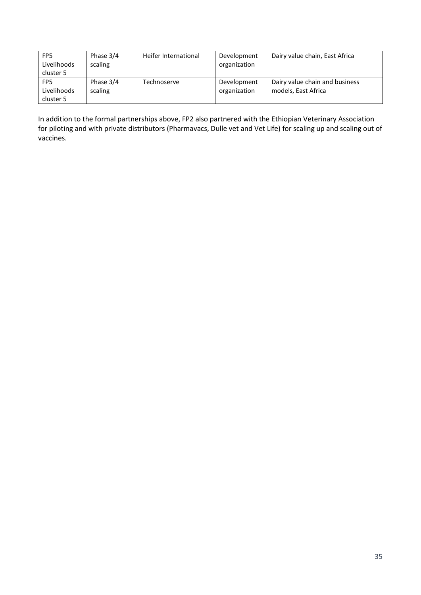| FP <sub>5</sub><br>Livelihoods<br>cluster 5 | Phase 3/4<br>scaling | Heifer International | Development<br>organization | Dairy value chain, East Africa                        |
|---------------------------------------------|----------------------|----------------------|-----------------------------|-------------------------------------------------------|
| FP <sub>5</sub><br>Livelihoods<br>cluster 5 | Phase 3/4<br>scaling | Technoserve          | Development<br>organization | Dairy value chain and business<br>models, East Africa |

In addition to the formal partnerships above, FP2 also partnered with the Ethiopian Veterinary Association for piloting and with private distributors (Pharmavacs, Dulle vet and Vet Life) for scaling up and scaling out of vaccines.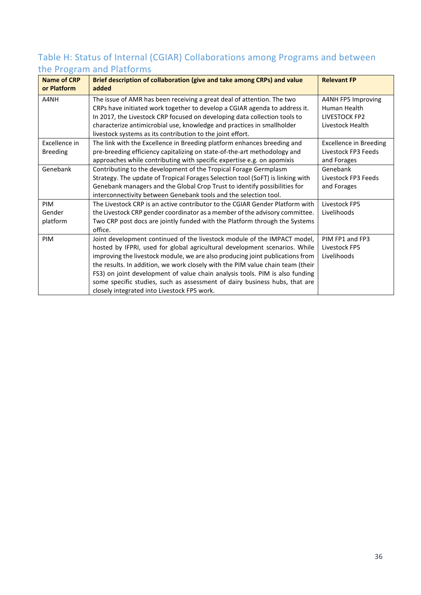# Table H: Status of Internal (CGIAR) Collaborations among Programs and between the Program and Platforms

| <b>Name of CRP</b> | Brief description of collaboration (give and take among CRPs) and value        | <b>Relevant FP</b>            |  |  |
|--------------------|--------------------------------------------------------------------------------|-------------------------------|--|--|
| or Platform        | added                                                                          |                               |  |  |
| A4NH               | The issue of AMR has been receiving a great deal of attention. The two         | A4NH FP5 Improving            |  |  |
|                    | CRPs have initiated work together to develop a CGIAR agenda to address it.     | Human Health                  |  |  |
|                    | In 2017, the Livestock CRP focused on developing data collection tools to      | LIVESTOCK FP2                 |  |  |
|                    | characterize antimicrobial use, knowledge and practices in smallholder         | Livestock Health              |  |  |
|                    | livestock systems as its contribution to the joint effort.                     |                               |  |  |
| Excellence in      | The link with the Excellence in Breeding platform enhances breeding and        | <b>Excellence in Breeding</b> |  |  |
| <b>Breeding</b>    | pre-breeding efficiency capitalizing on state-of-the-art methodology and       | Livestock FP3 Feeds           |  |  |
|                    | approaches while contributing with specific expertise e.g. on apomixis         | and Forages                   |  |  |
| Genebank           | Contributing to the development of the Tropical Forage Germplasm               | Genebank                      |  |  |
|                    | Strategy. The update of Tropical Forages Selection tool (SoFT) is linking with | Livestock FP3 Feeds           |  |  |
|                    | Genebank managers and the Global Crop Trust to identify possibilities for      | and Forages                   |  |  |
|                    | interconnectivity between Genebank tools and the selection tool.               |                               |  |  |
| PIM                | The Livestock CRP is an active contributor to the CGIAR Gender Platform with   | Livestock FP5                 |  |  |
| Gender             | the Livestock CRP gender coordinator as a member of the advisory committee.    | Livelihoods                   |  |  |
| platform           | Two CRP post docs are jointly funded with the Platform through the Systems     |                               |  |  |
|                    | office.                                                                        |                               |  |  |
| PIM                | Joint development continued of the livestock module of the IMPACT model,       | PIM FP1 and FP3               |  |  |
|                    | hosted by IFPRI, used for global agricultural development scenarios. While     | Livestock FP5                 |  |  |
|                    | improving the livestock module, we are also producing joint publications from  | Livelihoods                   |  |  |
|                    | the results. In addition, we work closely with the PIM value chain team (their |                               |  |  |
|                    | FS3) on joint development of value chain analysis tools. PIM is also funding   |                               |  |  |
|                    | some specific studies, such as assessment of dairy business hubs, that are     |                               |  |  |
|                    | closely integrated into Livestock FP5 work.                                    |                               |  |  |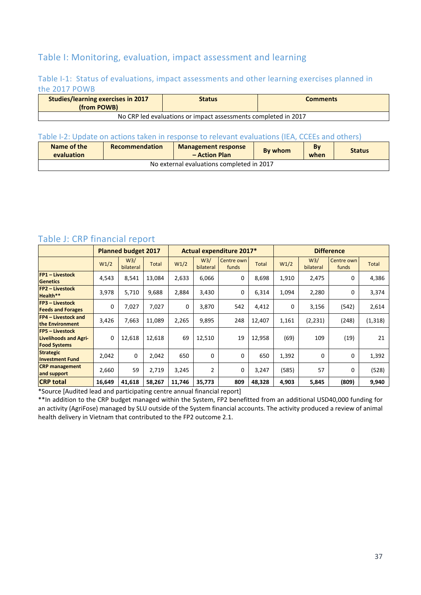## Table I: Monitoring, evaluation, impact assessment and learning

#### Table I-1: Status of evaluations, impact assessments and other learning exercises planned in the 2017 POWB

| <b>Studies/learning exercises in 2017</b><br>(from POWB)       | <b>Status</b> | <b>Comments</b> |  |  |  |  |  |
|----------------------------------------------------------------|---------------|-----------------|--|--|--|--|--|
| No CRP led evaluations or impact assessments completed in 2017 |               |                 |  |  |  |  |  |

#### Table I-2: Update on actions taken in response to relevant evaluations (IEA, CCEEs and others)

| Name of the<br>evaluation                 | <b>Recommendation</b><br><b>Management response</b><br>- Action Plan |  | By whom | By<br>when | <b>Status</b> |  |  |  |
|-------------------------------------------|----------------------------------------------------------------------|--|---------|------------|---------------|--|--|--|
| No external evaluations completed in 2017 |                                                                      |  |         |            |               |  |  |  |

## Table J: CRP financial report

|                                                                               | <b>Planned budget 2017</b> |                             |              | Actual expenditure 2017* |                             |                     | <b>Difference</b> |       |                             |                     |              |
|-------------------------------------------------------------------------------|----------------------------|-----------------------------|--------------|--------------------------|-----------------------------|---------------------|-------------------|-------|-----------------------------|---------------------|--------------|
|                                                                               | W <sub>1</sub> /2          | W <sub>3</sub><br>bilateral | <b>Total</b> | W1/2                     | W <sub>3</sub><br>bilateral | Centre own<br>funds | <b>Total</b>      | W1/2  | W <sub>3</sub><br>bilateral | Centre own<br>funds | <b>Total</b> |
| <b>FP1 - Livestock</b><br><b>Genetics</b>                                     | 4,543                      | 8,541                       | 13,084       | 2,633                    | 6,066                       | 0                   | 8,698             | 1,910 | 2,475                       | 0                   | 4,386        |
| <b>FP2 - Livestock</b><br>Health**                                            | 3,978                      | 5,710                       | 9,688        | 2,884                    | 3,430                       | 0                   | 6,314             | 1,094 | 2,280                       | 0                   | 3,374        |
| <b>FP3</b> - Livestock<br><b>Feeds and Forages</b>                            | 0                          | 7,027                       | 7,027        | 0                        | 3,870                       | 542                 | 4,412             | 0     | 3,156                       | (542)               | 2,614        |
| <b>FP4 - Livestock and</b><br>the Environment                                 | 3,426                      | 7,663                       | 11,089       | 2,265                    | 9,895                       | 248                 | 12,407            | 1,161 | (2, 231)                    | (248)               | (1, 318)     |
| <b>FP5 - Livestock</b><br><b>Livelihoods and Agri-</b><br><b>Food Systems</b> | 0                          | 12,618                      | 12,618       | 69                       | 12,510                      | 19                  | 12,958            | (69)  | 109                         | (19)                | 21           |
| <b>Strategic</b><br><b>Investment Fund</b>                                    | 2,042                      | $\Omega$                    | 2,042        | 650                      | 0                           | 0                   | 650               | 1,392 | 0                           | 0                   | 1,392        |
| <b>CRP</b> management<br>and support                                          | 2,660                      | 59                          | 2,719        | 3,245                    | 2                           | 0                   | 3,247             | (585) | 57                          | $\Omega$            | (528)        |
| <b>CRP total</b>                                                              | 16,649                     | 41,618                      | 58,267       | 11,746                   | 35,773                      | 809                 | 48,328            | 4,903 | 5,845                       | (809)               | 9,940        |

\*Source [Audited lead and participating centre annual financial report]

\*\*In addition to the CRP budget managed within the System, FP2 benefitted from an additional USD40,000 funding for an activity (AgriFose) managed by SLU outside of the System financial accounts. The activity produced a review of animal health delivery in Vietnam that contributed to the FP2 outcome 2.1.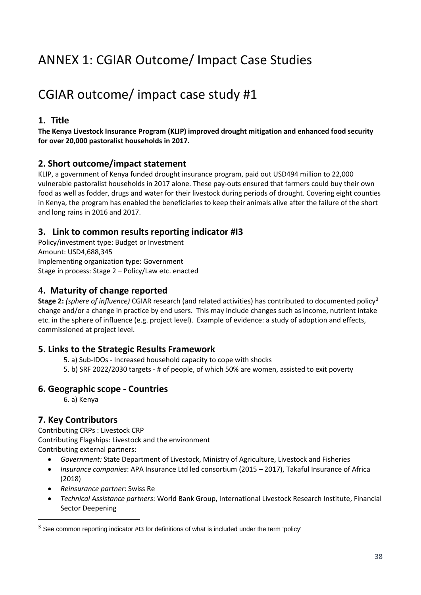# ANNEX 1: CGIAR Outcome/ Impact Case Studies

# CGIAR outcome/ impact case study #1

### **1. Title**

**The Kenya Livestock Insurance Program (KLIP) improved drought mitigation and enhanced food security for over 20,000 pastoralist households in 2017.**

#### **2. Short outcome/impact statement**

KLIP, a government of Kenya funded drought insurance program, paid out USD494 million to 22,000 vulnerable pastoralist households in 2017 alone. These pay-outs ensured that farmers could buy their own food as well as fodder, drugs and water for their livestock during periods of drought. Covering eight counties in Kenya, the program has enabled the beneficiaries to keep their animals alive after the failure of the short and long rains in 2016 and 2017.

#### **3. Link to common results reporting indicator #I3**

Policy/investment type: Budget or Investment Amount: USD4,688,345 Implementing organization type: Government Stage in process: Stage 2 – Policy/Law etc. enacted

#### 4**. Maturity of change reported**

**Stage 2:** *(sphere of influence)* CGIAR research (and related activities) has contributed to documented policy[3](#page-41-0) change and/or a change in practice by end users. This may include changes such as income, nutrient intake etc. in the sphere of influence (e.g. project level). Example of evidence: a study of adoption and effects, commissioned at project level.

#### **5. Links to the Strategic Results Framework**

- 5. a) Sub-IDOs Increased household capacity to cope with shocks
- 5. b) SRF 2022/2030 targets # of people, of which 50% are women, assisted to exit poverty

#### **6. Geographic scope - Countries**

6. a) Kenya

## **7. Key Contributors**

Contributing CRPs : Livestock CRP Contributing Flagships: Livestock and the environment Contributing external partners:

- *Government:* State Department of Livestock, Ministry of Agriculture, Livestock and Fisheries
- *Insurance companies*: APA Insurance Ltd led consortium (2015 2017), Takaful Insurance of Africa (2018)
- *Reinsurance partner*: Swiss Re
- *Technical Assistance partners*: World Bank Group, International Livestock Research Institute, Financial Sector Deepening

<span id="page-41-0"></span><sup>&</sup>lt;sup>3</sup> See common reporting indicator #13 for definitions of what is included under the term 'policy'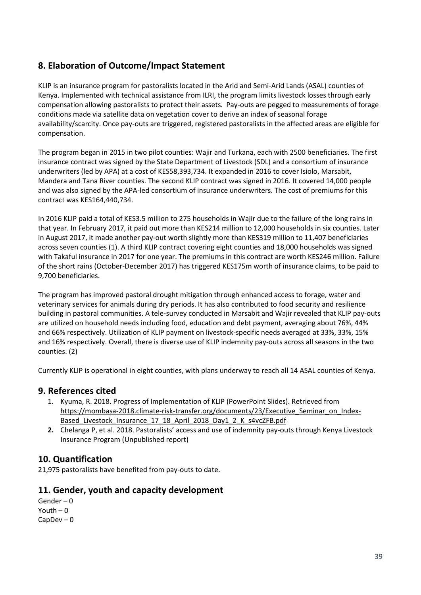## **8. Elaboration of Outcome/Impact Statement**

KLIP is an insurance program for pastoralists located in the Arid and Semi-Arid Lands (ASAL) counties of Kenya. Implemented with technical assistance from ILRI, the program limits livestock losses through early compensation allowing pastoralists to protect their assets. Pay-outs are pegged to measurements of forage conditions made via satellite data on vegetation cover to derive an index of seasonal forage availability/scarcity. Once pay-outs are triggered, registered pastoralists in the affected areas are eligible for compensation.

The program began in 2015 in two pilot counties: Wajir and Turkana, each with 2500 beneficiaries. The first insurance contract was signed by the State Department of Livestock (SDL) and a consortium of insurance underwriters (led by APA) at a cost of KES58,393,734. It expanded in 2016 to cover Isiolo, Marsabit, Mandera and Tana River counties. The second KLIP contract was signed in 2016. It covered 14,000 people and was also signed by the APA-led consortium of insurance underwriters. The cost of premiums for this contract was KES164,440,734.

In 2016 KLIP paid a total of KES3.5 million to 275 households in Wajir due to the failure of the long rains in that year. In February 2017, it paid out more than KES214 million to 12,000 households in six counties. Later in August 2017, it made another pay-out worth slightly more than KES319 million to 11,407 beneficiaries across seven counties (1). A third KLIP contract covering eight counties and 18,000 households was signed with Takaful insurance in 2017 for one year. The premiums in this contract are worth KES246 million. Failure of the short rains (October-December 2017) has triggered KES175m worth of insurance claims, to be paid to 9,700 beneficiaries.

The program has improved pastoral drought mitigation through enhanced access to forage, water and veterinary services for animals during dry periods. It has also contributed to food security and resilience building in pastoral communities. A tele-survey conducted in Marsabit and Wajir revealed that KLIP pay-outs are utilized on household needs including food, education and debt payment, averaging about 76%, 44% and 66% respectively. Utilization of KLIP payment on livestock-specific needs averaged at 33%, 33%, 15% and 16% respectively. Overall, there is diverse use of KLIP indemnity pay-outs across all seasons in the two counties. (2)

Currently KLIP is operational in eight counties, with plans underway to reach all 14 ASAL counties of Kenya.

#### **9. References cited**

- 1. Kyuma, R. 2018. Progress of Implementation of KLIP (PowerPoint Slides). Retrieved from [https://mombasa-2018.climate-risk-transfer.org/documents/23/Executive\\_Seminar\\_on\\_Index-](https://mombasa-2018.climate-risk-transfer.org/documents/23/Executive_Seminar_on_Index-Based_Livestock_Insurance_17_18_April_2018_Day1_2_K_s4vcZFB.pdf)[Based\\_Livestock\\_Insurance\\_17\\_18\\_April\\_2018\\_Day1\\_2\\_K\\_s4vcZFB.pdf](https://mombasa-2018.climate-risk-transfer.org/documents/23/Executive_Seminar_on_Index-Based_Livestock_Insurance_17_18_April_2018_Day1_2_K_s4vcZFB.pdf)
- **2.** Chelanga P, et al. 2018. Pastoralists' access and use of indemnity pay-outs through Kenya Livestock Insurance Program (Unpublished report)

#### **10. Quantification**

21,975 pastoralists have benefited from pay-outs to date.

#### **11. Gender, youth and capacity development**

Gender – 0 Youth – 0 CapDev – 0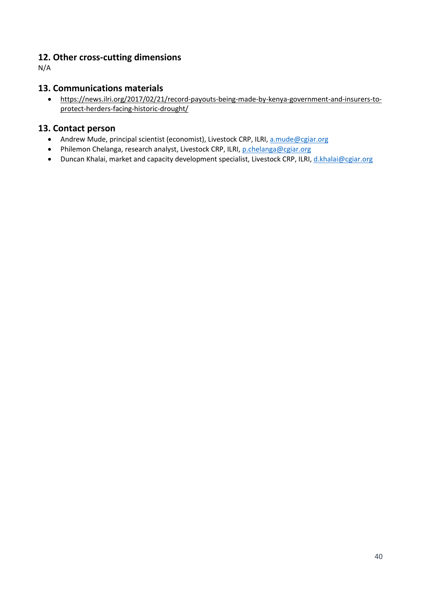## **12. Other cross-cutting dimensions**

N/A

#### **13. Communications materials**

• [https://news.ilri.org/2017/02/21/record-payouts-being-made-by-kenya-government-and-insurers-to](https://news.ilri.org/2017/02/21/record-payouts-being-made-by-kenya-government-and-insurers-to-protect-herders-facing-historic-drought/)[protect-herders-facing-historic-drought/](https://news.ilri.org/2017/02/21/record-payouts-being-made-by-kenya-government-and-insurers-to-protect-herders-facing-historic-drought/)

#### **13. Contact person**

- Andrew Mude, principal scientist (economist), Livestock CRP, ILRI[, a.mude@cgiar.org](mailto:a.mude@cgiar.org)
- Philemon Chelanga, research analyst, Livestock CRP, ILRI[, p.chelanga@cgiar.org](mailto:p.chelanga@cgiar.org)
- Duncan Khalai, market and capacity development specialist, Livestock CRP, ILRI[, d.khalai@cgiar.org](mailto:d.khalai@cgiar.org)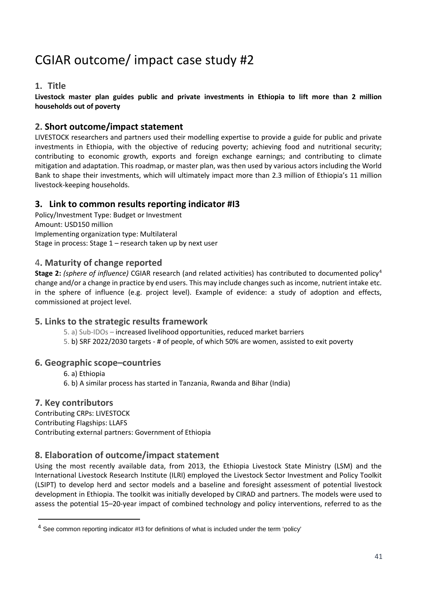# CGIAR outcome/ impact case study #2

#### **1. Title**

**Livestock master plan guides public and private investments in Ethiopia to lift more than 2 million households out of poverty**

#### **2. Short outcome/impact statement**

LIVESTOCK researchers and partners used their modelling expertise to provide a guide for public and private investments in Ethiopia, with the objective of reducing poverty; achieving food and nutritional security; contributing to economic growth, exports and foreign exchange earnings; and contributing to climate mitigation and adaptation. This roadmap, or master plan, was then used by various actors including the World Bank to shape their investments, which will ultimately impact more than 2.3 million of Ethiopia's 11 million livestock-keeping households.

## **3. Link to common results reporting indicator #I3**

Policy/Investment Type: Budget or Investment Amount: USD150 million Implementing organization type: Multilateral Stage in process: Stage 1 – research taken up by next user

#### 4**. Maturity of change reported**

**Stage 2:** *(sphere of influence)* CGIAR research (and related activities) has contributed to documented policy<sup>[4](#page-44-0)</sup> change and/or a change in practice by end users. This may include changes such as income, nutrient intake etc. in the sphere of influence (e.g. project level). Example of evidence: a study of adoption and effects, commissioned at project level.

#### **5. Links to the strategic results framework**

- 5. a) Sub-IDOs increased livelihood opportunities, reduced market barriers
- 5. b) SRF 2022/2030 targets # of people, of which 50% are women, assisted to exit poverty

#### **6. Geographic scope–countries**

- 6. a) Ethiopia
- 6. b) A similar process has started in Tanzania, Rwanda and Bihar (India)

#### **7. Key contributors**

Contributing CRPs: LIVESTOCK Contributing Flagships: LLAFS Contributing external partners: Government of Ethiopia

#### **8. Elaboration of outcome/impact statement**

Using the most recently available data, from 2013, the Ethiopia Livestock State Ministry (LSM) and the International Livestock Research Institute (ILRI) employed the Livestock Sector Investment and Policy Toolkit (LSIPT) to develop herd and sector models and a baseline and foresight assessment of potential livestock development in Ethiopia. The toolkit was initially developed by CIRAD and partners. The models were used to assess the potential 15–20-year impact of combined technology and policy interventions, referred to as the

<span id="page-44-0"></span> <sup>4</sup> See common reporting indicator #I3 for definitions of what is included under the term 'policy'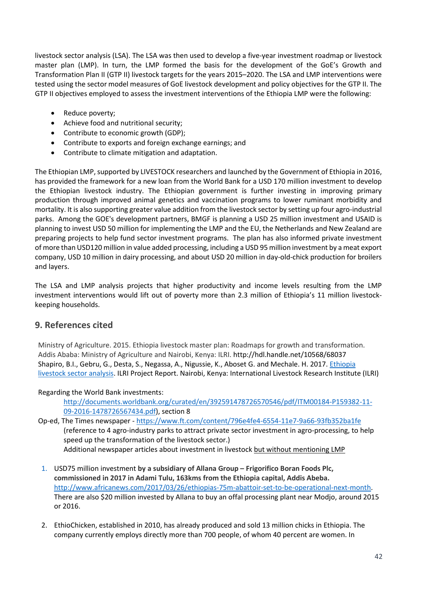livestock sector analysis (LSA). The LSA was then used to develop a five-year investment roadmap or livestock master plan (LMP). In turn, the LMP formed the basis for the development of the GoE's Growth and Transformation Plan II (GTP II) livestock targets for the years 2015–2020. The LSA and LMP interventions were tested using the sector model measures of GoE livestock development and policy objectives for the GTP II. The GTP II objectives employed to assess the investment interventions of the Ethiopia LMP were the following:

- Reduce poverty;
- Achieve food and nutritional security;
- Contribute to economic growth (GDP);
- Contribute to exports and foreign exchange earnings; and
- Contribute to climate mitigation and adaptation.

The Ethiopian LMP, supported by LIVESTOCK researchers and launched by the Government of Ethiopia in 2016, has provided the framework for a new loan from the World Bank for a USD 170 million investment to develop the Ethiopian livestock industry. The Ethiopian government is further investing in improving primary production through improved animal genetics and vaccination programs to lower ruminant morbidity and mortality. It is also supporting greater value addition from the livestock sector by setting up four agro-industrial parks. Among the GOE's development partners, BMGF is planning a USD 25 million investment and USAID is planning to invest USD 50 million for implementing the LMP and the EU, the Netherlands and New Zealand are preparing projects to help fund sector investment programs. The plan has also informed private investment of more than USD120 million in value added processing, including a USD 95 million investment by a meat export company, USD 10 million in dairy processing, and about USD 20 million in day-old-chick production for broilers and layers.

The LSA and LMP analysis projects that higher productivity and income levels resulting from the LMP investment interventions would lift out of poverty more than 2.3 million of Ethiopia's 11 million livestockkeeping households.

#### **9. References cited**

Ministry of Agriculture. 2015. Ethiopia livestock master plan: Roadmaps for growth and transformation. Addis Ababa: Ministry of Agriculture and Nairobi, Kenya: ILRI. http://hdl.handle.net/10568/68037 Shapiro, B.I., Gebru, G., Desta, S., Negassa, A., Nigussie, K., Aboset G. and Mechale. H. 2017. [Ethiopia](http://hdl.handle.net/10568/92057)  [livestock sector analysis.](http://hdl.handle.net/10568/92057) ILRI Project Report. Nairobi, Kenya: International Livestock Research Institute (ILRI)

#### Regarding the World Bank investments:

[http://documents.worldbank.org/curated/en/392591478726570546/pdf/ITM00184-P159382-11-](http://documents.worldbank.org/curated/en/392591478726570546/pdf/ITM00184-P159382-11-09-2016-1478726567434.pdf) [09-2016-1478726567434.pdf\)](http://documents.worldbank.org/curated/en/392591478726570546/pdf/ITM00184-P159382-11-09-2016-1478726567434.pdf), section 8

- Op-ed, The Times newspaper <https://www.ft.com/content/796e4fe4-6554-11e7-9a66-93fb352ba1fe> (reference to 4 agro-industry parks to attract private sector investment in agro-processing, to help speed up the transformation of the livestock sector.) Additional newspaper articles about investment in livestock but without mentioning LMP
- 1. USD75 million investment **by a subsidiary of Allana Group – Frigorifico Boran Foods Plc, commissioned in 2017 in Adami Tulu, 163kms from the Ethiopia capital, Addis Abeba.**  [http://www.africanews.com/2017/03/26/ethiopias-75m-abattoir-set-to-be-operational-next-month.](http://www.africanews.com/2017/03/26/ethiopias-75m-abattoir-set-to-be-operational-next-month) There are also \$20 million invested by Allana to buy an offal processing plant near Modjo, around 2015 or 2016.
- 2. EthioChicken, established in 2010, has already produced and sold 13 million chicks in Ethiopia. The company currently employs directly more than 700 people, of whom 40 percent are women. In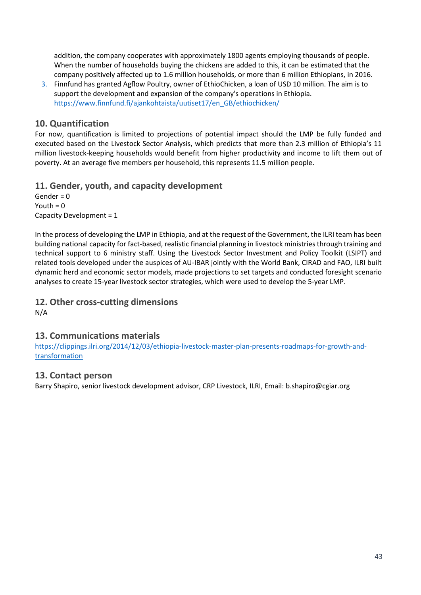addition, the company cooperates with approximately 1800 agents employing thousands of people. When the number of households buying the chickens are added to this, it can be estimated that the company positively affected up to 1.6 million households, or more than 6 million Ethiopians, in 2016.

3. Finnfund has granted Agflow Poultry, owner of EthioChicken, a loan of USD 10 million. The aim is to support the development and expansion of the company's operations in Ethiopia. [https://www.finnfund.fi/ajankohtaista/uutiset17/en\\_GB/ethiochicken/](https://www.finnfund.fi/ajankohtaista/uutiset17/en_GB/ethiochicken/)

#### **10. Quantification**

For now, quantification is limited to projections of potential impact should the LMP be fully funded and executed based on the Livestock Sector Analysis, which predicts that more than 2.3 million of Ethiopia's 11 million livestock-keeping households would benefit from higher productivity and income to lift them out of poverty. At an average five members per household, this represents 11.5 million people.

#### **11. Gender, youth, and capacity development**

Gender = 0 Youth  $= 0$ Capacity Development = 1

In the process of developing the LMP in Ethiopia, and at the request of the Government, the ILRI team has been building national capacity for fact-based, realistic financial planning in livestock ministries through training and technical support to 6 ministry staff. Using the Livestock Sector Investment and Policy Toolkit (LSIPT) and related tools developed under the auspices of AU-IBAR jointly with the World Bank, CIRAD and FAO, ILRI built dynamic herd and economic sector models, made projections to set targets and conducted foresight scenario analyses to create 15-year livestock sector strategies, which were used to develop the 5-year LMP.

#### **12. Other cross-cutting dimensions**

N/A

#### **13. Communications materials**

https://clippings.ilri.org/2014/12/03/ethiopia-livestock-master-plan-presents-roadmaps-for-growth-andtransformation

#### **13. Contact person**

Barry Shapiro, senior livestock development advisor, CRP Livestock, ILRI, Email: [b.shapiro@cgiar.org](mailto:b.shapiro@cgiar.org)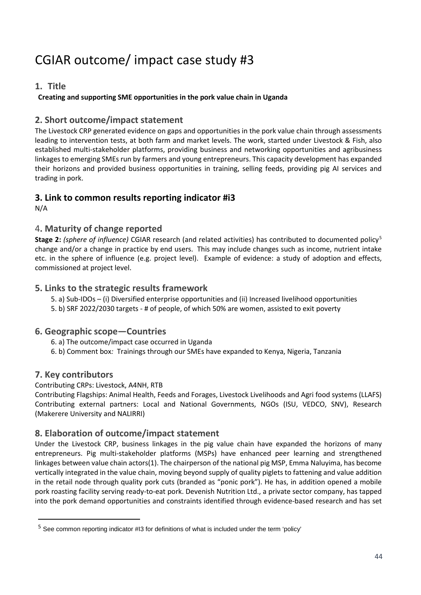# CGIAR outcome/ impact case study #3

## **1. Title**

#### **Creating and supporting SME opportunities in the pork value chain in Uganda**

#### **2. Short outcome/impact statement**

The Livestock CRP generated evidence on gaps and opportunities in the pork value chain through assessments leading to intervention tests, at both farm and market levels. The work, started under Livestock & Fish, also established multi-stakeholder platforms, providing business and networking opportunities and agribusiness linkages to emerging SMEs run by farmers and young entrepreneurs. This capacity development has expanded their horizons and provided business opportunities in training, selling feeds, providing pig AI services and trading in pork.

#### **3. Link to common results reporting indicator #i3**

N/A

#### 4**. Maturity of change reported**

**Stage 2:** *(sphere of influence)* CGIAR research (and related activities) has contributed to documented policy[5](#page-47-0) change and/or a change in practice by end users. This may include changes such as income, nutrient intake etc. in the sphere of influence (e.g. project level). Example of evidence: a study of adoption and effects, commissioned at project level.

#### **5. Links to the strategic results framework**

- 5. a) Sub-IDOs (i) Diversified enterprise opportunities and (ii) Increased livelihood opportunities
- 5. b) SRF 2022/2030 targets # of people, of which 50% are women, assisted to exit poverty

#### **6. Geographic scope—Countries**

- 6. a) The outcome/impact case occurred in Uganda
- 6. b) Comment box*:* Trainings through our SMEs have expanded to Kenya, Nigeria, Tanzania

## **7. Key contributors**

#### Contributing CRPs: Livestock, A4NH, RTB

Contributing Flagships: Animal Health, Feeds and Forages, Livestock Livelihoods and Agri food systems (LLAFS) Contributing external partners: Local and National Governments, NGOs (ISU, VEDCO, SNV), Research (Makerere University and NALIRRI)

#### **8. Elaboration of outcome/impact statement**

Under the Livestock CRP, business linkages in the pig value chain have expanded the horizons of many entrepreneurs. Pig multi-stakeholder platforms (MSPs) have enhanced peer learning and strengthened linkages between value chain actors(1). The chairperson of the national pig MSP, Emma Naluyima, has become vertically integrated in the value chain, moving beyond supply of quality piglets to fattening and value addition in the retail node through quality pork cuts (branded as "ponic pork"). He has, in addition opened a mobile pork roasting facility serving ready-to-eat pork. Devenish Nutrition Ltd., a private sector company, has tapped into the pork demand opportunities and constraints identified through evidence-based research and has set

<span id="page-47-0"></span><sup>&</sup>lt;sup>5</sup> See common reporting indicator #13 for definitions of what is included under the term 'policy'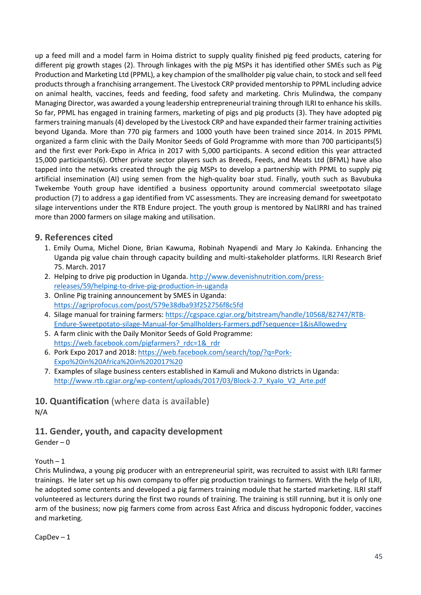up a feed mill and a model farm in Hoima district to supply quality finished pig feed products, catering for different pig growth stages (2). Through linkages with the pig MSPs it has identified other SMEs such as Pig Production and Marketing Ltd (PPML), a key champion of the smallholder pig value chain, to stock and sell feed products through a franchising arrangement. The Livestock CRP provided mentorship to PPML including advice on animal health, vaccines, feeds and feeding, food safety and marketing. Chris Mulindwa, the company Managing Director, was awarded a young leadership entrepreneurial training through ILRI to enhance his skills. So far, PPML has engaged in training farmers, marketing of pigs and pig products (3). They have adopted pig farmers training manuals(4) developed by the Livestock CRP and have expanded their farmer training activities beyond Uganda. More than 770 pig farmers and 1000 youth have been trained since 2014. In 2015 PPML organized a farm clinic with the Daily Monitor Seeds of Gold Programme with more than 700 participants(5) and the first ever Pork-Expo in Africa in 2017 with 5,000 participants. A second edition this year attracted 15,000 participants(6). Other private sector players such as Breeds, Feeds, and Meats Ltd (BFML) have also tapped into the networks created through the pig MSPs to develop a partnership with PPML to supply pig artificial insemination (AI) using semen from the high-quality boar stud. Finally, youth such as Bavubuka Twekembe Youth group have identified a business opportunity around commercial sweetpotato silage production (7) to address a gap identified from VC assessments. They are increasing demand for sweetpotato silage interventions under the RTB Endure project. The youth group is mentored by NaLIRRI and has trained more than 2000 farmers on silage making and utilisation.

#### **9. References cited**

- 1. Emily Ouma, Michel Dione, Brian Kawuma, Robinah Nyapendi and Mary Jo Kakinda. Enhancing the Uganda pig value chain through capacity building and multi-stakeholder platforms. ILRI Research Brief 75. March. 2017
- 2. Helping to drive pig production in Uganda[. http://www.devenishnutrition.com/press](http://www.devenishnutrition.com/press-releases/59/helping-to-drive-pig-production-in-uganda)[releases/59/helping-to-drive-pig-production-in-uganda](http://www.devenishnutrition.com/press-releases/59/helping-to-drive-pig-production-in-uganda)
- 3. Online Pig training announcement by SMES in Uganda: <https://agriprofocus.com/post/579e38dba93f252756f8c5fd>
- 4. Silage manual for training farmers[: https://cgspace.cgiar.org/bitstream/handle/10568/82747/RTB-](https://cgspace.cgiar.org/bitstream/handle/10568/82747/RTB-Endure-Sweetpotato-silage-Manual-for-Smallholders-Farmers.pdf?sequence=1&isAllowed=y)[Endure-Sweetpotato-silage-Manual-for-Smallholders-Farmers.pdf?sequence=1&isAllowed=y](https://cgspace.cgiar.org/bitstream/handle/10568/82747/RTB-Endure-Sweetpotato-silage-Manual-for-Smallholders-Farmers.pdf?sequence=1&isAllowed=y)
- 5. A farm clinic with the Daily Monitor Seeds of Gold Programme: https://web.facebook.com/pigfarmers? rdc=1& rdr
- 6. Pork Expo 2017 and 2018[: https://web.facebook.com/search/top/?q=Pork-](https://web.facebook.com/search/top/?q=Pork-Expo%20in%20Africa%20in%202017%20)[Expo%20in%20Africa%20in%202017%20](https://web.facebook.com/search/top/?q=Pork-Expo%20in%20Africa%20in%202017%20)
- 7. Examples of silage business centers established in Kamuli and Mukono districts in Uganda: http://www.rtb.cgiar.org/wp-content/uploads/2017/03/Block-2.7 Kyalo\_V2\_Arte.pdf

**10. Quantification** (where data is available) N/A

## **11. Gender, youth, and capacity development**

Gender – 0

#### Youth  $-1$

Chris Mulindwa, a young pig producer with an entrepreneurial spirit, was recruited to assist with ILRI farmer trainings. He later set up his own company to offer pig production trainings to farmers. With the help of ILRI, he adopted some contents and developed a pig farmers training module that he started marketing. ILRI staff volunteered as lecturers during the first two rounds of training. The training is still running, but it is only one arm of the business; now pig farmers come from across East Africa and discuss hydroponic fodder, vaccines and marketing.

CapDev – 1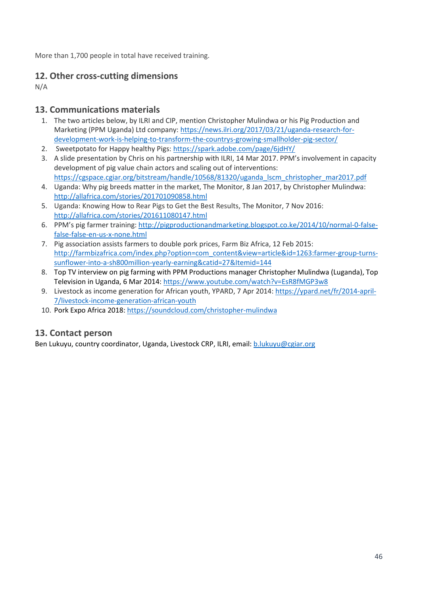More than 1,700 people in total have received training.

### **12. Other cross-cutting dimensions**

N/A

#### **13. Communications materials**

- 1. The two articles below, by ILRI and CIP, mention Christopher Mulindwa or his Pig Production and Marketing (PPM Uganda) Ltd company: [https://news.ilri.org/2017/03/21/uganda-research-for](https://news.ilri.org/2017/03/21/uganda-research-for-development-work-is-helping-to-transform-the-countrys-growing-smallholder-pig-sector/)[development-work-is-helping-to-transform-the-countrys-growing-smallholder-pig-sector/](https://news.ilri.org/2017/03/21/uganda-research-for-development-work-is-helping-to-transform-the-countrys-growing-smallholder-pig-sector/)
- 2. Sweetpotato for Happy healthy Pigs:<https://spark.adobe.com/page/6jdHY/>
- 3. A slide presentation by Chris on his partnership with ILRI, 14 Mar 2017. PPM's involvement in capacity development of pig value chain actors and scaling out of interventions: [https://cgspace.cgiar.org/bitstream/handle/10568/81320/uganda\\_lscm\\_christopher\\_mar2017.pdf](https://cgspace.cgiar.org/bitstream/handle/10568/81320/uganda_lscm_christopher_mar2017.pdf)
- 4. Uganda: Why pig breeds matter in the market, The Monitor, 8 Jan 2017, by Christopher Mulindwa: <http://allafrica.com/stories/201701090858.html>
- 5. Uganda: Knowing How to Rear Pigs to Get the Best Results, The Monitor, 7 Nov 2016: <http://allafrica.com/stories/201611080147.html>
- 6. PPM's pig farmer training: [http://pigproductionandmarketing.blogspot.co.ke/2014/10/normal-0-false](http://pigproductionandmarketing.blogspot.co.ke/2014/10/normal-0-false-false-false-en-us-x-none.html)[false-false-en-us-x-none.html](http://pigproductionandmarketing.blogspot.co.ke/2014/10/normal-0-false-false-false-en-us-x-none.html)
- 7. Pig association assists farmers to double pork prices, Farm Biz Africa, 12 Feb 2015: [http://farmbizafrica.com/index.php?option=com\\_content&view=article&id=1263:farmer-group-turns](http://farmbizafrica.com/index.php?option=com_content&view=article&id=1263:farmer-group-turns-sunflower-into-a-sh800million-yearly-earning&catid=27&Itemid=144)[sunflower-into-a-sh800million-yearly-earning&catid=27&Itemid=144](http://farmbizafrica.com/index.php?option=com_content&view=article&id=1263:farmer-group-turns-sunflower-into-a-sh800million-yearly-earning&catid=27&Itemid=144)
- 8. Top TV interview on pig farming with PPM Productions manager Christopher Mulindwa (Luganda), Top Television in Uganda, 6 Mar 2014: <https://www.youtube.com/watch?v=EsR8fMGP3w8>
- 9. Livestock as income generation for African youth, YPARD, 7 Apr 2014[: https://ypard.net/fr/2014-april-](https://ypard.net/fr/2014-april-7/livestock-income-generation-african-youth)[7/livestock-income-generation-african-youth](https://ypard.net/fr/2014-april-7/livestock-income-generation-african-youth)
- 10. Pork Expo Africa 2018: <https://soundcloud.com/christopher-mulindwa>

## **13. Contact person**

Ben Lukuyu, country coordinator, Uganda, Livestock CRP, ILRI, email[: b.lukuyu@cgiar.org](mailto:b.lukuyu@cgiar.org)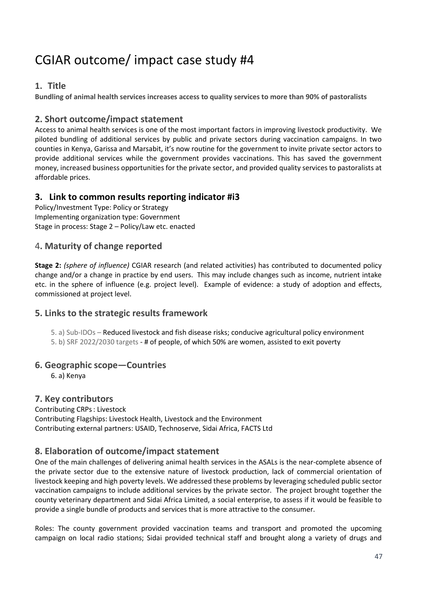# CGIAR outcome/ impact case study #4

#### **1. Title**

**Bundling of animal health services increases access to quality services to more than 90% of pastoralists** 

#### **2. Short outcome/impact statement**

Access to animal health services is one of the most important factors in improving livestock productivity. We piloted bundling of additional services by public and private sectors during vaccination campaigns. In two counties in Kenya, Garissa and Marsabit, it's now routine for the government to invite private sector actors to provide additional services while the government provides vaccinations. This has saved the government money, increased business opportunities for the private sector, and provided quality services to pastoralists at affordable prices.

#### **3. Link to common results reporting indicator #i3**

Policy/Investment Type: Policy or Strategy Implementing organization type: Government Stage in process: Stage 2 – Policy/Law etc. enacted

#### 4**. Maturity of change reported**

**Stage 2:** *(sphere of influence)* CGIAR research (and related activities) has contributed to documented policy change and/or a change in practice by end users. This may include changes such as income, nutrient intake etc. in the sphere of influence (e.g. project level). Example of evidence: a study of adoption and effects, commissioned at project level.

## **5. Links to the strategic results framework**

5. a) Sub-IDOs – Reduced livestock and fish disease risks; conducive agricultural policy environment 5. b) SRF 2022/2030 targets - # of people, of which 50% are women, assisted to exit poverty

#### **6. Geographic scope—Countries**

6. a) Kenya

#### **7. Key contributors**

Contributing CRPs: Livestock

Contributing Flagships: Livestock Health, Livestock and the Environment Contributing external partners: USAID, Technoserve, Sidai Africa, FACTS Ltd

## **8. Elaboration of outcome/impact statement**

One of the main challenges of delivering animal health services in the ASALs is the near-complete absence of the private sector due to the extensive nature of livestock production, lack of commercial orientation of livestock keeping and high poverty levels. We addressed these problems by leveraging scheduled public sector vaccination campaigns to include additional services by the private sector. The project brought together the county veterinary department and Sidai Africa Limited, a social enterprise, to assess if it would be feasible to provide a single bundle of products and services that is more attractive to the consumer.

Roles: The county government provided vaccination teams and transport and promoted the upcoming campaign on local radio stations; Sidai provided technical staff and brought along a variety of drugs and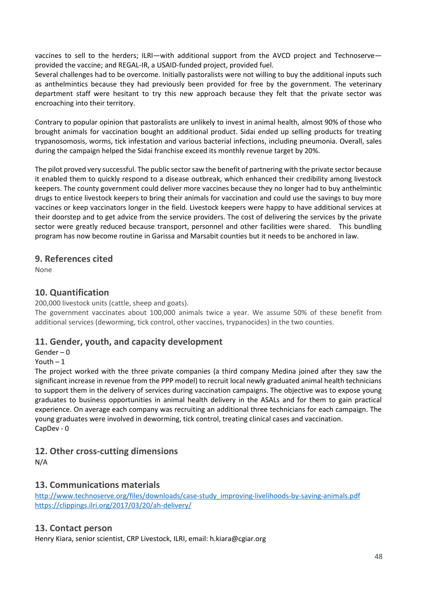vaccines to sell to the herders; ILRI—with additional support from the AVCD project and Technoserve provided the vaccine; and REGAL-IR, a USAID-funded project, provided fuel.

Several challenges had to be overcome. Initially pastoralists were not willing to buy the additional inputs such as anthelmintics because they had previously been provided for free by the government. The veterinary department staff were hesitant to try this new approach because they felt that the private sector was encroaching into their territory.

Contrary to popular opinion that pastoralists are unlikely to invest in animal health, almost 90% of those who brought animals for vaccination bought an additional product. Sidai ended up selling products for treating trypanosomosis, worms, tick infestation and various bacterial infections, including pneumonia. Overall, sales during the campaign helped the Sidai franchise exceed its monthly revenue target by 20%.

The pilot proved very successful. The public sector saw the benefit of partnering with the private sector because it enabled them to quickly respond to a disease outbreak, which enhanced their credibility among livestock keepers. The county government could deliver more vaccines because they no longer had to buy anthelmintic drugs to entice livestock keepers to bring their animals for vaccination and could use the savings to buy more vaccines or keep vaccinators longer in the field. Livestock keepers were happy to have additional services at their doorstep and to get advice from the service providers. The cost of delivering the services by the private sector were greatly reduced because transport, personnel and other facilities were shared. This bundling program has now become routine in Garissa and Marsabit counties but it needs to be anchored in law.

#### **9. References cited**

None

#### **10. Quantification**

200,000 livestock units (cattle, sheep and goats).

The government vaccinates about 100,000 animals twice a year. We assume 50% of these benefit from additional services (deworming, tick control, other vaccines, trypanocides) in the two counties.

#### **11. Gender, youth, and capacity development**

Gender – 0

Youth – 1

The project worked with the three private companies (a third company Medina joined after they saw the significant increase in revenue from the PPP model) to recruit local newly graduated animal health technicians to support them in the delivery of services during vaccination campaigns. The objective was to expose young graduates to business opportunities in animal health delivery in the ASALs and for them to gain practical experience. On average each company was recruiting an additional three technicians for each campaign. The young graduates were involved in deworming, tick control, treating clinical cases and vaccination. CapDev - 0

#### **12. Other cross-cutting dimensions**

N/A

#### **13. Communications materials**

[http://www.technoserve.org/files/downloads/case-study\\_improving-livelihoods-by-saving-animals.pdf](http://www.technoserve.org/files/downloads/case-study_improving-livelihoods-by-saving-animals.pdf) <https://clippings.ilri.org/2017/03/20/ah-delivery/>

#### **13. Contact person**

Henry Kiara, senior scientist, CRP Livestock, ILRI, email: h.kiara@cgiar.org